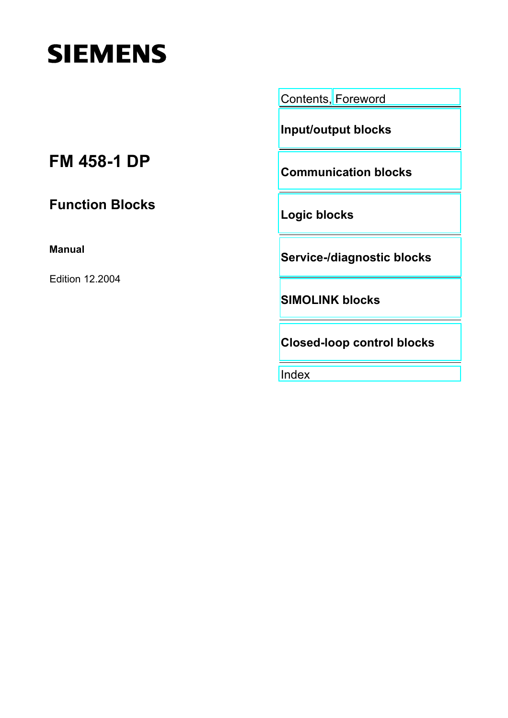# **SIEMENS**

[Contents,](#page-6-0) [Foreword](#page-3-0)

**[Input/output blocks](#page-8-0)** 

**[Communication blocks](#page-12-0)** 

## **FM 458-1 DP**

**Function Blocks** 

**Manual** 

Edition 12.2004

**[Logic blocks](#page-53-0)** 

**[Service-/diagnostic blocks](#page-56-0)** 

**[SIMOLINK blocks](#page-57-0)**

**[Closed-loop control blocks](#page-75-0)** 

[Index](#page-77-0)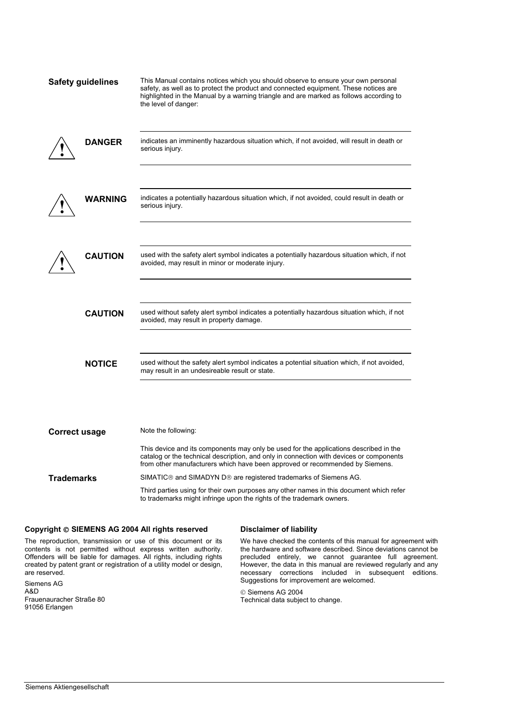| <b>Safety guidelines</b> | This Manual contains notices which you should observe to ensure your own personal<br>safety, as well as to protect the product and connected equipment. These notices are<br>highlighted in the Manual by a warning triangle and are marked as follows according to<br>the level of danger: |
|--------------------------|---------------------------------------------------------------------------------------------------------------------------------------------------------------------------------------------------------------------------------------------------------------------------------------------|
| <b>DANGER</b>            | indicates an imminently hazardous situation which, if not avoided, will result in death or<br>serious injury.                                                                                                                                                                               |
| WARNING                  | indicates a potentially hazardous situation which, if not avoided, could result in death or<br>serious injury.                                                                                                                                                                              |
| <b>CAUTION</b>           | used with the safety alert symbol indicates a potentially hazardous situation which, if not<br>avoided, may result in minor or moderate injury.                                                                                                                                             |
| <b>CAUTION</b>           | used without safety alert symbol indicates a potentially hazardous situation which, if not<br>avoided, may result in property damage.                                                                                                                                                       |
| <b>NOTICE</b>            | used without the safety alert symbol indicates a potential situation which, if not avoided,<br>may result in an undesireable result or state.                                                                                                                                               |
| <b>Correct usage</b>     | Note the following:<br>This device and its components may only be used for the applications described in the                                                                                                                                                                                |
|                          | catalog or the technical description, and only in connection with devices or components                                                                                                                                                                                                     |

The reproduction, transmission or use of this document or its contents is not permitted without express written authority. Offenders will be liable for damages. All rights, including rights created by patent grant or registration of a utility model or design, are reserved.

Siemens AG A&D Frauenauracher Straße 80 91056 Erlangen

 We have checked the contents of this manual for agreement with the hardware and software described. Since deviations cannot be precluded entirely, we cannot guarantee full agreement. However, the data in this manual are reviewed regularly and any necessary corrections included in subsequent editions. Suggestions for improvement are welcomed.

© Siemens AG 2004 Technical data subject to change.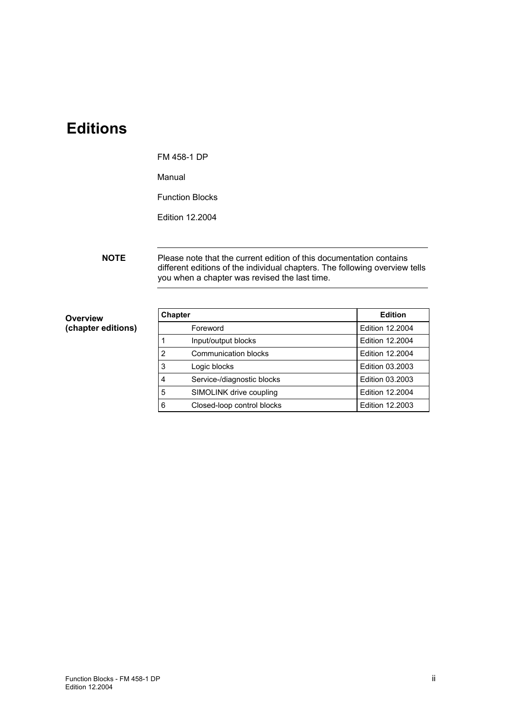### **Editions**

#### FM 458-1 DP

Manual

Function Blocks

Edition 12.2004

**NOTE** Please note that the current edition of this documentation contains different editions of the individual chapters. The following overview tells you when a chapter was revised the last time.

**Overview (chapter editions)** 

| <b>Chapter</b> |                            | <b>Edition</b>         |
|----------------|----------------------------|------------------------|
|                | Foreword                   | Edition 12,2004        |
|                | Input/output blocks        | Edition 12,2004        |
| $\overline{2}$ | Communication blocks       | <b>Edition 12,2004</b> |
| 3              | Logic blocks               | Edition 03.2003        |
| 4              | Service-/diagnostic blocks | Edition 03.2003        |
| 5              | SIMOLINK drive coupling    | <b>Edition 12,2004</b> |
| 6              | Closed-loop control blocks | Edition 12,2003        |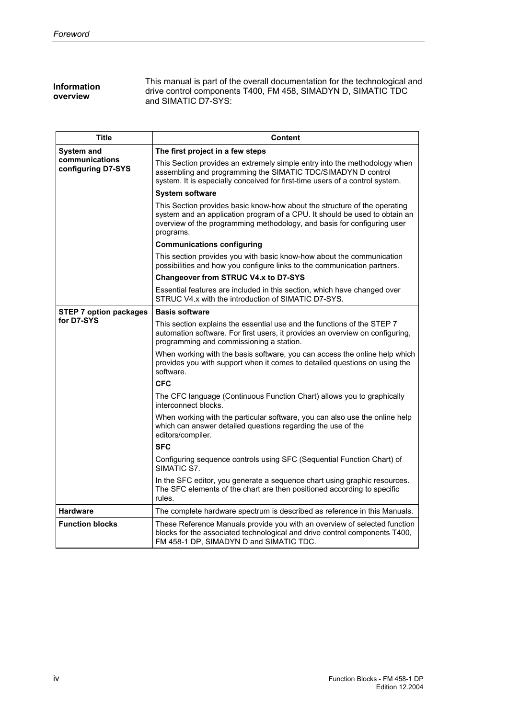| This manual is part of the overall documentation for the technological and<br><b>Information</b><br>drive control components T400, FM 458, SIMADYN D, SIMATIC TDC<br>overview<br>and SIMATIC D7-SYS: |  |
|------------------------------------------------------------------------------------------------------------------------------------------------------------------------------------------------------|--|
|------------------------------------------------------------------------------------------------------------------------------------------------------------------------------------------------------|--|

| <b>Title</b>                         | <b>Content</b>                                                                                                                                                                                                                                  |
|--------------------------------------|-------------------------------------------------------------------------------------------------------------------------------------------------------------------------------------------------------------------------------------------------|
| <b>System and</b>                    | The first project in a few steps                                                                                                                                                                                                                |
| communications<br>configuring D7-SYS | This Section provides an extremely simple entry into the methodology when<br>assembling and programming the SIMATIC TDC/SIMADYN D control<br>system. It is especially conceived for first-time users of a control system.                       |
|                                      | <b>System software</b>                                                                                                                                                                                                                          |
|                                      | This Section provides basic know-how about the structure of the operating<br>system and an application program of a CPU. It should be used to obtain an<br>overview of the programming methodology, and basis for configuring user<br>programs. |
|                                      | <b>Communications configuring</b>                                                                                                                                                                                                               |
|                                      | This section provides you with basic know-how about the communication<br>possibilities and how you configure links to the communication partners.                                                                                               |
|                                      | <b>Changeover from STRUC V4.x to D7-SYS</b>                                                                                                                                                                                                     |
|                                      | Essential features are included in this section, which have changed over<br>STRUC V4.x with the introduction of SIMATIC D7-SYS.                                                                                                                 |
| <b>STEP 7 option packages</b>        | <b>Basis software</b>                                                                                                                                                                                                                           |
| for D7-SYS                           | This section explains the essential use and the functions of the STEP 7<br>automation software. For first users, it provides an overview on configuring,<br>programming and commissioning a station.                                            |
|                                      | When working with the basis software, you can access the online help which<br>provides you with support when it comes to detailed questions on using the<br>software.                                                                           |
|                                      | <b>CFC</b>                                                                                                                                                                                                                                      |
|                                      | The CFC language (Continuous Function Chart) allows you to graphically<br>interconnect blocks.                                                                                                                                                  |
|                                      | When working with the particular software, you can also use the online help<br>which can answer detailed questions regarding the use of the<br>editors/compiler.                                                                                |
|                                      | <b>SFC</b>                                                                                                                                                                                                                                      |
|                                      | Configuring sequence controls using SFC (Sequential Function Chart) of<br>SIMATIC S7.                                                                                                                                                           |
|                                      | In the SFC editor, you generate a sequence chart using graphic resources.<br>The SFC elements of the chart are then positioned according to specific<br>rules.                                                                                  |
| <b>Hardware</b>                      | The complete hardware spectrum is described as reference in this Manuals.                                                                                                                                                                       |
| <b>Function blocks</b>               | These Reference Manuals provide you with an overview of selected function<br>blocks for the associated technological and drive control components T400,<br>FM 458-1 DP, SIMADYN D and SIMATIC TDC.                                              |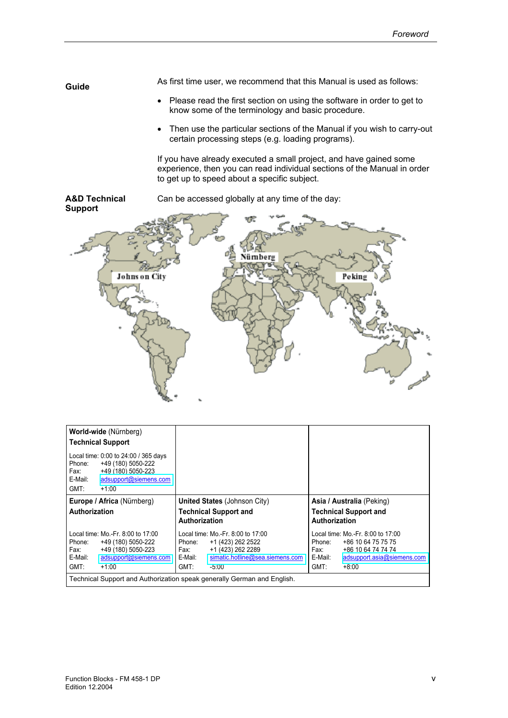As first time user, we recommend that this Manual is used as follows: **Guide** 

- Please read the first section on using the software in order to get to know some of the terminology and basic procedure.
- Then use the particular sections of the Manual if you wish to carry-out certain processing steps (e.g. loading programs).

If you have already executed a small project, and have gained some experience, then you can read individual sections of the Manual in order to get up to speed about a specific subject.



| World-wide (Nürnberg)<br><b>Technical Support</b>                                                                                                         |                                                                                                                                                                |                                                                                                                                                             |  |  |
|-----------------------------------------------------------------------------------------------------------------------------------------------------------|----------------------------------------------------------------------------------------------------------------------------------------------------------------|-------------------------------------------------------------------------------------------------------------------------------------------------------------|--|--|
| Local time: 0:00 to 24:00 / 365 days<br>+49 (180) 5050-222<br>Phone:<br>+49 (180) 5050-223<br>Fax:<br>E-Mail:<br>adsupport@siemens.com<br>GMT:<br>$+1:00$ |                                                                                                                                                                |                                                                                                                                                             |  |  |
| Europe / Africa (Nürnberg)                                                                                                                                | <b>United States (Johnson City)</b>                                                                                                                            | Asia / Australia (Peking)                                                                                                                                   |  |  |
| Authorization                                                                                                                                             | <b>Technical Support and</b><br>Authorization                                                                                                                  | <b>Technical Support and</b><br>Authorization                                                                                                               |  |  |
| Local time: Mo.-Fr. 8:00 to 17:00<br>Phone:<br>+49 (180) 5050-222<br>+49 (180) 5050-223<br>Fax:<br>E-Mail:<br>adsupport@siemens.com<br>GMT:<br>$+1:00$    | Local time: Mo.-Fr. 8:00 to 17:00<br>+1 (423) 262 2522<br>Phone:<br>+1 (423) 262 2289<br>Fax:<br>simatic.hotline@sea.siemens.com<br>E-Mail:<br>GMT:<br>$-5:00$ | Local time: Mo.-Fr. 8:00 to 17:00<br>+86 10 64 75 75 75<br>Phone:<br>+86 10 64 74 74 74<br>Fax:<br>E-Mail:<br>adsupport.asia@siemens.com<br>GMT:<br>$+8:00$ |  |  |
| Technical Support and Authorization speak generally German and English.                                                                                   |                                                                                                                                                                |                                                                                                                                                             |  |  |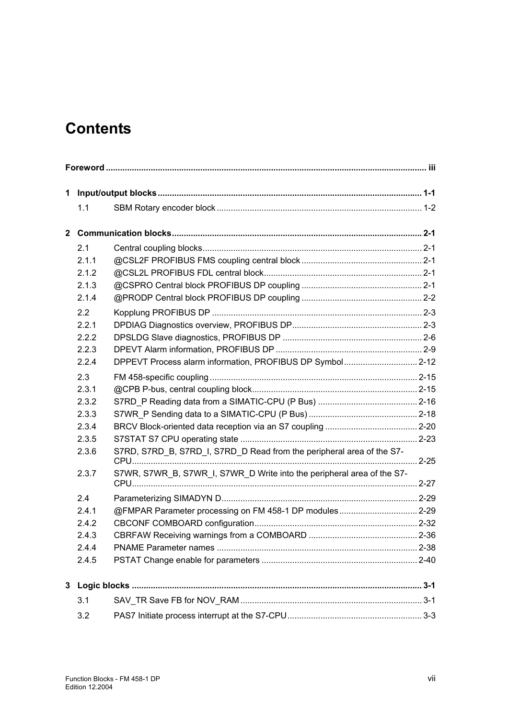### <span id="page-6-0"></span>**Contents**

|   | 1.1   |                                                                        |  |
|---|-------|------------------------------------------------------------------------|--|
|   |       |                                                                        |  |
|   | 2.1   |                                                                        |  |
|   | 2.1.1 |                                                                        |  |
|   | 2.1.2 |                                                                        |  |
|   | 2.1.3 |                                                                        |  |
|   | 2.1.4 |                                                                        |  |
|   | 2.2   |                                                                        |  |
|   | 2.2.1 |                                                                        |  |
|   | 2.2.2 |                                                                        |  |
|   | 2.2.3 |                                                                        |  |
|   | 2.2.4 | DPPEVT Process alarm information, PROFIBUS DP Symbol 2-12              |  |
|   | 2.3   |                                                                        |  |
|   | 2.3.1 |                                                                        |  |
|   | 2.3.2 |                                                                        |  |
|   | 2.3.3 |                                                                        |  |
|   | 2.3.4 |                                                                        |  |
|   | 2.3.5 |                                                                        |  |
|   | 2.3.6 | S7RD, S7RD B, S7RD I, S7RD D Read from the peripheral area of the S7-  |  |
|   | 2.3.7 | S7WR, S7WR B, S7WR I, S7WR D Write into the peripheral area of the S7- |  |
|   | 2.4   |                                                                        |  |
|   | 2.4.1 | @FMPAR Parameter processing on FM 458-1 DP modules 2-29                |  |
|   | 2.4.2 |                                                                        |  |
|   | 2.4.3 |                                                                        |  |
|   | 2.4.4 |                                                                        |  |
|   | 2.4.5 |                                                                        |  |
| 3 |       |                                                                        |  |
|   | 3.1   |                                                                        |  |
|   | 3.2   |                                                                        |  |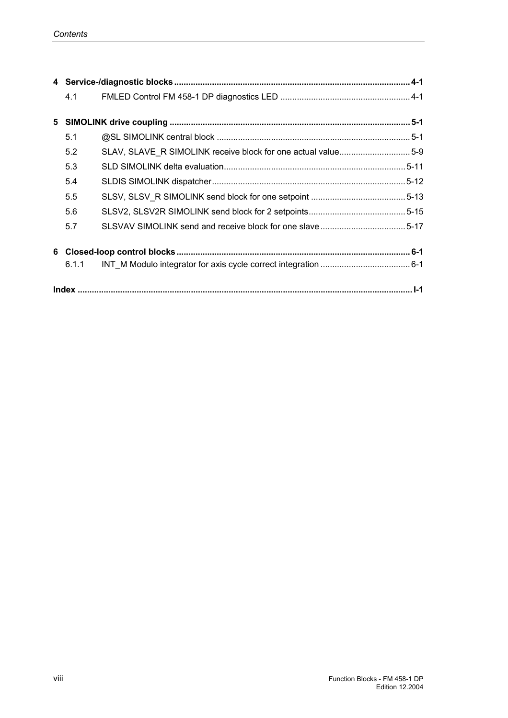|   | 4.1   |                                                              |  |
|---|-------|--------------------------------------------------------------|--|
| 5 |       |                                                              |  |
|   | 5.1   |                                                              |  |
|   | 5.2   | SLAV, SLAVE_R SIMOLINK receive block for one actual value5-9 |  |
|   | 5.3   |                                                              |  |
|   | 5.4   |                                                              |  |
|   | 5.5   |                                                              |  |
|   | 5.6   |                                                              |  |
|   | 5.7   |                                                              |  |
| 6 |       |                                                              |  |
|   | 6.1.1 |                                                              |  |
|   |       |                                                              |  |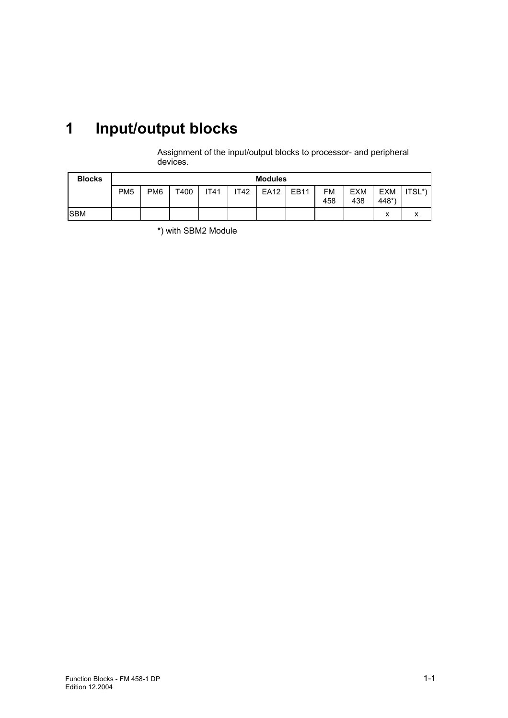## <span id="page-8-0"></span>**1 Input/output blocks**

Assignment of the input/output blocks to processor- and peripheral devices.

| <b>Blocks</b> | <b>Modules</b>  |                 |      |      |             |      |      |           |                   |                     |                |
|---------------|-----------------|-----------------|------|------|-------------|------|------|-----------|-------------------|---------------------|----------------|
|               | PM <sub>5</sub> | PM <sub>6</sub> | T400 | IT41 | <b>IT42</b> | EA12 | EB11 | FM<br>458 | <b>EXM</b><br>438 | <b>EXM</b><br>448*` | $ITSL^*)$      |
| <b>ISBM</b>   |                 |                 |      |      |             |      |      |           |                   | $\checkmark$<br>⋏   | v<br>$\lambda$ |

\*) with SBM2 Module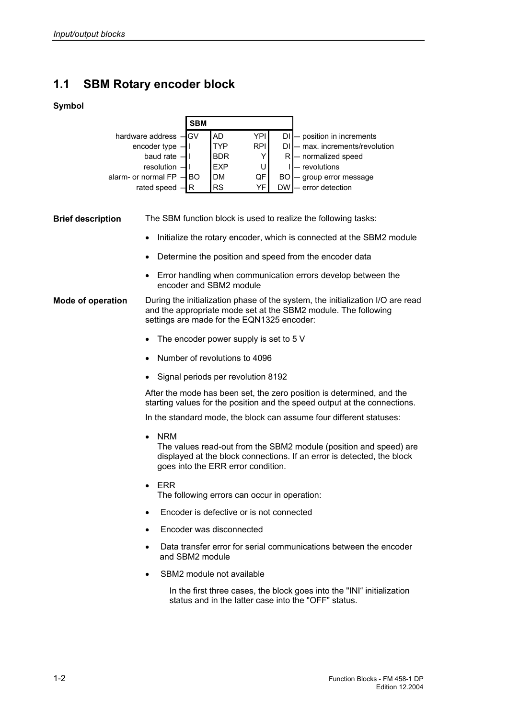### **1.1 SBM Rotary encoder block**

#### **Symbol**

|                              | <b>SBM</b> |            |            |           |                              |
|------------------------------|------------|------------|------------|-----------|------------------------------|
| hardware address -GV         |            | <b>AD</b>  | YPII       |           | - position in increments     |
| encoder type                 |            | <b>TYP</b> | <b>RPI</b> |           | - max. increments/revolution |
| baud rate $-$                |            | <b>BDR</b> |            |           | - normalized speed           |
| $resolution$ $-$             |            | EXP        |            |           | - revolutions                |
| alarm- or normal $FP$ $-$ BO |            | <b>DM</b>  | QF         |           | - group error message        |
| rated speed                  |            | <b>RS</b>  | VF.        | <b>DW</b> | error detection              |

| <b>Brief description</b> |  |  | The SBM function block is used to realize the following tasks: |
|--------------------------|--|--|----------------------------------------------------------------|
|                          |  |  |                                                                |

- Initialize the rotary encoder, which is connected at the SBM2 module
- Determine the position and speed from the encoder data
- Error handling when communication errors develop between the encoder and SBM2 module
- During the initialization phase of the system, the initialization I/O are read and the appropriate mode set at the SBM2 module. The following settings are made for the EQN1325 encoder: **Mode of operation** 
	- The encoder power supply is set to 5 V
	- Number of revolutions to 4096
	- Signal periods per revolution 8192

After the mode has been set, the zero position is determined, and the starting values for the position and the speed output at the connections.

In the standard mode, the block can assume four different statuses:

- NRM The values read-out from the SBM2 module (position and speed) are displayed at the block connections. If an error is detected, the block goes into the ERR error condition.
- ERR The following errors can occur in operation:
- Encoder is defective or is not connected
- Encoder was disconnected
- Data transfer error for serial communications between the encoder and SBM2 module
- SBM2 module not available

In the first three cases, the block goes into the "INI" initialization status and in the latter case into the "OFF" status.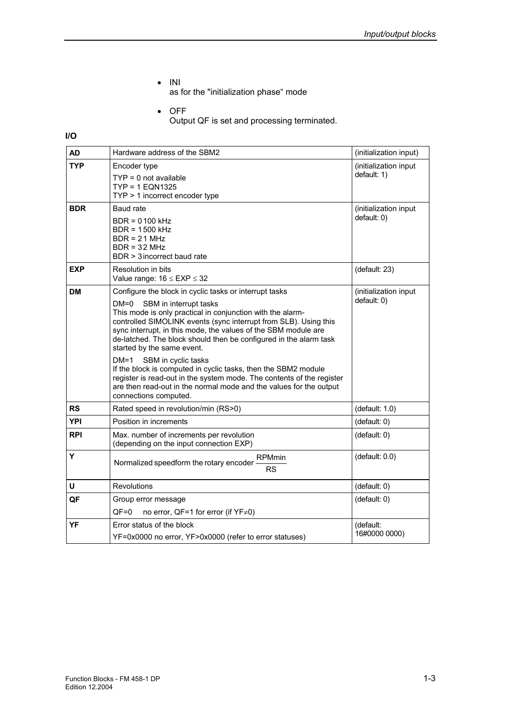• INI

as for the "initialization phase" mode

• OFF Output QF is set and processing terminated.

**I/O** 

| <b>AD</b>  | Hardware address of the SBM2                                                                                                                                                                                                                                                                                                                                                                            | (initialization input)               |
|------------|---------------------------------------------------------------------------------------------------------------------------------------------------------------------------------------------------------------------------------------------------------------------------------------------------------------------------------------------------------------------------------------------------------|--------------------------------------|
| <b>TYP</b> | Encoder type<br>$TYP = 0$ not available<br>TYP = 1 EQN1325<br>$TYP > 1$ incorrect encoder type                                                                                                                                                                                                                                                                                                          | (initialization input<br>default: 1) |
| <b>BDR</b> | <b>Baud rate</b><br>BDR = 0100 kHz<br>BDR = 1500 kHz<br>$BDR = 21 MHz$<br>$BDR = 32 MHz$<br>BDR > 3 incorrect baud rate                                                                                                                                                                                                                                                                                 | (initialization input<br>default: 0) |
| <b>EXP</b> | Resolution in bits<br>Value range: $16 \leq EXP \leq 32$                                                                                                                                                                                                                                                                                                                                                | (default: 23)                        |
| <b>DM</b>  | Configure the block in cyclic tasks or interrupt tasks<br>DM=0<br>SBM in interrupt tasks<br>This mode is only practical in conjunction with the alarm-<br>controlled SIMOLINK events (sync interrupt from SLB). Using this<br>sync interrupt, in this mode, the values of the SBM module are<br>de-latched. The block should then be configured in the alarm task<br>started by the same event.<br>DM=1 | (initialization input<br>default: 0) |
|            | SBM in cyclic tasks<br>If the block is computed in cyclic tasks, then the SBM2 module<br>register is read-out in the system mode. The contents of the register<br>are then read-out in the normal mode and the values for the output<br>connections computed.                                                                                                                                           |                                      |
| <b>RS</b>  | Rated speed in revolution/min (RS>0)                                                                                                                                                                                                                                                                                                                                                                    | (default: 1.0)                       |
| <b>YPI</b> | Position in increments                                                                                                                                                                                                                                                                                                                                                                                  | (default: 0)                         |
| <b>RPI</b> | Max. number of increments per revolution<br>(depending on the input connection EXP)                                                                                                                                                                                                                                                                                                                     | (default: 0)                         |
| Y          | <b>RPMmin</b><br>Normalized speedform the rotary encoder<br><b>RS</b>                                                                                                                                                                                                                                                                                                                                   | (default: 0.0)                       |
| U          | Revolutions                                                                                                                                                                                                                                                                                                                                                                                             | (default: 0)                         |
| QF         | Group error message<br>QF=0<br>no error, QF=1 for error (if YF≠0)                                                                                                                                                                                                                                                                                                                                       | (default: 0)                         |
| YF         | Error status of the block<br>YF=0x0000 no error, YF>0x0000 (refer to error statuses)                                                                                                                                                                                                                                                                                                                    | (default:<br>16#0000 0000)           |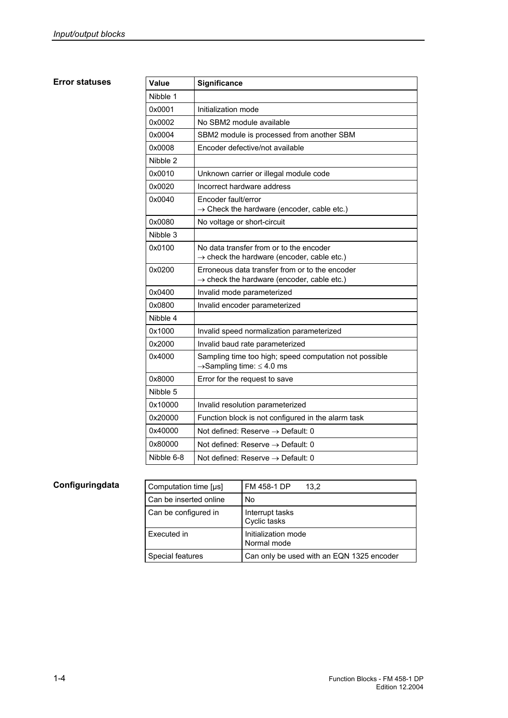#### **Error statuses**

| Value      | <b>Significance</b>                                                                                      |
|------------|----------------------------------------------------------------------------------------------------------|
| Nibble 1   |                                                                                                          |
| 0x0001     | Initialization mode                                                                                      |
| 0x0002     | No SBM2 module available                                                                                 |
| 0x0004     | SBM2 module is processed from another SBM                                                                |
| 0x0008     | Encoder defective/not available                                                                          |
| Nibble 2   |                                                                                                          |
| 0x0010     | Unknown carrier or illegal module code                                                                   |
| 0x0020     | Incorrect hardware address                                                                               |
| 0x0040     | Encoder fault/error<br>$\rightarrow$ Check the hardware (encoder, cable etc.)                            |
| 0x0080     | No voltage or short-circuit                                                                              |
| Nibble 3   |                                                                                                          |
| 0x0100     | No data transfer from or to the encoder<br>$\rightarrow$ check the hardware (encoder, cable etc.)        |
| 0x0200     | Erroneous data transfer from or to the encoder<br>$\rightarrow$ check the hardware (encoder, cable etc.) |
| 0x0400     | Invalid mode parameterized                                                                               |
| 0x0800     | Invalid encoder parameterized                                                                            |
| Nibble 4   |                                                                                                          |
| 0x1000     | Invalid speed normalization parameterized                                                                |
| 0x2000     | Invalid baud rate parameterized                                                                          |
| 0x4000     | Sampling time too high; speed computation not possible<br>$\rightarrow$ Sampling time: $\leq$ 4.0 ms     |
| 0x8000     | Error for the request to save                                                                            |
| Nibble 5   |                                                                                                          |
| 0x10000    | Invalid resolution parameterized                                                                         |
| 0x20000    | Function block is not configured in the alarm task                                                       |
| 0x40000    | Not defined: Reserve $\rightarrow$ Default: 0                                                            |
| 0x80000    | Not defined: Reserve $\rightarrow$ Default: 0                                                            |
| Nibble 6-8 | Not defined: Reserve $\rightarrow$ Default: 0                                                            |

| Computation time [µs]  | FM 458-1 DP<br>13.2                       |
|------------------------|-------------------------------------------|
| Can be inserted online | No                                        |
| Can be configured in   | Interrupt tasks<br>Cyclic tasks           |
| Executed in            | Initialization mode<br>Normal mode        |
| Special features       | Can only be used with an EQN 1325 encoder |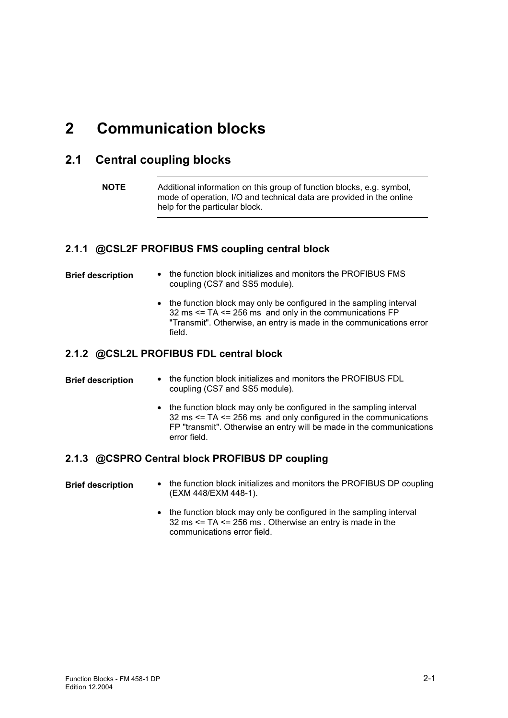### <span id="page-12-0"></span>**2 Communication blocks**

### **2.1 Central coupling blocks**

```
NOTE Additional information on this group of function blocks, e.g. symbol, 
  mode of operation, I/O and technical data are provided in the online 
  help for the particular block.
```
#### **2.1.1 @CSL2F PROFIBUS FMS coupling central block**

| <b>Brief description</b> | • the function block initializes and monitors the PROFIBUS FMS |
|--------------------------|----------------------------------------------------------------|
|                          | coupling (CS7 and SS5 module).                                 |

• the function block may only be configured in the sampling interval  $32 \text{ ms} \leq T_A \leq 256 \text{ ms}$  and only in the communications FP "Transmit". Otherwise, an entry is made in the communications error field.

#### **2.1.2 @CSL2L PROFIBUS FDL central block**

| <b>Brief description</b> | the function block initializes and monitors the PROFIBUS FDL |
|--------------------------|--------------------------------------------------------------|
|                          | coupling (CS7 and SS5 module).                               |

• the function block may only be configured in the sampling interval 32 ms <= TA <= 256 ms and only configured in the communications FP "transmit". Otherwise an entry will be made in the communications error field.

#### **2.1.3 @CSPRO Central block PROFIBUS DP coupling**

- the function block initializes and monitors the PROFIBUS DP coupling (EXM 448/EXM 448-1). **Brief description** 
	- the function block may only be configured in the sampling interval 32 ms <= TA <= 256 ms . Otherwise an entry is made in the communications error field.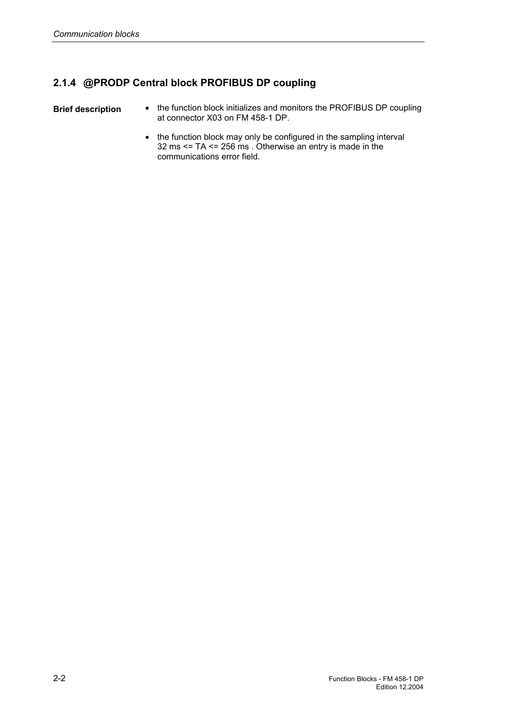#### **2.1.4 @PRODP Central block PROFIBUS DP coupling**

**Brief description** 

- the function block initializes and monitors the PROFIBUS DP coupling at connector X03 on FM 458-1 DP.
	- the function block may only be configured in the sampling interval 32 ms <= TA <= 256 ms . Otherwise an entry is made in the communications error field.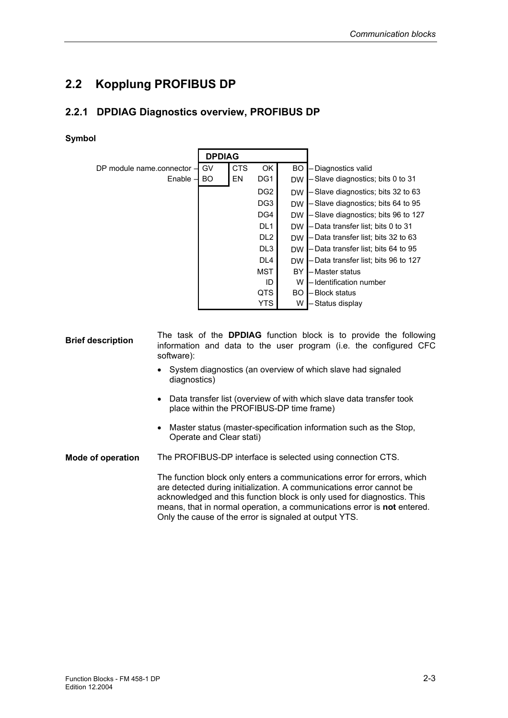### **2.2 Kopplung PROFIBUS DP**

#### **2.2.1 DPDIAG Diagnostics overview, PROFIBUS DP**

#### **Symbol**

|                                      | <b>DPDIAG</b> |            |                 |           |                                      |
|--------------------------------------|---------------|------------|-----------------|-----------|--------------------------------------|
| DP module name.connector $\mathbf -$ | GV            | <b>CTS</b> | OK              | <b>BO</b> | – Diagnostics valid                  |
| $Enable -$                           | <b>BO</b>     | EN         | DG <sub>1</sub> | <b>DW</b> | -Slave diagnostics; bits 0 to 31     |
|                                      |               |            | DG <sub>2</sub> | <b>DW</b> | - Slave diagnostics; bits 32 to 63   |
|                                      |               |            | DG <sub>3</sub> | <b>DW</b> | -Slave diagnostics; bits 64 to 95    |
|                                      |               |            | DG4             | <b>DW</b> | -Slave diagnostics; bits 96 to 127   |
|                                      |               |            | DL <sub>1</sub> | <b>DW</b> | - Data transfer list; bits 0 to 31   |
|                                      |               |            | DL <sub>2</sub> | <b>DW</b> | - Data transfer list; bits 32 to 63  |
|                                      |               |            | DL3             | <b>DW</b> | - Data transfer list; bits 64 to 95  |
|                                      |               |            | DL <sub>4</sub> | <b>DW</b> | - Data transfer list; bits 96 to 127 |
|                                      |               |            | <b>MST</b>      | BY        | – Master status                      |
|                                      |               |            | ID              | w         | – Identification number              |
|                                      |               |            | <b>QTS</b>      | <b>BO</b> | – Block status                       |
|                                      |               |            | <b>YTS</b>      | W         | – Status display                     |

- The task of the **DPDIAG** function block is to provide the following information and data to the user program (i.e. the configured CFC software): **Brief description** 
	- System diagnostics (an overview of which slave had signaled diagnostics)
	- Data transfer list (overview of with which slave data transfer took place within the PROFIBUS-DP time frame)
	- Master status (master-specification information such as the Stop, Operate and Clear stati)

The PROFIBUS-DP interface is selected using connection CTS. **Mode of operation** 

> The function block only enters a communications error for errors, which are detected during initialization. A communications error cannot be acknowledged and this function block is only used for diagnostics. This means, that in normal operation, a communications error is **not** entered. Only the cause of the error is signaled at output YTS.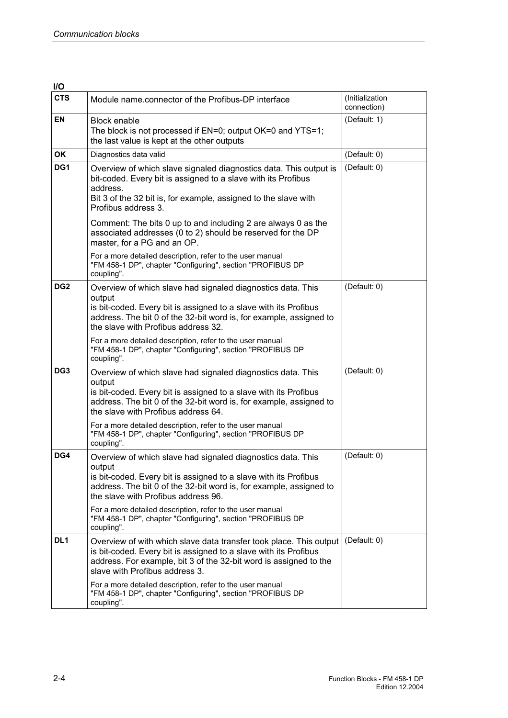| I/O             |                                                                                                                                                                                                                                                        |                                |
|-----------------|--------------------------------------------------------------------------------------------------------------------------------------------------------------------------------------------------------------------------------------------------------|--------------------------------|
| <b>CTS</b>      | Module name.connector of the Profibus-DP interface                                                                                                                                                                                                     | (Initialization<br>connection) |
| <b>EN</b>       | <b>Block enable</b><br>The block is not processed if EN=0; output OK=0 and YTS=1;<br>the last value is kept at the other outputs                                                                                                                       | (Default: 1)                   |
| OK              | Diagnostics data valid                                                                                                                                                                                                                                 | (Default: 0)                   |
| DG1             | Overview of which slave signaled diagnostics data. This output is<br>bit-coded. Every bit is assigned to a slave with its Profibus<br>address.<br>Bit 3 of the 32 bit is, for example, assigned to the slave with<br>Profibus address 3.               | (Default: 0)                   |
|                 | Comment: The bits 0 up to and including 2 are always 0 as the<br>associated addresses (0 to 2) should be reserved for the DP<br>master, for a PG and an OP.                                                                                            |                                |
|                 | For a more detailed description, refer to the user manual<br>"FM 458-1 DP", chapter "Configuring", section "PROFIBUS DP<br>coupling".                                                                                                                  |                                |
| DG <sub>2</sub> | Overview of which slave had signaled diagnostics data. This<br>output<br>is bit-coded. Every bit is assigned to a slave with its Profibus<br>address. The bit 0 of the 32-bit word is, for example, assigned to<br>the slave with Profibus address 32. | (Default: 0)                   |
|                 | For a more detailed description, refer to the user manual<br>"FM 458-1 DP", chapter "Configuring", section "PROFIBUS DP<br>coupling".                                                                                                                  |                                |
| DG <sub>3</sub> | Overview of which slave had signaled diagnostics data. This<br>output<br>is bit-coded. Every bit is assigned to a slave with its Profibus<br>address. The bit 0 of the 32-bit word is, for example, assigned to<br>the slave with Profibus address 64. | (Default: 0)                   |
|                 | For a more detailed description, refer to the user manual<br>"FM 458-1 DP", chapter "Configuring", section "PROFIBUS DP<br>coupling".                                                                                                                  |                                |
| DG4             | Overview of which slave had signaled diagnostics data. This<br>output<br>is bit-coded. Every bit is assigned to a slave with its Profibus<br>address. The bit 0 of the 32-bit word is, for example, assigned to<br>the slave with Profibus address 96. | (Default: 0)                   |
|                 | For a more detailed description, refer to the user manual<br>"FM 458-1 DP", chapter "Configuring", section "PROFIBUS DP<br>coupling".                                                                                                                  |                                |
| DL <sub>1</sub> | Overview of with which slave data transfer took place. This output<br>is bit-coded. Every bit is assigned to a slave with its Profibus<br>address. For example, bit 3 of the 32-bit word is assigned to the<br>slave with Profibus address 3.          | (Default: 0)                   |
|                 | For a more detailed description, refer to the user manual<br>"FM 458-1 DP", chapter "Configuring", section "PROFIBUS DP<br>coupling".                                                                                                                  |                                |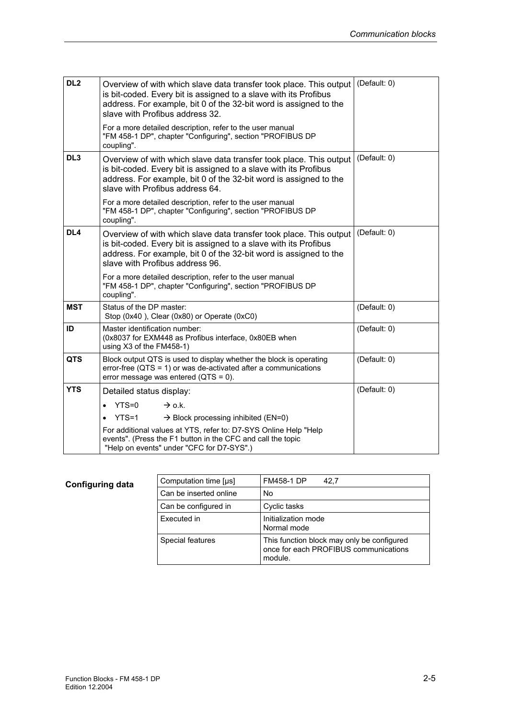| DL <sub>2</sub> | Overview of with which slave data transfer took place. This output<br>is bit-coded. Every bit is assigned to a slave with its Profibus<br>address. For example, bit 0 of the 32-bit word is assigned to the<br>slave with Profibus address 32. | (Default: 0) |
|-----------------|------------------------------------------------------------------------------------------------------------------------------------------------------------------------------------------------------------------------------------------------|--------------|
|                 | For a more detailed description, refer to the user manual<br>"FM 458-1 DP", chapter "Configuring", section "PROFIBUS DP<br>coupling".                                                                                                          |              |
| DL <sub>3</sub> | Overview of with which slave data transfer took place. This output<br>is bit-coded. Every bit is assigned to a slave with its Profibus<br>address. For example, bit 0 of the 32-bit word is assigned to the<br>slave with Profibus address 64. | (Default: 0) |
|                 | For a more detailed description, refer to the user manual<br>"FM 458-1 DP", chapter "Configuring", section "PROFIBUS DP<br>coupling".                                                                                                          |              |
| DL <sub>4</sub> | Overview of with which slave data transfer took place. This output<br>is bit-coded. Every bit is assigned to a slave with its Profibus<br>address. For example, bit 0 of the 32-bit word is assigned to the<br>slave with Profibus address 96. | (Default: 0) |
|                 | For a more detailed description, refer to the user manual<br>"FM 458-1 DP", chapter "Configuring", section "PROFIBUS DP<br>coupling".                                                                                                          |              |
| <b>MST</b>      | Status of the DP master:<br>Stop (0x40), Clear (0x80) or Operate (0xC0)                                                                                                                                                                        | (Default: 0) |
| ID              | Master identification number:<br>(0x8037 for EXM448 as Profibus interface, 0x80EB when<br>using X3 of the FM458-1)                                                                                                                             | (Default: 0) |
| <b>QTS</b>      | Block output QTS is used to display whether the block is operating<br>error-free ( $QTS = 1$ ) or was de-activated after a communications<br>error message was entered ( $QTS = 0$ ).                                                          | (Default: 0) |
| <b>YTS</b>      | Detailed status display:                                                                                                                                                                                                                       | (Default: 0) |
|                 | YTS=0<br>$\rightarrow$ o.k.<br>$\bullet$                                                                                                                                                                                                       |              |
|                 | $YTS = 1$<br>$\rightarrow$ Block processing inhibited (EN=0)<br>$\bullet$                                                                                                                                                                      |              |
|                 | For additional values at YTS, refer to: D7-SYS Online Help "Help<br>events". (Press the F1 button in the CFC and call the topic<br>"Help on events" under "CFC for D7-SYS".)                                                                   |              |

| Computation time [µs]  | <b>FM458-1 DP</b><br>42.7                                                                      |
|------------------------|------------------------------------------------------------------------------------------------|
| Can be inserted online | No                                                                                             |
| Can be configured in   | Cyclic tasks                                                                                   |
| Executed in            | Initialization mode<br>Normal mode                                                             |
| Special features       | This function block may only be configured<br>once for each PROFIBUS communications<br>module. |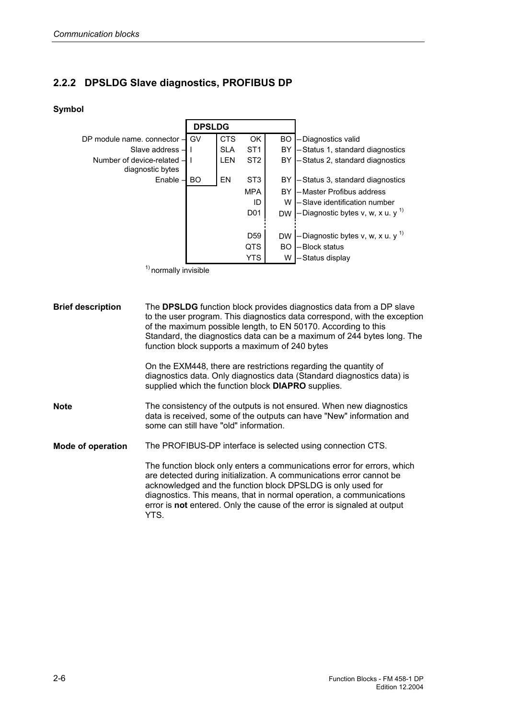#### **2.2.2 DPSLDG Slave diagnostics, PROFIBUS DP**

YTS.

#### **Symbol**



The **DPSLDG** function block provides diagnostics data from a DP slave to the user program. This diagnostics data correspond, with the exception of the maximum possible length, to EN 50170. According to this Standard, the diagnostics data can be a maximum of 244 bytes long. The function block supports a maximum of 240 bytes On the EXM448, there are restrictions regarding the quantity of diagnostics data. Only diagnostics data (Standard diagnostics data) is supplied which the function block **DIAPRO** supplies. The consistency of the outputs is not ensured. When new diagnostics data is received, some of the outputs can have "New" information and some can still have "old" information. The PROFIBUS-DP interface is selected using connection CTS. The function block only enters a communications error for errors, which are detected during initialization. A communications error cannot be acknowledged and the function block DPSLDG is only used for diagnostics. This means, that in normal operation, a communications error is **not** entered. Only the cause of the error is signaled at output **Brief description Note Mode of operation**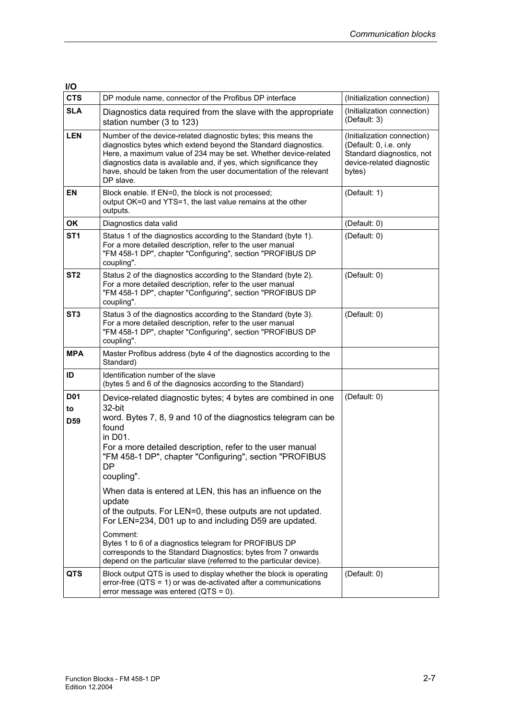| <b>I/O</b>                                |                                                                                                                                                                                                                                                                                                                                                                                                         |                                                                                                                           |
|-------------------------------------------|---------------------------------------------------------------------------------------------------------------------------------------------------------------------------------------------------------------------------------------------------------------------------------------------------------------------------------------------------------------------------------------------------------|---------------------------------------------------------------------------------------------------------------------------|
| <b>CTS</b>                                | DP module name, connector of the Profibus DP interface                                                                                                                                                                                                                                                                                                                                                  | (Initialization connection)                                                                                               |
| <b>SLA</b>                                | Diagnostics data required from the slave with the appropriate<br>station number (3 to 123)                                                                                                                                                                                                                                                                                                              | (Initialization connection)<br>(Default: 3)                                                                               |
| <b>LEN</b>                                | Number of the device-related diagnostic bytes; this means the<br>diagnostics bytes which extend beyond the Standard diagnostics.<br>Here, a maximum value of 234 may be set. Whether device-related<br>diagnostics data is available and, if yes, which significance they<br>have, should be taken from the user documentation of the relevant<br>DP slave.                                             | (Initialization connection)<br>(Default: 0, i.e. only<br>Standard diagnostics, not<br>device-related diagnostic<br>bytes) |
| ΕN                                        | Block enable. If EN=0, the block is not processed;<br>output OK=0 and YTS=1, the last value remains at the other<br>outputs.                                                                                                                                                                                                                                                                            | (Default: 1)                                                                                                              |
| OK                                        | Diagnostics data valid                                                                                                                                                                                                                                                                                                                                                                                  | (Default: 0)                                                                                                              |
| ST <sub>1</sub>                           | Status 1 of the diagnostics according to the Standard (byte 1).<br>For a more detailed description, refer to the user manual<br>"FM 458-1 DP", chapter "Configuring", section "PROFIBUS DP<br>coupling".                                                                                                                                                                                                | (Default: 0)                                                                                                              |
| ST <sub>2</sub>                           | Status 2 of the diagnostics according to the Standard (byte 2).<br>For a more detailed description, refer to the user manual<br>"FM 458-1 DP", chapter "Configuring", section "PROFIBUS DP<br>coupling".                                                                                                                                                                                                | (Default: 0)                                                                                                              |
| ST <sub>3</sub>                           | Status 3 of the diagnostics according to the Standard (byte 3).<br>For a more detailed description, refer to the user manual<br>"FM 458-1 DP", chapter "Configuring", section "PROFIBUS DP<br>coupling".                                                                                                                                                                                                | (Default: 0)                                                                                                              |
| <b>MPA</b>                                | Master Profibus address (byte 4 of the diagnostics according to the<br>Standard)                                                                                                                                                                                                                                                                                                                        |                                                                                                                           |
| ID                                        | Identification number of the slave<br>(bytes 5 and 6 of the diagnosics according to the Standard)                                                                                                                                                                                                                                                                                                       |                                                                                                                           |
| D <sub>0</sub> 1<br>to<br>D <sub>59</sub> | Device-related diagnostic bytes; 4 bytes are combined in one<br>32-bit<br>word. Bytes 7, 8, 9 and 10 of the diagnostics telegram can be<br>found<br>in D01.<br>For a more detailed description, refer to the user manual<br>"FM 458-1 DP", chapter "Configuring", section "PROFIBUS<br><b>DP</b><br>coupling".                                                                                          | (Default: 0)                                                                                                              |
|                                           | When data is entered at LEN, this has an influence on the<br>update<br>of the outputs. For LEN=0, these outputs are not updated.<br>For LEN=234, D01 up to and including D59 are updated.<br>Comment:<br>Bytes 1 to 6 of a diagnostics telegram for PROFIBUS DP<br>corresponds to the Standard Diagnostics; bytes from 7 onwards<br>depend on the particular slave (referred to the particular device). |                                                                                                                           |
| <b>QTS</b>                                | Block output QTS is used to display whether the block is operating<br>error-free ( $QTS = 1$ ) or was de-activated after a communications<br>error message was entered ( $QTS = 0$ ).                                                                                                                                                                                                                   | (Default: 0)                                                                                                              |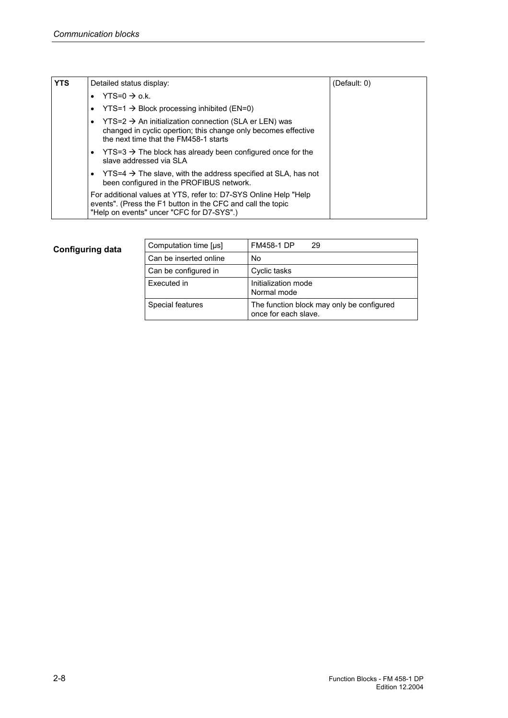| <b>YTS</b> | Detailed status display:                                                                                                                                                          | (Default: 0) |
|------------|-----------------------------------------------------------------------------------------------------------------------------------------------------------------------------------|--------------|
|            | $YTS=0 \rightarrow o.k.$                                                                                                                                                          |              |
|            | $YTS=1 \rightarrow Block$ processing inhibited (EN=0)<br>٠                                                                                                                        |              |
|            | $YTS=2 \rightarrow An$ initialization connection (SLA er LEN) was<br>٠<br>changed in cyclic opertion; this change only becomes effective<br>the next time that the FM458-1 starts |              |
|            | $YTS=3 \rightarrow The block$ has already been configured once for the<br>$\bullet$<br>slave addressed via SLA                                                                    |              |
|            | $YTS=4 \rightarrow The slave$ , with the address specified at SLA, has not<br>٠<br>been configured in the PROFIBUS network.                                                       |              |
|            | For additional values at YTS, refer to: D7-SYS Online Help "Help"<br>events". (Press the F1 button in the CFC and call the topic<br>"Help on events" uncer "CFC for D7-SYS".)     |              |

| Computation time [µs]  | <b>FM458-1 DP</b><br>29                                           |
|------------------------|-------------------------------------------------------------------|
| Can be inserted online | No                                                                |
| Can be configured in   | Cyclic tasks                                                      |
| Executed in            | Initialization mode<br>Normal mode                                |
| Special features       | The function block may only be configured<br>once for each slave. |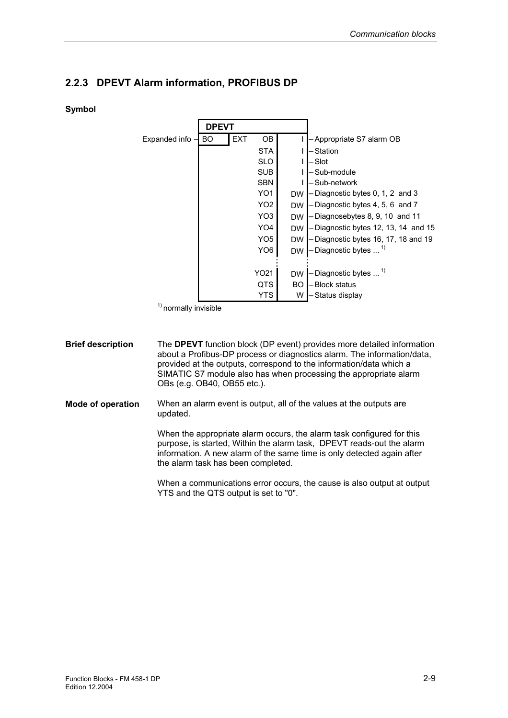#### **2.2.3 DPEVT Alarm information, PROFIBUS DP**

#### **Symbol**



<sup>&</sup>lt;sup>1)</sup> normally invisible

The **DPEVT** function block (DP event) provides more detailed information about a Profibus-DP process or diagnostics alarm. The information/data, provided at the outputs, correspond to the information/data which a SIMATIC S7 module also has when processing the appropriate alarm OBs (e.g. OB40, OB55 etc.). **Brief description** 

When an alarm event is output, all of the values at the outputs are updated. **Mode of operation** 

> When the appropriate alarm occurs, the alarm task configured for this purpose, is started, Within the alarm task, DPEVT reads-out the alarm information. A new alarm of the same time is only detected again after the alarm task has been completed.

When a communications error occurs, the cause is also output at output YTS and the QTS output is set to "0".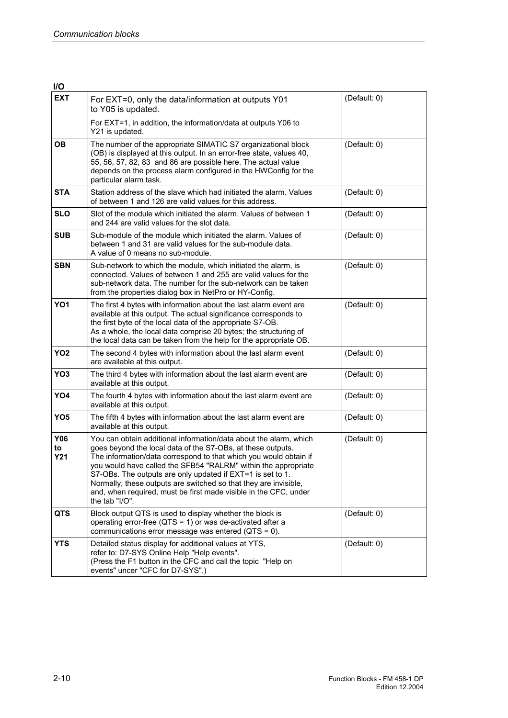| I/O                            |                                                                                                                                                                                                                                                                                                                                                                                                                                                                                                 |              |
|--------------------------------|-------------------------------------------------------------------------------------------------------------------------------------------------------------------------------------------------------------------------------------------------------------------------------------------------------------------------------------------------------------------------------------------------------------------------------------------------------------------------------------------------|--------------|
| <b>EXT</b>                     | For EXT=0, only the data/information at outputs Y01<br>to Y05 is updated.                                                                                                                                                                                                                                                                                                                                                                                                                       | (Default: 0) |
|                                | For EXT=1, in addition, the information/data at outputs Y06 to<br>Y21 is updated.                                                                                                                                                                                                                                                                                                                                                                                                               |              |
| <b>OB</b>                      | The number of the appropriate SIMATIC S7 organizational block<br>(OB) is displayed at this output. In an error-free state, values 40,<br>55, 56, 57, 82, 83 and 86 are possible here. The actual value<br>depends on the process alarm configured in the HWConfig for the<br>particular alarm task.                                                                                                                                                                                             | (Default: 0) |
| <b>STA</b>                     | Station address of the slave which had initiated the alarm. Values<br>of between 1 and 126 are valid values for this address.                                                                                                                                                                                                                                                                                                                                                                   | (Default: 0) |
| <b>SLO</b>                     | Slot of the module which initiated the alarm. Values of between 1<br>and 244 are valid values for the slot data.                                                                                                                                                                                                                                                                                                                                                                                | (Default: 0) |
| <b>SUB</b>                     | Sub-module of the module which initiated the alarm. Values of<br>between 1 and 31 are valid values for the sub-module data.<br>A value of 0 means no sub-module.                                                                                                                                                                                                                                                                                                                                | (Default: 0) |
| <b>SBN</b>                     | Sub-network to which the module, which initiated the alarm, is<br>connected. Values of between 1 and 255 are valid values for the<br>sub-network data. The number for the sub-network can be taken<br>from the properties dialog box in NetPro or HY-Config.                                                                                                                                                                                                                                    | (Default: 0) |
| YO <sub>1</sub>                | The first 4 bytes with information about the last alarm event are<br>available at this output. The actual significance corresponds to<br>the first byte of the local data of the appropriate S7-OB.<br>As a whole, the local data comprise 20 bytes; the structuring of<br>the local data can be taken from the help for the appropriate OB.                                                                                                                                                    | (Default: 0) |
| YO <sub>2</sub>                | The second 4 bytes with information about the last alarm event<br>are available at this output.                                                                                                                                                                                                                                                                                                                                                                                                 | (Default: 0) |
| YO <sub>3</sub>                | The third 4 bytes with information about the last alarm event are<br>available at this output.                                                                                                                                                                                                                                                                                                                                                                                                  | (Default: 0) |
| YO4                            | The fourth 4 bytes with information about the last alarm event are<br>available at this output.                                                                                                                                                                                                                                                                                                                                                                                                 | (Default: 0) |
| YO <sub>5</sub>                | The fifth 4 bytes with information about the last alarm event are<br>available at this output.                                                                                                                                                                                                                                                                                                                                                                                                  | (Default: 0) |
| <b>Y06</b><br>to<br><b>Y21</b> | You can obtain additional information/data about the alarm, which<br>goes beyond the local data of the S7-OBs, at these outputs.<br>The information/data correspond to that which you would obtain if<br>you would have called the SFB54 "RALRM" within the appropriate<br>S7-OBs. The outputs are only updated if EXT=1 is set to 1.<br>Normally, these outputs are switched so that they are invisible,<br>and, when required, must be first made visible in the CFC, under<br>the tab "I/O". | (Default: 0) |
| <b>QTS</b>                     | Block output QTS is used to display whether the block is<br>operating error-free ( $QTS = 1$ ) or was de-activated after a<br>communications error message was entered (QTS = 0).                                                                                                                                                                                                                                                                                                               | (Default: 0) |
| <b>YTS</b>                     | Detailed status display for additional values at YTS,<br>refer to: D7-SYS Online Help "Help events".<br>(Press the F1 button in the CFC and call the topic "Help on<br>events" uncer "CFC for D7-SYS".)                                                                                                                                                                                                                                                                                         | (Default: 0) |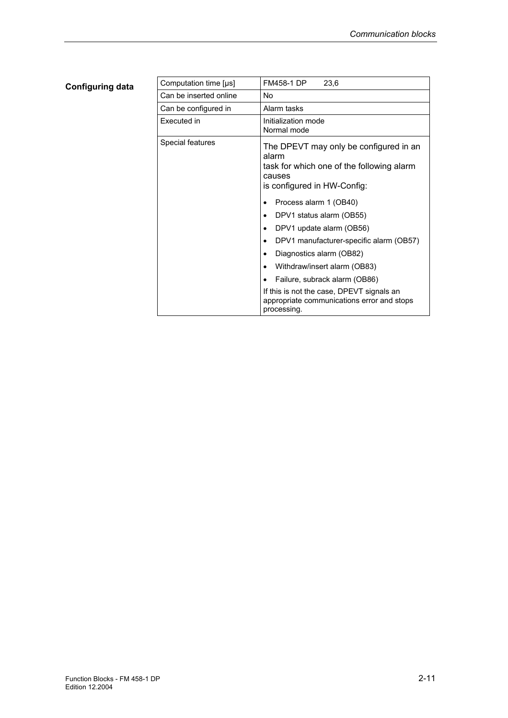.

| Computation time [µs]  | <b>FM458-1 DP</b><br>23,6                                                                                                                                                                                                                                                                                                                                                                                                                                                                                                                                            |
|------------------------|----------------------------------------------------------------------------------------------------------------------------------------------------------------------------------------------------------------------------------------------------------------------------------------------------------------------------------------------------------------------------------------------------------------------------------------------------------------------------------------------------------------------------------------------------------------------|
| Can be inserted online | No                                                                                                                                                                                                                                                                                                                                                                                                                                                                                                                                                                   |
| Can be configured in   | Alarm tasks                                                                                                                                                                                                                                                                                                                                                                                                                                                                                                                                                          |
| Executed in            | Initialization mode<br>Normal mode                                                                                                                                                                                                                                                                                                                                                                                                                                                                                                                                   |
| Special features       | The DPEVT may only be configured in an<br>alarm<br>task for which one of the following alarm<br>causes<br>is configured in HW-Config:<br>Process alarm 1 (OB40)<br>$\bullet$<br>DPV1 status alarm (OB55)<br>$\bullet$<br>DPV1 update alarm (OB56)<br>$\bullet$<br>DPV1 manufacturer-specific alarm (OB57)<br>$\bullet$<br>Diagnostics alarm (OB82)<br>$\bullet$<br>Withdraw/insert alarm (OB83)<br>$\bullet$<br>Failure, subrack alarm (OB86)<br>$\bullet$<br>If this is not the case, DPEVT signals an<br>appropriate communications error and stops<br>processing. |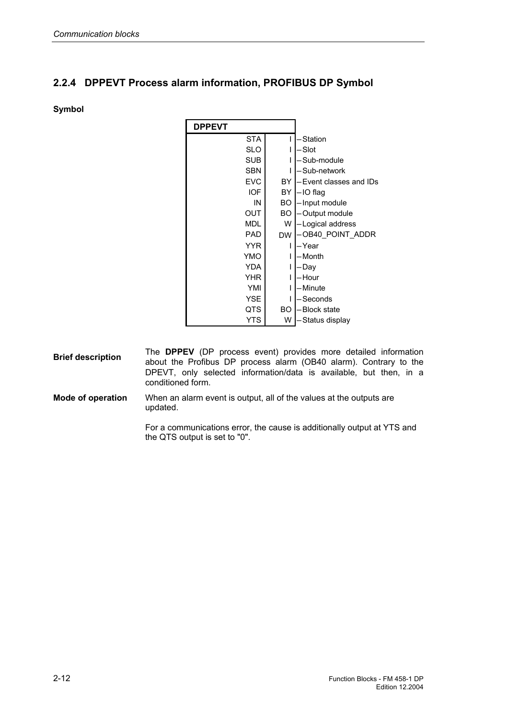#### **2.2.4 DPPEVT Process alarm information, PROFIBUS DP Symbol**

#### **Symbol**

| <b>DPPEVT</b> |           |                        |
|---------------|-----------|------------------------|
| <b>STA</b>    |           | - Station              |
| <b>SLO</b>    |           | - Slot                 |
| <b>SUB</b>    |           | -Sub-module            |
| <b>SBN</b>    |           | – Sub-network          |
| <b>EVC</b>    | BY        | -Event classes and IDs |
| <b>IOF</b>    | BY        | -IO flag               |
| IN            | BO        | - Input module         |
| <b>OUT</b>    | BO.       | -Output module         |
| <b>MDL</b>    | W         | -Logical address       |
| <b>PAD</b>    | <b>DW</b> | -OB40 POINT ADDR       |
| <b>YYR</b>    |           | – Year                 |
| <b>YMO</b>    |           | – Month                |
| <b>YDA</b>    |           | - Day                  |
| <b>YHR</b>    |           | – Hour                 |
| YMI           |           | – Minute               |
| <b>YSE</b>    |           | - Seconds              |
| QTS           | BO        | -Block state           |
| YTS           | W         | – Status display       |

- The **DPPEV** (DP process event) provides more detailed information about the Profibus DP process alarm (OB40 alarm). Contrary to the DPEVT, only selected information/data is available, but then, in a conditioned form. **Brief description**
- When an alarm event is output, all of the values at the outputs are updated. **Mode of operation**

For a communications error, the cause is additionally output at YTS and the QTS output is set to "0".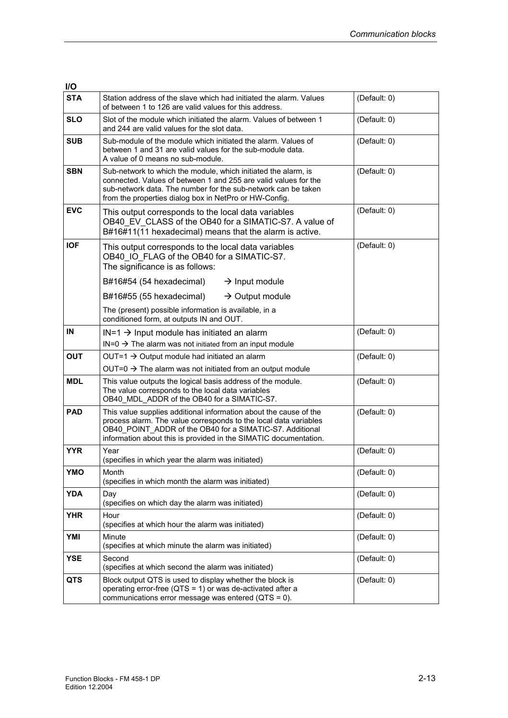| I/O        |                                                                                                                                                                                                                                                                       |              |
|------------|-----------------------------------------------------------------------------------------------------------------------------------------------------------------------------------------------------------------------------------------------------------------------|--------------|
| <b>STA</b> | Station address of the slave which had initiated the alarm. Values<br>of between 1 to 126 are valid values for this address.                                                                                                                                          | (Default: 0) |
| <b>SLO</b> | Slot of the module which initiated the alarm. Values of between 1<br>and 244 are valid values for the slot data.                                                                                                                                                      | (Default: 0) |
| <b>SUB</b> | Sub-module of the module which initiated the alarm. Values of<br>between 1 and 31 are valid values for the sub-module data.<br>A value of 0 means no sub-module.                                                                                                      | (Default: 0) |
| <b>SBN</b> | Sub-network to which the module, which initiated the alarm, is<br>connected. Values of between 1 and 255 are valid values for the<br>sub-network data. The number for the sub-network can be taken<br>from the properties dialog box in NetPro or HW-Config.          | (Default: 0) |
| <b>EVC</b> | This output corresponds to the local data variables<br>OB40 EV CLASS of the OB40 for a SIMATIC-S7. A value of<br>B#16#11(11 hexadecimal) means that the alarm is active.                                                                                              | (Default: 0) |
| <b>IOF</b> | This output corresponds to the local data variables<br>OB40 IO FLAG of the OB40 for a SIMATIC-S7.<br>The significance is as follows:                                                                                                                                  | (Default: 0) |
|            | B#16#54 (54 hexadecimal)<br>$\rightarrow$ Input module                                                                                                                                                                                                                |              |
|            | B#16#55 (55 hexadecimal)<br>$\rightarrow$ Output module                                                                                                                                                                                                               |              |
|            | The (present) possible information is available, in a<br>conditioned form, at outputs IN and OUT.                                                                                                                                                                     |              |
| IN         | $IN=1 \rightarrow Input$ module has initiated an alarm<br>$IN=0 \rightarrow The$ alarm was not initiated from an input module                                                                                                                                         | (Default: 0) |
| <b>OUT</b> | OUT=1 $\rightarrow$ Output module had initiated an alarm                                                                                                                                                                                                              | (Default: 0) |
|            | OUT=0 $\rightarrow$ The alarm was not initiated from an output module                                                                                                                                                                                                 |              |
| <b>MDL</b> | This value outputs the logical basis address of the module.<br>The value corresponds to the local data variables<br>OB40 MDL ADDR of the OB40 for a SIMATIC-S7.                                                                                                       | (Default: 0) |
| <b>PAD</b> | This value supplies additional information about the cause of the<br>process alarm. The value corresponds to the local data variables<br>OB40 POINT ADDR of the OB40 for a SIMATIC-S7. Additional<br>information about this is provided in the SIMATIC documentation. | (Default: 0) |
| <b>YYR</b> | Year<br>(specifies in which year the alarm was initiated)                                                                                                                                                                                                             | (Default: 0) |
| <b>YMO</b> | Month<br>(specifies in which month the alarm was initiated)                                                                                                                                                                                                           | (Default: 0) |
| <b>YDA</b> | Day<br>(specifies on which day the alarm was initiated)                                                                                                                                                                                                               | (Default: 0) |
| <b>YHR</b> | Hour<br>(specifies at which hour the alarm was initiated)                                                                                                                                                                                                             | (Default: 0) |
| YMI        | Minute<br>(specifies at which minute the alarm was initiated)                                                                                                                                                                                                         | (Default: 0) |
| <b>YSE</b> | Second<br>(specifies at which second the alarm was initiated)                                                                                                                                                                                                         | (Default: 0) |
| <b>QTS</b> | Block output QTS is used to display whether the block is<br>operating error-free (QTS = 1) or was de-activated after a<br>communications error message was entered (QTS = 0).                                                                                         | (Default: 0) |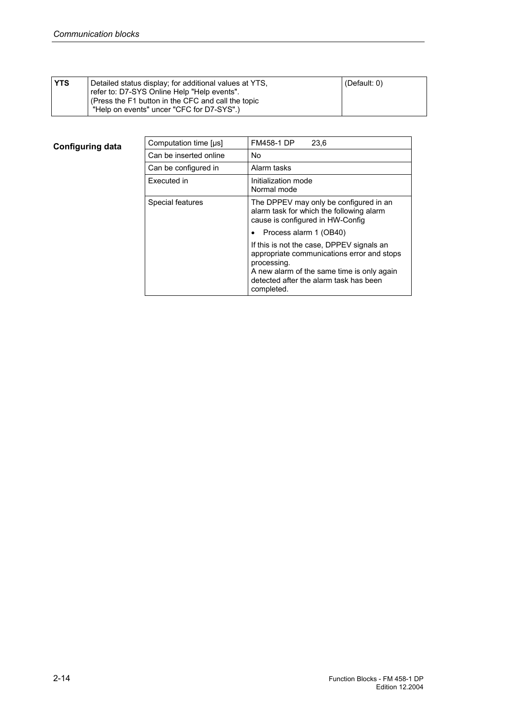| <b>YTS</b> | Detailed status display; for additional values at YTS,<br>refer to: D7-SYS Online Help "Help events".<br>(Press the F1 button in the CFC and call the topic<br>"Help on events" uncer "CFC for D7-SYS".) | (Default: $0$ ) |  |
|------------|----------------------------------------------------------------------------------------------------------------------------------------------------------------------------------------------------------|-----------------|--|
|------------|----------------------------------------------------------------------------------------------------------------------------------------------------------------------------------------------------------|-----------------|--|

| Computation time [µs]  | <b>FM458-1 DP</b><br>23.6                                                                                                                                                                                    |
|------------------------|--------------------------------------------------------------------------------------------------------------------------------------------------------------------------------------------------------------|
| Can be inserted online | No.                                                                                                                                                                                                          |
| Can be configured in   | Alarm tasks                                                                                                                                                                                                  |
| Executed in            | Initialization mode<br>Normal mode                                                                                                                                                                           |
| Special features       | The DPPEV may only be configured in an<br>alarm task for which the following alarm<br>cause is configured in HW-Config                                                                                       |
|                        | Process alarm 1 (OB40)                                                                                                                                                                                       |
|                        | If this is not the case, DPPEV signals an<br>appropriate communications error and stops<br>processing.<br>A new alarm of the same time is only again<br>detected after the alarm task has been<br>completed. |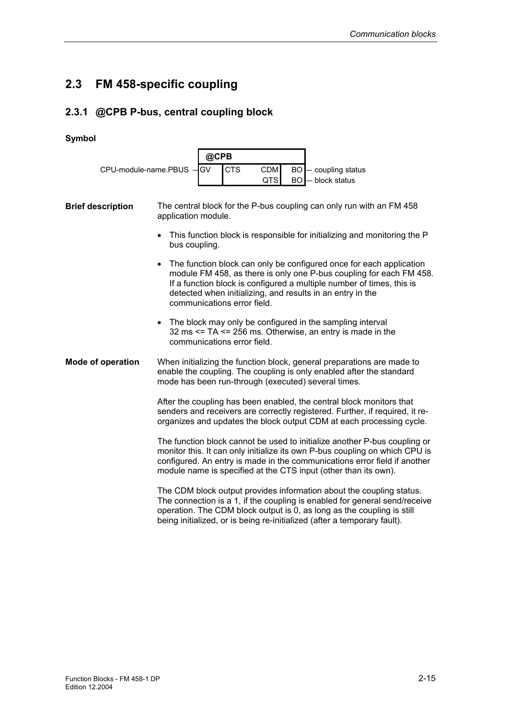### **2.3 FM 458-specific coupling**

### **2.3.1 @CPB P-bus, central coupling block**

#### **Symbol**

| CPU-module-name.PBUS -   |                     | @CPB                                                                                                                                                                                                                                                                                                             |                                                                          |           |                                                                                                                                                                                                                                                                                                          |  |  |
|--------------------------|---------------------|------------------------------------------------------------------------------------------------------------------------------------------------------------------------------------------------------------------------------------------------------------------------------------------------------------------|--------------------------------------------------------------------------|-----------|----------------------------------------------------------------------------------------------------------------------------------------------------------------------------------------------------------------------------------------------------------------------------------------------------------|--|--|
|                          |                     | <b>CTS</b><br><b>IGV</b>                                                                                                                                                                                                                                                                                         | <b>CDM</b>                                                               |           | BO - coupling status                                                                                                                                                                                                                                                                                     |  |  |
|                          |                     |                                                                                                                                                                                                                                                                                                                  | QTS                                                                      | <b>BO</b> | - block status                                                                                                                                                                                                                                                                                           |  |  |
| <b>Brief description</b> | application module. |                                                                                                                                                                                                                                                                                                                  |                                                                          |           | The central block for the P-bus coupling can only run with an FM 458                                                                                                                                                                                                                                     |  |  |
|                          | bus coupling.       |                                                                                                                                                                                                                                                                                                                  | This function block is responsible for initializing and monitoring the P |           |                                                                                                                                                                                                                                                                                                          |  |  |
|                          |                     | The function block can only be configured once for each application<br>module FM 458, as there is only one P-bus coupling for each FM 458.<br>If a function block is configured a multiple number of times, this is<br>detected when initializing, and results in an entry in the<br>communications error field. |                                                                          |           |                                                                                                                                                                                                                                                                                                          |  |  |
|                          |                     | communications error field.                                                                                                                                                                                                                                                                                      |                                                                          |           | The block may only be configured in the sampling interval<br>32 ms $\le$ TA $\le$ 256 ms. Otherwise, an entry is made in the                                                                                                                                                                             |  |  |
| <b>Mode of operation</b> |                     |                                                                                                                                                                                                                                                                                                                  |                                                                          |           | When initializing the function block, general preparations are made to<br>enable the coupling. The coupling is only enabled after the standard<br>mode has been run-through (executed) several times.                                                                                                    |  |  |
|                          |                     |                                                                                                                                                                                                                                                                                                                  |                                                                          |           | After the coupling has been enabled, the central block monitors that<br>senders and receivers are correctly registered. Further, if required, it re-<br>organizes and updates the block output CDM at each processing cycle.                                                                             |  |  |
|                          |                     |                                                                                                                                                                                                                                                                                                                  |                                                                          |           | The function block cannot be used to initialize another P-bus coupling or<br>monitor this. It can only initialize its own P-bus coupling on which CPU is<br>configured. An entry is made in the communications error field if another<br>module name is specified at the CTS input (other than its own). |  |  |
|                          |                     |                                                                                                                                                                                                                                                                                                                  |                                                                          |           | The CDM block output provides information about the coupling status.<br>The connection is a 1, if the coupling is enabled for general send/receive<br>operation. The CDM block output is 0, as long as the coupling is still<br>being initialized, or is being re-initialized (after a temporary fault). |  |  |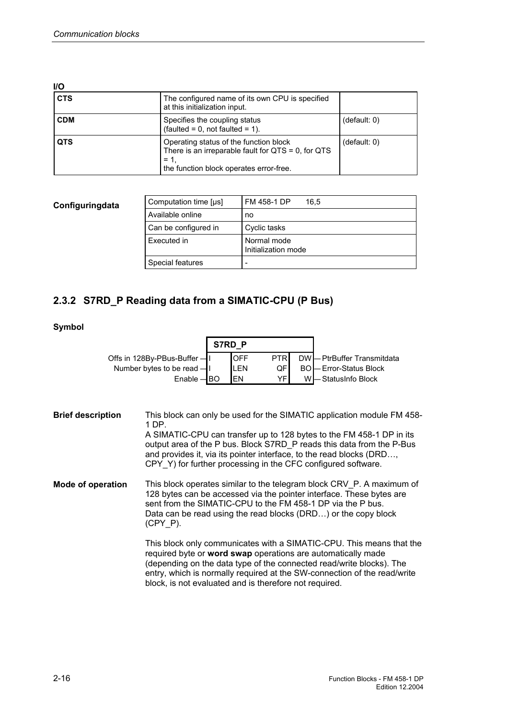| <b>I/O</b> |                                                                                                                                                        |              |
|------------|--------------------------------------------------------------------------------------------------------------------------------------------------------|--------------|
| <b>CTS</b> | The configured name of its own CPU is specified<br>at this initialization input.                                                                       |              |
| <b>CDM</b> | Specifies the coupling status<br>$(faulted = 0, not faulted = 1).$                                                                                     | (default: 0) |
| <b>QTS</b> | Operating status of the function block<br>There is an irreparable fault for $QTS = 0$ , for $QTS$<br>$= 1.$<br>the function block operates error-free. | (detault: 0) |

| Configuringdata | Computation time [µs] | FM 458-1 DP<br>16.5                |  |  |  |
|-----------------|-----------------------|------------------------------------|--|--|--|
|                 | Available online      | no                                 |  |  |  |
|                 | Can be configured in  | Cyclic tasks                       |  |  |  |
|                 | Executed in           | Normal mode<br>Initialization mode |  |  |  |
|                 | Special features      | $\overline{\phantom{0}}$           |  |  |  |

### **2.3.2 S7RD\_P Reading data from a SIMATIC-CPU (P Bus)**

#### **Symbol**

|                                                                                                                                                                                                                                                                                                                                                                                                       |                                                                                                                                                                                                                                                                                               | S7RD P |                                       |                               |                |                                                                                                                                                                                                                                                                                          |  |
|-------------------------------------------------------------------------------------------------------------------------------------------------------------------------------------------------------------------------------------------------------------------------------------------------------------------------------------------------------------------------------------------------------|-----------------------------------------------------------------------------------------------------------------------------------------------------------------------------------------------------------------------------------------------------------------------------------------------|--------|---------------------------------------|-------------------------------|----------------|------------------------------------------------------------------------------------------------------------------------------------------------------------------------------------------------------------------------------------------------------------------------------------------|--|
|                                                                                                                                                                                                                                                                                                                                                                                                       | Offs in 128By-PBus-Buffer -<br>Number bytes to be read -<br>$Enable - BO$                                                                                                                                                                                                                     |        | <b>OFF</b><br><b>LEN</b><br><b>EN</b> | <b>PTR</b><br>QF<br><b>YF</b> | <b>BO</b><br>W | DW - PtrBuffer Transmitdata<br>- Error-Status Block<br>- StatusInfo Block                                                                                                                                                                                                                |  |
| This block can only be used for the SIMATIC application module FM 458-<br><b>Brief description</b><br>1 DP.<br>A SIMATIC-CPU can transfer up to 128 bytes to the FM 458-1 DP in its<br>output area of the P bus. Block S7RD P reads this data from the P-Bus<br>and provides it, via its pointer interface, to the read blocks (DRD,<br>CPY Y) for further processing in the CFC configured software. |                                                                                                                                                                                                                                                                                               |        |                                       |                               |                |                                                                                                                                                                                                                                                                                          |  |
| <b>Mode of operation</b>                                                                                                                                                                                                                                                                                                                                                                              | This block operates similar to the telegram block CRV P. A maximum of<br>128 bytes can be accessed via the pointer interface. These bytes are<br>sent from the SIMATIC-CPU to the FM 458-1 DP via the P bus.<br>Data can be read using the read blocks (DRD) or the copy block<br>$(CPY P)$ . |        |                                       |                               |                |                                                                                                                                                                                                                                                                                          |  |
|                                                                                                                                                                                                                                                                                                                                                                                                       | block, is not evaluated and is therefore not required.                                                                                                                                                                                                                                        |        |                                       |                               |                | This block only communicates with a SIMATIC-CPU. This means that the<br>required byte or word swap operations are automatically made<br>(depending on the data type of the connected read/write blocks). The<br>entry, which is normally required at the SW-connection of the read/write |  |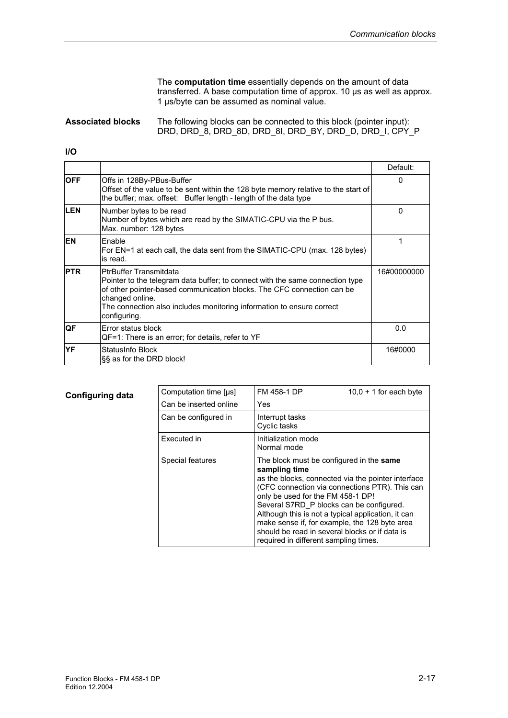The **computation time** essentially depends on the amount of data transferred. A base computation time of approx. 10 µs as well as approx. 1 µs/byte can be assumed as nominal value.

#### The following blocks can be connected to this block (pointer input): DRD, DRD\_8, DRD\_8D, DRD\_8I, DRD\_BY, DRD\_D, DRD\_I, CPY\_P **Associated blocks**

#### **I/O**

|            |                                                                                                                                                                                                                                                                                                      | Default:    |
|------------|------------------------------------------------------------------------------------------------------------------------------------------------------------------------------------------------------------------------------------------------------------------------------------------------------|-------------|
| <b>OFF</b> | Offs in 128By-PBus-Buffer<br>Offset of the value to be sent within the 128 byte memory relative to the start of<br>the buffer; max. offset: Buffer length - length of the data type                                                                                                                  | 0           |
| <b>LEN</b> | Number bytes to be read<br>Number of bytes which are read by the SIMATIC-CPU via the P bus.<br>Max. number: 128 bytes                                                                                                                                                                                | 0           |
| <b>EN</b>  | Enable<br>For EN=1 at each call, the data sent from the SIMATIC-CPU (max. 128 bytes)<br>is read.                                                                                                                                                                                                     |             |
| <b>PTR</b> | <b>PtrBuffer Transmitdata</b><br>Pointer to the telegram data buffer; to connect with the same connection type<br>of other pointer-based communication blocks. The CFC connection can be<br>changed online.<br>The connection also includes monitoring information to ensure correct<br>configuring. | 16#00000000 |
| QF         | Error status block<br>QF=1: There is an error; for details, refer to YF                                                                                                                                                                                                                              | 0.0         |
| <b>YF</b>  | StatusInfo Block<br>§§ as for the DRD block!                                                                                                                                                                                                                                                         | 16#0000     |

| Computation time [µs]  | FM 458-1 DP                                                                                                                                                                                                                                                                                                                                                                                                                                          | $10.0 + 1$ for each byte |
|------------------------|------------------------------------------------------------------------------------------------------------------------------------------------------------------------------------------------------------------------------------------------------------------------------------------------------------------------------------------------------------------------------------------------------------------------------------------------------|--------------------------|
| Can be inserted online | Yes                                                                                                                                                                                                                                                                                                                                                                                                                                                  |                          |
| Can be configured in   | Interrupt tasks<br>Cyclic tasks                                                                                                                                                                                                                                                                                                                                                                                                                      |                          |
| Executed in            | Initialization mode<br>Normal mode                                                                                                                                                                                                                                                                                                                                                                                                                   |                          |
| Special features       | The block must be configured in the same<br>sampling time<br>as the blocks, connected via the pointer interface<br>(CFC connection via connections PTR). This can<br>only be used for the FM 458-1 DP!<br>Several S7RD P blocks can be configured.<br>Although this is not a typical application, it can<br>make sense if, for example, the 128 byte area<br>should be read in several blocks or if data is<br>required in different sampling times. |                          |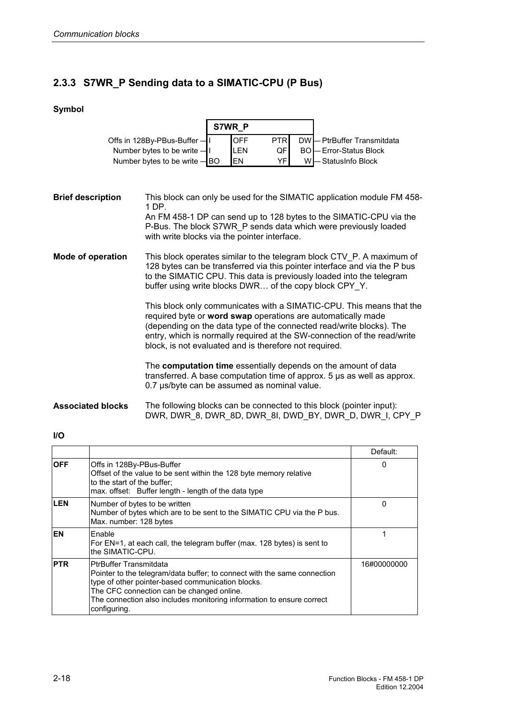#### **2.3.3 S7WR\_P Sending data to a SIMATIC-CPU (P Bus)**

#### **Symbol**

|                                | S7WR P |            |             |  |                                |
|--------------------------------|--------|------------|-------------|--|--------------------------------|
| Offs in 128By-PBus-Buffer -    |        | <b>OFF</b> | <b>PTRI</b> |  | DW - PtrBuffer Transmitdata    |
| Number bytes to be write $-$ I |        | LEN        | <b>QF</b>   |  | <b>BO</b> - Error-Status Block |
| Number bytes to be write - BO  |        | <b>IFN</b> | VFI         |  | W-StatusInfo Block             |

This block can only be used for the SIMATIC application module FM 458- 1 DP. An FM 458-1 DP can send up to 128 bytes to the SIMATIC-CPU via the P-Bus. The block S7WR\_P sends data which were previously loaded with write blocks via the pointer interface. This block operates similar to the telegram block CTV\_P. A maximum of 128 bytes can be transferred via this pointer interface and via the P bus to the SIMATIC CPU. This data is previously loaded into the telegram buffer using write blocks DWR… of the copy block CPY\_Y. This block only communicates with a SIMATIC-CPU. This means that the required byte or **word swap** operations are automatically made **Brief description Mode of operation** 

(depending on the data type of the connected read/write blocks). The entry, which is normally required at the SW-connection of the read/write block, is not evaluated and is therefore not required.

The **computation time** essentially depends on the amount of data transferred. A base computation time of approx. 5 µs as well as approx. 0.7 µs/byte can be assumed as nominal value.

The following blocks can be connected to this block (pointer input): DWR, DWR\_8, DWR\_8D, DWR\_8I, DWD\_BY, DWR\_D, DWR\_I, CPY\_P **Associated blocks** 

#### **I/O**

|            |                                                                                                                                                                                                                                                                                                      | Default:    |
|------------|------------------------------------------------------------------------------------------------------------------------------------------------------------------------------------------------------------------------------------------------------------------------------------------------------|-------------|
| <b>OFF</b> | Offs in 128By-PBus-Buffer<br>Offset of the value to be sent within the 128 byte memory relative<br>to the start of the buffer:<br>max. offset: Buffer length - length of the data type                                                                                                               | O           |
| <b>LEN</b> | Number of bytes to be written<br>Number of bytes which are to be sent to the SIMATIC CPU via the P bus.<br>Max. number: 128 bytes                                                                                                                                                                    | 0           |
| <b>EN</b>  | Enable<br>For EN=1, at each call, the telegram buffer (max. 128 bytes) is sent to<br>the SIMATIC-CPU.                                                                                                                                                                                                |             |
| <b>PTR</b> | <b>PtrBuffer Transmitdata</b><br>Pointer to the telegram/data buffer; to connect with the same connection<br>type of other pointer-based communication blocks.<br>The CFC connection can be changed online.<br>The connection also includes monitoring information to ensure correct<br>configuring. | 16#00000000 |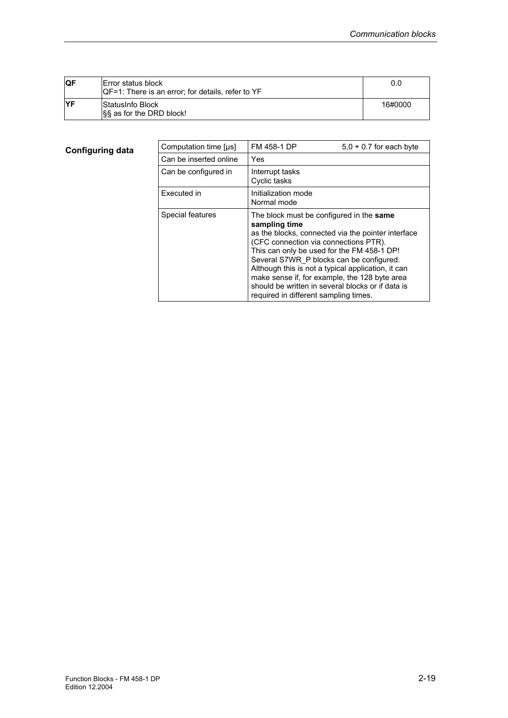| <b>IQF</b> | Error status block<br>IQF=1: There is an error; for details, refer to YF | 0.0     |
|------------|--------------------------------------------------------------------------|---------|
| <b>IYF</b> | StatusInfo Block<br>SS as for the DRD block!                             | 16#0000 |

| Computation time [µs]  | FM 458-1 DP                                                                                                                                                                                                                           | $5.0 + 0.7$ for each byte                                                                                                                                                                                      |
|------------------------|---------------------------------------------------------------------------------------------------------------------------------------------------------------------------------------------------------------------------------------|----------------------------------------------------------------------------------------------------------------------------------------------------------------------------------------------------------------|
| Can be inserted online | Yes                                                                                                                                                                                                                                   |                                                                                                                                                                                                                |
| Can be configured in   | Interrupt tasks<br>Cyclic tasks                                                                                                                                                                                                       |                                                                                                                                                                                                                |
| Executed in            | Initialization mode<br>Normal mode                                                                                                                                                                                                    |                                                                                                                                                                                                                |
| Special features       | The block must be configured in the same<br>sampling time<br>(CFC connection via connections PTR).<br>This can only be used for the FM 458-1 DP!<br>Several S7WR P blocks can be configured.<br>required in different sampling times. | as the blocks, connected via the pointer interface<br>Although this is not a typical application, it can<br>make sense if, for example, the 128 byte area<br>should be written in several blocks or if data is |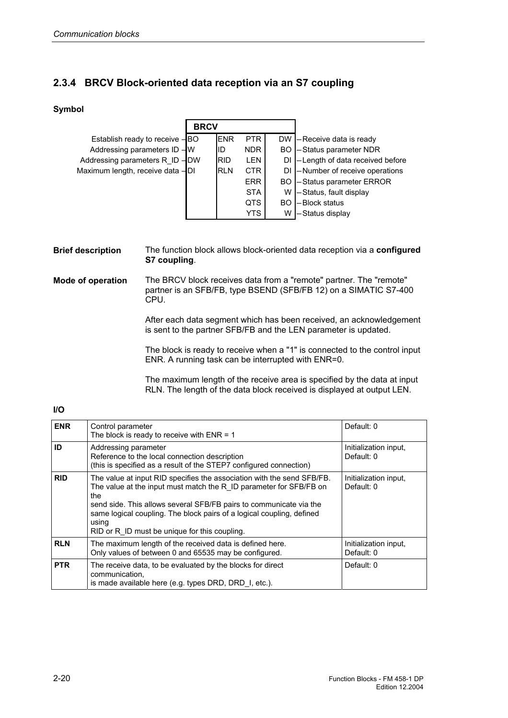#### **2.3.4 BRCV Block-oriented data reception via an S7 coupling**

#### **Symbol**

|                                  | <b>BRCV</b> |              |            |     |                                     |
|----------------------------------|-------------|--------------|------------|-----|-------------------------------------|
| Establish ready to receive -BO   |             | <b>IENR</b>  | PTR I      |     | DW - Receive data is ready          |
| Addressing parameters ID - W     |             | IID          | NDR I      |     | BO - Status parameter NDR           |
| Addressing parameters R ID-DW    |             | <b>IRID</b>  | <b>LEN</b> |     | DI - Length of data received before |
| Maximum length, receive data -DI |             | <b>I</b> RLN | CTR        |     | DI - Number of receive operations   |
|                                  |             |              | ERR I      |     | <b>BO</b> - Status parameter ERROR  |
|                                  |             |              | <b>STA</b> | w   | -Status, fault display              |
|                                  |             |              | QTS        | BO. | -Block status                       |
|                                  |             |              | YTS.       | W   | -Status display                     |

The function block allows block-oriented data reception via a **configured S7 coupling**. **Brief description** 

The BRCV block receives data from a "remote" partner. The "remote" partner is an SFB/FB, type BSEND (SFB/FB 12) on a SIMATIC S7-400 CPU. **Mode of operation** 

> After each data segment which has been received, an acknowledgement is sent to the partner SFB/FB and the LEN parameter is updated.

> The block is ready to receive when a "1" is connected to the control input ENR. A running task can be interrupted with ENR=0.

> The maximum length of the receive area is specified by the data at input RLN. The length of the data block received is displayed at output LEN.

#### **I/O**

| <b>ENR</b> | Control parameter<br>The block is ready to receive with $ENR = 1$                                                                                                                                                                                                                                                                                            | Default: 0                          |
|------------|--------------------------------------------------------------------------------------------------------------------------------------------------------------------------------------------------------------------------------------------------------------------------------------------------------------------------------------------------------------|-------------------------------------|
| ID         | Addressing parameter<br>Reference to the local connection description<br>(this is specified as a result of the STEP7 configured connection)                                                                                                                                                                                                                  | Initialization input.<br>Default: 0 |
| <b>RID</b> | The value at input RID specifies the association with the send SFB/FB.<br>The value at the input must match the R ID parameter for SFB/FB on<br>the<br>send side. This allows several SFB/FB pairs to communicate via the<br>same logical coupling. The block pairs of a logical coupling, defined<br>using<br>RID or R ID must be unique for this coupling. | Initialization input,<br>Default: 0 |
| <b>RLN</b> | The maximum length of the received data is defined here.<br>Only values of between 0 and 65535 may be configured.                                                                                                                                                                                                                                            | Initialization input,<br>Default: 0 |
| <b>PTR</b> | The receive data, to be evaluated by the blocks for direct<br>communication.<br>is made available here (e.g. types DRD, DRD 1, etc.).                                                                                                                                                                                                                        | Default: 0                          |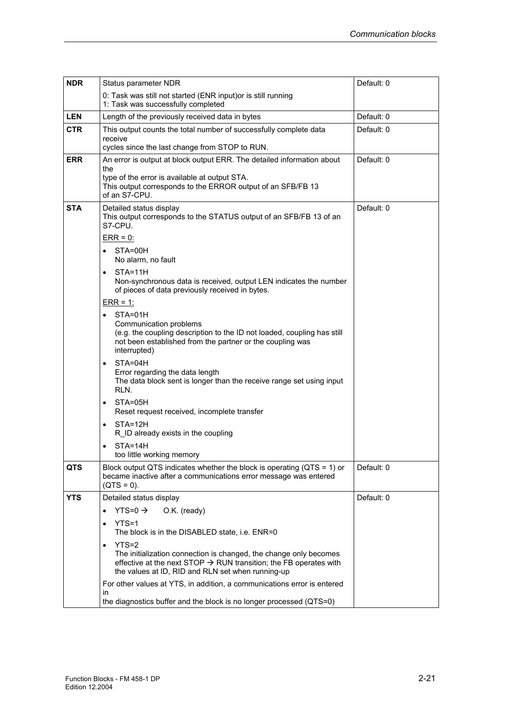| <b>NDR</b> | Status parameter NDR                                                                                                                                                                                                          | Default: 0 |
|------------|-------------------------------------------------------------------------------------------------------------------------------------------------------------------------------------------------------------------------------|------------|
|            | 0: Task was still not started (ENR input) or is still running<br>1: Task was successfully completed                                                                                                                           |            |
| <b>LEN</b> | Length of the previously received data in bytes                                                                                                                                                                               | Default: 0 |
| <b>CTR</b> | This output counts the total number of successfully complete data<br>receive<br>cycles since the last change from STOP to RUN.                                                                                                | Default: 0 |
| <b>ERR</b> | An error is output at block output ERR. The detailed information about<br>the<br>type of the error is available at output STA.<br>This output corresponds to the ERROR output of an SFB/FB 13<br>of an S7-CPU.                | Default: 0 |
| <b>STA</b> | Detailed status display<br>This output corresponds to the STATUS output of an SFB/FB 13 of an<br>S7-CPU.<br>$ERR = 0$ :<br>STA=00H<br>No alarm, no fault                                                                      | Default: 0 |
|            | STA=11H<br>$\bullet$<br>Non-synchronous data is received, output LEN indicates the number<br>of pieces of data previously received in bytes.<br>$ERR = 1$ :                                                                   |            |
|            | STA=01H<br>$\bullet$<br>Communication problems<br>(e.g. the coupling description to the ID not loaded, coupling has still<br>not been established from the partner or the coupling was<br>interrupted)                        |            |
|            | STA=04H<br>$\bullet$<br>Error regarding the data length<br>The data block sent is longer than the receive range set using input<br>RLN.                                                                                       |            |
|            | STA=05H<br>$\bullet$<br>Reset request received, incomplete transfer                                                                                                                                                           |            |
|            | STA=12H<br>$\bullet$<br>R ID already exists in the coupling                                                                                                                                                                   |            |
|            | $STA=14H$<br>too little working memory                                                                                                                                                                                        |            |
| <b>QTS</b> | Block output QTS indicates whether the block is operating (QTS = 1) or<br>became inactive after a communications error message was entered<br>$(QTS = 0)$ .                                                                   | Default: 0 |
| <b>YTS</b> | Detailed status display                                                                                                                                                                                                       | Default: 0 |
|            | YTS=0 $\rightarrow$<br>O.K. (ready)<br>$\bullet$                                                                                                                                                                              |            |
|            | $YTS=1$<br>$\bullet$<br>The block is in the DISABLED state, i.e. ENR=0                                                                                                                                                        |            |
|            | YTS=2<br>$\bullet$<br>The initialization connection is changed, the change only becomes<br>effective at the next STOP $\rightarrow$ RUN transition; the FB operates with<br>the values at ID, RID and RLN set when running-up |            |
|            | For other values at YTS, in addition, a communications error is entered<br>in<br>the diagnostics buffer and the block is no longer processed (QTS=0)                                                                          |            |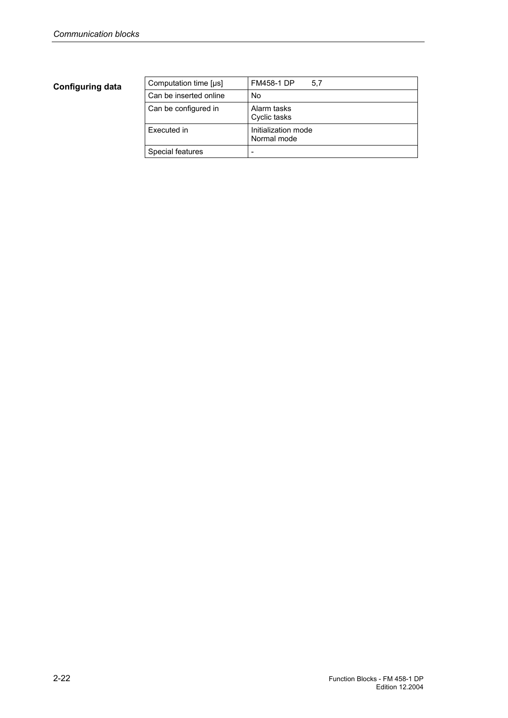| Computation time [µs]  | <b>FM458-1 DP</b><br>5.7           |
|------------------------|------------------------------------|
| Can be inserted online | No                                 |
| Can be configured in   | Alarm tasks<br>Cyclic tasks        |
| Executed in            | Initialization mode<br>Normal mode |
| Special features       |                                    |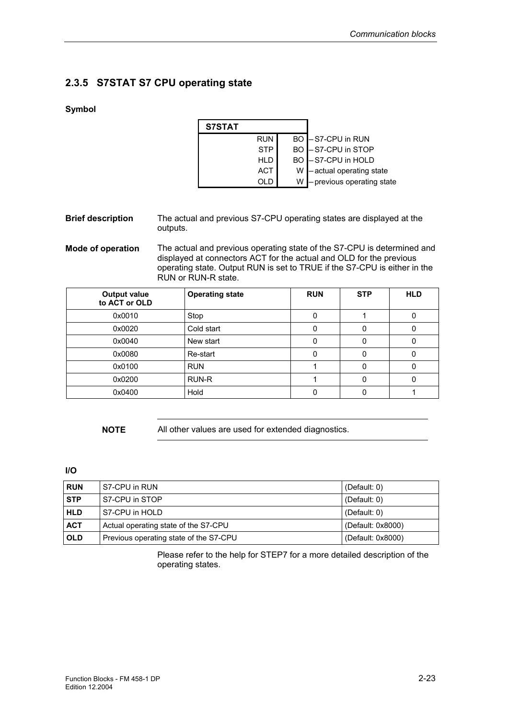#### **2.3.5 S7STAT S7 CPU operating state**

#### **Symbol**

| <b>S7STAT</b> |            |     |                            |
|---------------|------------|-----|----------------------------|
|               | <b>RUN</b> |     | BO -S7-CPU in RUN          |
|               | <b>STP</b> |     | BO -S7-CPU in STOP         |
|               | HLD        |     | BO -S7-CPU in HOLD         |
|               | ACT        | W I | -actual operating state    |
|               |            |     | - previous operating state |

#### The actual and previous S7-CPU operating states are displayed at the outputs. **Brief description**

The actual and previous operating state of the S7-CPU is determined and displayed at connectors ACT for the actual and OLD for the previous operating state. Output RUN is set to TRUE if the S7-CPU is either in the RUN or RUN-R state. **Mode of operation** 

| <b>Output value</b><br>to ACT or OLD | <b>Operating state</b> | <b>RUN</b> | <b>STP</b> | <b>HLD</b> |
|--------------------------------------|------------------------|------------|------------|------------|
| 0x0010                               | Stop                   |            |            |            |
| 0x0020                               | Cold start             |            |            |            |
| 0x0040                               | New start              | 0          |            |            |
| 0x0080                               | Re-start               | O          | 0          |            |
| 0x0100                               | <b>RUN</b>             |            |            |            |
| 0x0200                               | RUN-R                  |            |            |            |
| 0x0400                               | Hold                   |            |            |            |

**NOTE** All other values are used for extended diagnostics.

#### **I/O**

| <b>RUN</b> | S7-CPU in RUN                          | (Default: $0$ )   |
|------------|----------------------------------------|-------------------|
| <b>STP</b> | S7-CPU in STOP                         | (Default: $0$ )   |
| <b>HLD</b> | S7-CPU in HOLD                         | (Default: $0$ )   |
| <b>ACT</b> | Actual operating state of the S7-CPU   | (Default: 0x8000) |
| <b>OLD</b> | Previous operating state of the S7-CPU | (Default: 0x8000) |

Please refer to the help for STEP7 for a more detailed description of the operating states.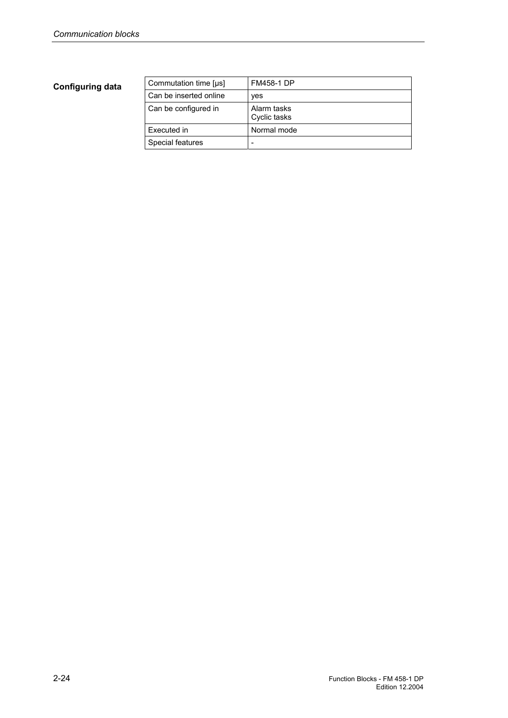| Commutation time [us]  | <b>FM458-1 DP</b>           |
|------------------------|-----------------------------|
| Can be inserted online | yes                         |
| Can be configured in   | Alarm tasks<br>Cyclic tasks |
| Executed in            | Normal mode                 |
| Special features       |                             |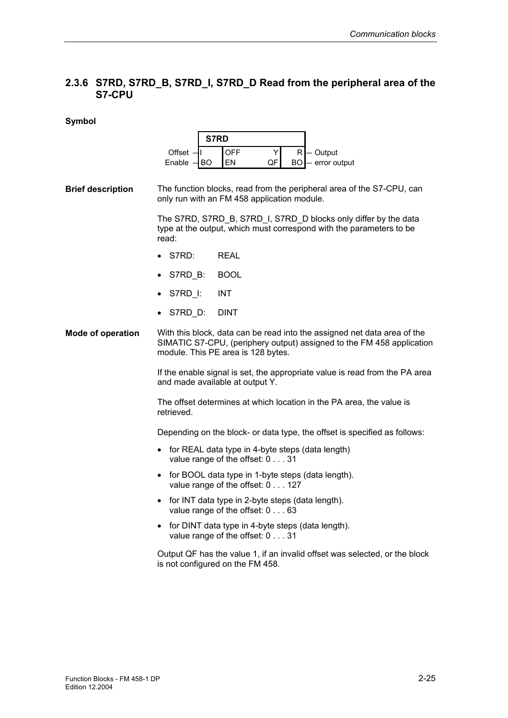## **2.3.6 S7RD, S7RD\_B, S7RD\_I, S7RD\_D Read from the peripheral area of the S7-CPU**

|                          |                                                                                                                                                                                         | S7RD                             |         |                                                                                                                                        |  |  |  |
|--------------------------|-----------------------------------------------------------------------------------------------------------------------------------------------------------------------------------------|----------------------------------|---------|----------------------------------------------------------------------------------------------------------------------------------------|--|--|--|
|                          | Offset -<br>Enable -<br>BO                                                                                                                                                              | OFF<br>EN                        | Y<br>QF | R<br>- Output<br>BO<br>- error output                                                                                                  |  |  |  |
| <b>Brief description</b> | The function blocks, read from the peripheral area of the S7-CPU, can<br>only run with an FM 458 application module.                                                                    |                                  |         |                                                                                                                                        |  |  |  |
|                          | read:                                                                                                                                                                                   |                                  |         | The S7RD, S7RD_B, S7RD_I, S7RD_D blocks only differ by the data<br>type at the output, which must correspond with the parameters to be |  |  |  |
|                          | S7RD:                                                                                                                                                                                   | <b>REAL</b>                      |         |                                                                                                                                        |  |  |  |
|                          | S7RD_B:                                                                                                                                                                                 | <b>BOOL</b>                      |         |                                                                                                                                        |  |  |  |
|                          | S7RD I:                                                                                                                                                                                 | <b>INT</b>                       |         |                                                                                                                                        |  |  |  |
|                          | S7RD_D:                                                                                                                                                                                 | <b>DINT</b>                      |         |                                                                                                                                        |  |  |  |
| <b>Mode of operation</b> | With this block, data can be read into the assigned net data area of the<br>SIMATIC S7-CPU, (periphery output) assigned to the FM 458 application<br>module. This PE area is 128 bytes. |                                  |         |                                                                                                                                        |  |  |  |
|                          | and made available at output Y.                                                                                                                                                         |                                  |         | If the enable signal is set, the appropriate value is read from the PA area                                                            |  |  |  |
|                          | retrieved.                                                                                                                                                                              |                                  |         | The offset determines at which location in the PA area, the value is                                                                   |  |  |  |
|                          |                                                                                                                                                                                         |                                  |         | Depending on the block- or data type, the offset is specified as follows:                                                              |  |  |  |
|                          |                                                                                                                                                                                         | value range of the offset: 0 31  |         | for REAL data type in 4-byte steps (data length)                                                                                       |  |  |  |
|                          |                                                                                                                                                                                         | value range of the offset: 0 127 |         | for BOOL data type in 1-byte steps (data length).                                                                                      |  |  |  |
|                          |                                                                                                                                                                                         | value range of the offset: 0 63  |         | for INT data type in 2-byte steps (data length).                                                                                       |  |  |  |
|                          |                                                                                                                                                                                         | value range of the offset: 0 31  |         | for DINT data type in 4-byte steps (data length).                                                                                      |  |  |  |
|                          | is not configured on the FM 458.                                                                                                                                                        |                                  |         | Output QF has the value 1, if an invalid offset was selected, or the block                                                             |  |  |  |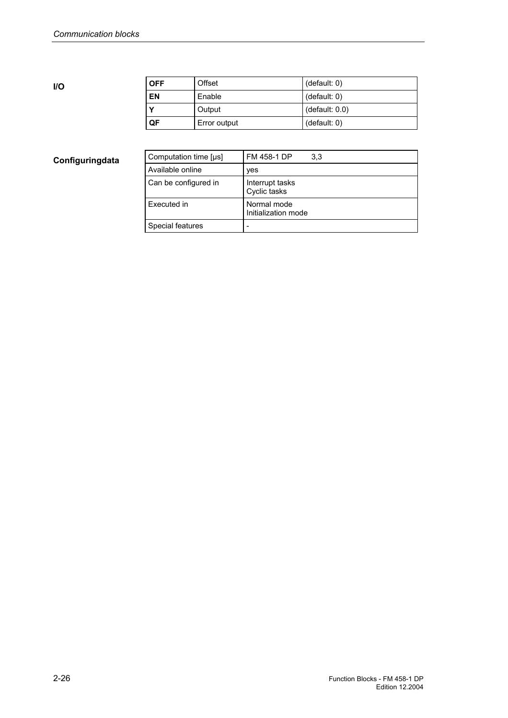**I/O** 

| <b>OFF</b> | Offset       | (default: 0)   |
|------------|--------------|----------------|
| EN         | Enable       | (default: 0)   |
|            | Output       | (default: 0.0) |
| QF         | Error output | (default: 0)   |

| Computation time [µs] | FM 458-1 DP<br>3.3                 |
|-----------------------|------------------------------------|
| Available online      | yes                                |
| Can be configured in  | Interrupt tasks<br>Cyclic tasks    |
| Executed in           | Normal mode<br>Initialization mode |
| Special features      |                                    |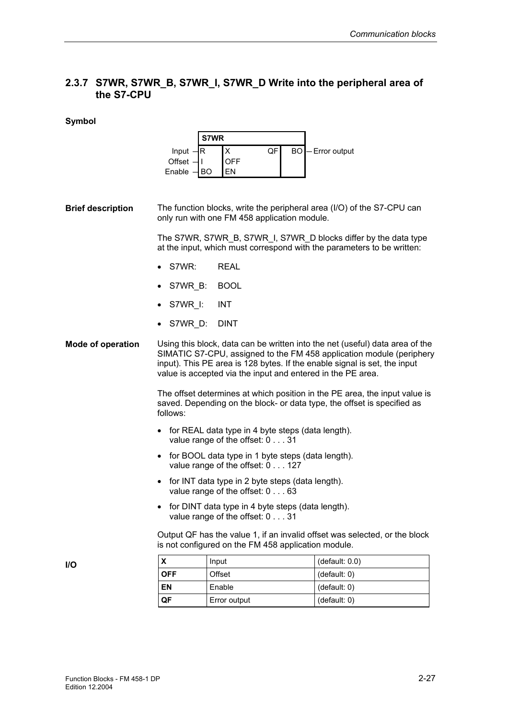## **2.3.7 S7WR, S7WR\_B, S7WR\_I, S7WR\_D Write into the peripheral area of the S7-CPU**

#### **Symbol**

|                          | Input $-R$<br>Offset -<br>-11<br>Enable -<br> BO                                                                                                                                                                                                                                                 | S7WR<br>X<br>QF<br><b>OFF</b><br>EN                                                  | <b>BO</b> - Error output                                                                                                                              |  |  |  |
|--------------------------|--------------------------------------------------------------------------------------------------------------------------------------------------------------------------------------------------------------------------------------------------------------------------------------------------|--------------------------------------------------------------------------------------|-------------------------------------------------------------------------------------------------------------------------------------------------------|--|--|--|
| <b>Brief description</b> |                                                                                                                                                                                                                                                                                                  | only run with one FM 458 application module.                                         | The function blocks, write the peripheral area (I/O) of the S7-CPU can                                                                                |  |  |  |
|                          |                                                                                                                                                                                                                                                                                                  |                                                                                      | The S7WR, S7WR B, S7WR I, S7WR D blocks differ by the data type<br>at the input, which must correspond with the parameters to be written:             |  |  |  |
|                          | S7WR:                                                                                                                                                                                                                                                                                            | <b>REAL</b>                                                                          |                                                                                                                                                       |  |  |  |
|                          | S7WR B:                                                                                                                                                                                                                                                                                          | <b>BOOL</b>                                                                          |                                                                                                                                                       |  |  |  |
|                          | S7WR I:                                                                                                                                                                                                                                                                                          | <b>INT</b>                                                                           |                                                                                                                                                       |  |  |  |
|                          | S7WR D:                                                                                                                                                                                                                                                                                          | <b>DINT</b>                                                                          |                                                                                                                                                       |  |  |  |
| <b>Mode of operation</b> | Using this block, data can be written into the net (useful) data area of the<br>SIMATIC S7-CPU, assigned to the FM 458 application module (periphery<br>input). This PE area is 128 bytes. If the enable signal is set, the input<br>value is accepted via the input and entered in the PE area. |                                                                                      |                                                                                                                                                       |  |  |  |
|                          | follows:                                                                                                                                                                                                                                                                                         |                                                                                      | The offset determines at which position in the PE area, the input value is<br>saved. Depending on the block- or data type, the offset is specified as |  |  |  |
|                          |                                                                                                                                                                                                                                                                                                  | for REAL data type in 4 byte steps (data length).<br>value range of the offset: 0 31 |                                                                                                                                                       |  |  |  |
|                          | for BOOL data type in 1 byte steps (data length).<br>$\bullet$<br>value range of the offset: 0 127                                                                                                                                                                                               |                                                                                      |                                                                                                                                                       |  |  |  |
|                          | for INT data type in 2 byte steps (data length).<br>$\bullet$<br>value range of the offset: 0 63                                                                                                                                                                                                 |                                                                                      |                                                                                                                                                       |  |  |  |
|                          | • for DINT data type in 4 byte steps (data length).<br>value range of the offset: 0 31                                                                                                                                                                                                           |                                                                                      |                                                                                                                                                       |  |  |  |
|                          |                                                                                                                                                                                                                                                                                                  | is not configured on the FM 458 application module.                                  | Output QF has the value 1, if an invalid offset was selected, or the block                                                                            |  |  |  |
| I/O                      | X                                                                                                                                                                                                                                                                                                | Input                                                                                | (default: 0.0)                                                                                                                                        |  |  |  |
|                          | <b>OFF</b>                                                                                                                                                                                                                                                                                       | Offset                                                                               | (default: 0)                                                                                                                                          |  |  |  |

**EN** Enable (default: 0) **QF** Error output (default: 0)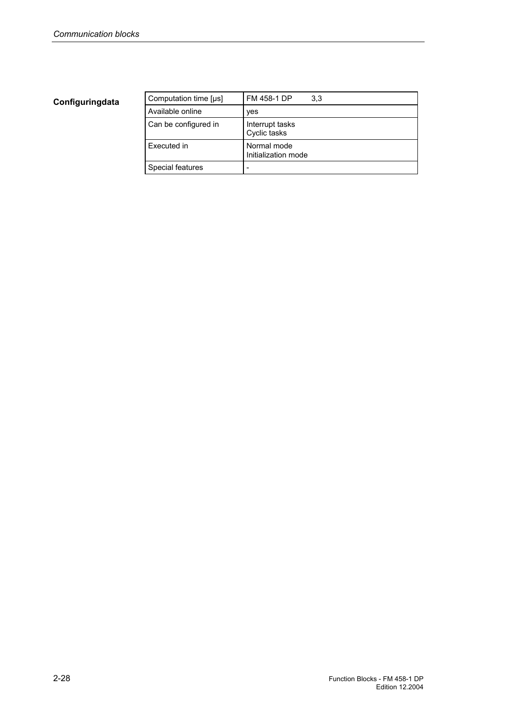| Computation time [µs] | FM 458-1 DP<br>3.3                 |
|-----------------------|------------------------------------|
| Available online      | ves                                |
| Can be configured in  | Interrupt tasks<br>Cyclic tasks    |
| Executed in           | Normal mode<br>Initialization mode |
| Special features      | -                                  |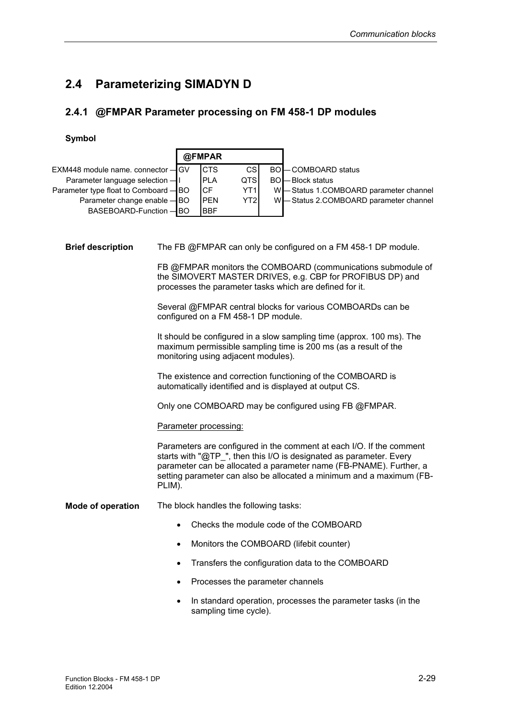# **2.4 Parameterizing SIMADYN D**

Ē

# **2.4.1 @FMPAR Parameter processing on FM 458-1 DP modules**

|                                    | @FMPAR                                                                                                                                                                                                                                                                                              |            |                                        |           |                                                                                                                               |  |
|------------------------------------|-----------------------------------------------------------------------------------------------------------------------------------------------------------------------------------------------------------------------------------------------------------------------------------------------------|------------|----------------------------------------|-----------|-------------------------------------------------------------------------------------------------------------------------------|--|
| EXM448 module name. connector -    | GV                                                                                                                                                                                                                                                                                                  | <b>CTS</b> | <b>CS</b>                              | <b>BO</b> | - COMBOARD status                                                                                                             |  |
| Parameter language selection -     | $\mathbf{I}$                                                                                                                                                                                                                                                                                        | <b>PLA</b> | <b>QTS</b>                             | <b>BO</b> | – Block status                                                                                                                |  |
| Parameter type float to Comboard - | ΙBΟ                                                                                                                                                                                                                                                                                                 | <b>CF</b>  | YT <sub>1</sub>                        | W         | - Status 1.COMBOARD parameter channel                                                                                         |  |
| Parameter change enable - BO       |                                                                                                                                                                                                                                                                                                     | <b>PEN</b> | YT <sub>2</sub>                        | W         | -Status 2.COMBOARD parameter channel                                                                                          |  |
| BASEBOARD-Function -               | IBO                                                                                                                                                                                                                                                                                                 | <b>BBF</b> |                                        |           |                                                                                                                               |  |
| <b>Brief description</b>           |                                                                                                                                                                                                                                                                                                     |            |                                        |           | The FB @FMPAR can only be configured on a FM 458-1 DP module.<br>FB @FMPAR monitors the COMBOARD (communications submodule of |  |
|                                    |                                                                                                                                                                                                                                                                                                     |            |                                        |           | the SIMOVERT MASTER DRIVES, e.g. CBP for PROFIBUS DP) and<br>processes the parameter tasks which are defined for it.          |  |
|                                    |                                                                                                                                                                                                                                                                                                     |            | configured on a FM 458-1 DP module.    |           | Several @FMPAR central blocks for various COMBOARDs can be                                                                    |  |
|                                    | It should be configured in a slow sampling time (approx. 100 ms). The<br>maximum permissible sampling time is 200 ms (as a result of the<br>monitoring using adjacent modules).                                                                                                                     |            |                                        |           |                                                                                                                               |  |
|                                    | The existence and correction functioning of the COMBOARD is<br>automatically identified and is displayed at output CS.                                                                                                                                                                              |            |                                        |           |                                                                                                                               |  |
|                                    | Only one COMBOARD may be configured using FB @FMPAR.                                                                                                                                                                                                                                                |            |                                        |           |                                                                                                                               |  |
|                                    | Parameter processing:                                                                                                                                                                                                                                                                               |            |                                        |           |                                                                                                                               |  |
|                                    | Parameters are configured in the comment at each I/O. If the comment<br>starts with "@TP_", then this I/O is designated as parameter. Every<br>parameter can be allocated a parameter name (FB-PNAME). Further, a<br>setting parameter can also be allocated a minimum and a maximum (FB-<br>PLIM). |            |                                        |           |                                                                                                                               |  |
| <b>Mode of operation</b>           |                                                                                                                                                                                                                                                                                                     |            | The block handles the following tasks: |           |                                                                                                                               |  |
|                                    | Checks the module code of the COMBOARD                                                                                                                                                                                                                                                              |            |                                        |           |                                                                                                                               |  |
|                                    | $\bullet$                                                                                                                                                                                                                                                                                           |            |                                        |           | Monitors the COMBOARD (lifebit counter)                                                                                       |  |
|                                    | Transfers the configuration data to the COMBOARD                                                                                                                                                                                                                                                    |            |                                        |           |                                                                                                                               |  |
|                                    |                                                                                                                                                                                                                                                                                                     |            |                                        |           | Processes the parameter channels                                                                                              |  |
|                                    | In standard operation, processes the parameter tasks (in the<br>sampling time cycle).                                                                                                                                                                                                               |            |                                        |           |                                                                                                                               |  |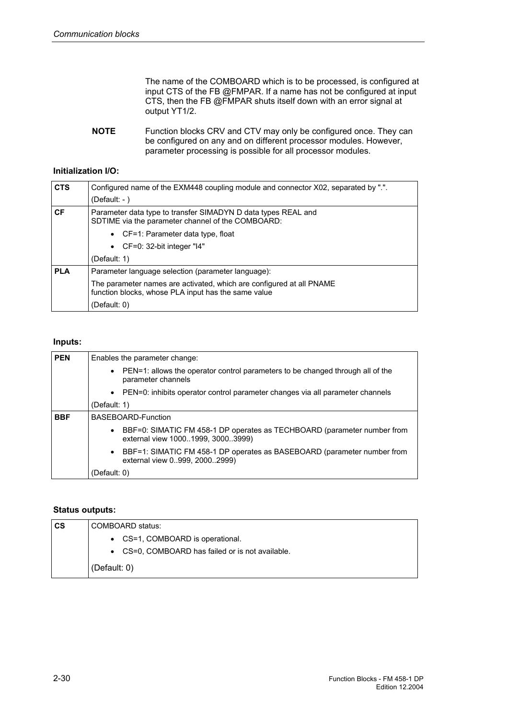The name of the COMBOARD which is to be processed, is configured at input CTS of the FB @FMPAR. If a name has not be configured at input CTS, then the FB @FMPAR shuts itself down with an error signal at output YT1/2.

Function blocks CRV and CTV may only be configured once. They can be configured on any and on different processor modules. However, parameter processing is possible for all processor modules. **NOTE** 

#### **Initialization I/O:**

| <b>CTS</b> | Configured name of the EXM448 coupling module and connector X02, separated by ".".                                          |
|------------|-----------------------------------------------------------------------------------------------------------------------------|
|            | (Default: $-$ )                                                                                                             |
| <b>CF</b>  | Parameter data type to transfer SIMADYN D data types REAL and<br>SDTIME via the parameter channel of the COMBOARD:          |
|            | • $CF=1$ : Parameter data type, float                                                                                       |
|            | • $CF=0: 32-bit integer "14"$                                                                                               |
|            | (Default: 1)                                                                                                                |
| <b>PLA</b> | Parameter language selection (parameter language):                                                                          |
|            | The parameter names are activated, which are configured at all PNAME<br>function blocks, whose PLA input has the same value |
|            | (Default: 0)                                                                                                                |

### **Inputs:**

| <b>PEN</b> | Enables the parameter change:                                                                                             |  |  |  |  |
|------------|---------------------------------------------------------------------------------------------------------------------------|--|--|--|--|
|            | PEN=1: allows the operator control parameters to be changed through all of the<br>$\bullet$<br>parameter channels         |  |  |  |  |
|            | • PEN=0: inhibits operator control parameter changes via all parameter channels                                           |  |  |  |  |
|            | (Default: 1)                                                                                                              |  |  |  |  |
| <b>BBF</b> | BASEBOARD-Function                                                                                                        |  |  |  |  |
|            | BBF=0: SIMATIC FM 458-1 DP operates as TECHBOARD (parameter number from<br>$\bullet$<br>external view 10001999, 30003999) |  |  |  |  |
|            | • BBF=1: SIMATIC FM 458-1 DP operates as BASEBOARD (parameter number from<br>external view 0999, 20002999)                |  |  |  |  |
|            | (Default: 0)                                                                                                              |  |  |  |  |

#### **Status outputs:**

| $\mathsf{cs}$ | COMBOARD status:                                 |
|---------------|--------------------------------------------------|
|               | • CS=1, COMBOARD is operational.                 |
|               | • CS=0, COMBOARD has failed or is not available. |
|               | (Default: $0$ )                                  |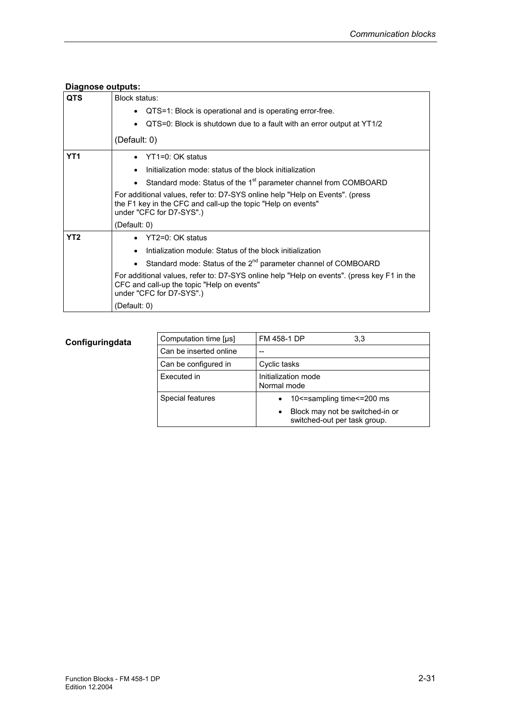| <b>Diagnose outputs:</b> |                                                                                                                                                                          |
|--------------------------|--------------------------------------------------------------------------------------------------------------------------------------------------------------------------|
| <b>QTS</b>               | Block status:<br>QTS=1: Block is operational and is operating error-free.<br>QTS=0: Block is shutdown due to a fault with an error output at YT1/2                       |
|                          | (Default: 0)                                                                                                                                                             |
| YT <sub>1</sub>          | YT1=0: OK status                                                                                                                                                         |
|                          | Initialization mode: status of the block initialization                                                                                                                  |
|                          | Standard mode: Status of the 1 <sup>st</sup> parameter channel from COMBOARD                                                                                             |
|                          | For additional values, refer to: D7-SYS online help "Help on Events". (press<br>the F1 key in the CFC and call-up the topic "Help on events"<br>under "CFC for D7-SYS".) |
|                          | (Default: 0)                                                                                                                                                             |
| YT <sub>2</sub>          | $YT2=0: OK$ status                                                                                                                                                       |
|                          | Intialization module: Status of the block initialization                                                                                                                 |
|                          | • Standard mode: Status of the $2^{nd}$ parameter channel of COMBOARD                                                                                                    |
|                          | For additional values, refer to: D7-SYS online help "Help on events". (press key F1 in the<br>CFC and call-up the topic "Help on events"<br>under "CFC for D7-SYS".)     |
|                          | (Default: 0)                                                                                                                                                             |

| Computation time [µs]  | FM 458-1 DP<br>3,3                                                                                                         |  |  |
|------------------------|----------------------------------------------------------------------------------------------------------------------------|--|--|
| Can be inserted online |                                                                                                                            |  |  |
| Can be configured in   | Cyclic tasks                                                                                                               |  |  |
| Executed in            | Initialization mode<br>Normal mode                                                                                         |  |  |
| Special features       | 10 <= sampling time <= 200 ms<br>$\bullet$<br>Block may not be switched-in or<br>$\bullet$<br>switched-out per task group. |  |  |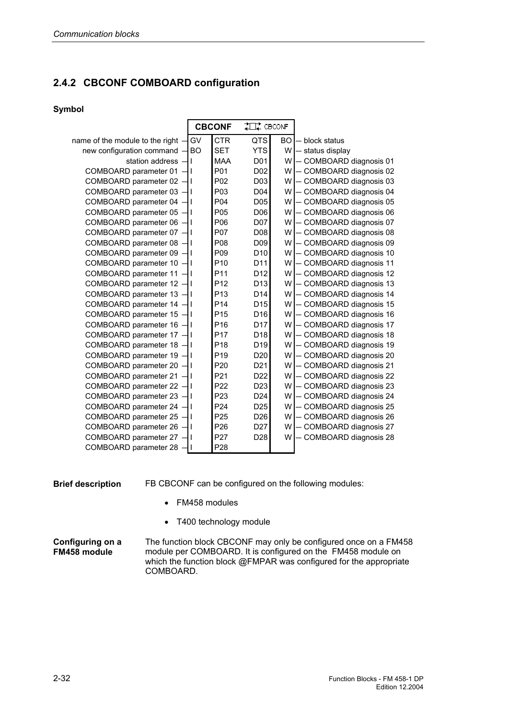# **2.4.2 CBCONF COMBOARD configuration**

### **Symbol**

|                                     | <b>CBCONF</b> |                 | #日# CBCONF       |           |                         |
|-------------------------------------|---------------|-----------------|------------------|-----------|-------------------------|
| name of the module to the right $-$ | GV            | <b>CTR</b>      | <b>QTS</b>       | <b>BO</b> | block status            |
| new configuration command - BO      |               | <b>SET</b>      | <b>YTS</b>       | W l       | - status display        |
| station address -                   |               | <b>MAA</b>      | D01              | W         | COMBOARD diagnosis 01   |
| COMBOARD parameter 01               |               | P01             | D <sub>02</sub>  | W         | - COMBOARD diagnosis 02 |
| COMBOARD parameter 02 - I           |               | P02             | D03              | W.        | COMBOARD diagnosis 03   |
| COMBOARD parameter 03 - I           |               | P03             | D <sub>04</sub>  | W         | COMBOARD diagnosis 04   |
| COMBOARD parameter 04               |               | P04             | D05              | W         | COMBOARD diagnosis 05   |
| COMBOARD parameter 05               |               | P05             | D06              | W         | COMBOARD diagnosis 06   |
| COMBOARD parameter 06 - I           |               | P06             | D <sub>0</sub> 7 | W.        | - COMBOARD diagnosis 07 |
| COMBOARD parameter $07 - 1$         |               | P07             | D08              | W         | COMBOARD diagnosis 08   |
| COMBOARD parameter 08 -             |               | P08             | D <sub>09</sub>  | W.        | COMBOARD diagnosis 09   |
| COMBOARD parameter 09 - I           |               | P09             | D <sub>10</sub>  | W.        | - COMBOARD diagnosis 10 |
| COMBOARD parameter 10 -             |               | P <sub>10</sub> | D <sub>11</sub>  | W         | COMBOARD diagnosis 11   |
| COMBOARD parameter 11 - I           |               | P <sub>11</sub> | D <sub>12</sub>  | W         | COMBOARD diagnosis 12   |
| COMBOARD parameter 12 -             |               | P <sub>12</sub> | D <sub>13</sub>  | W.        | - COMBOARD diagnosis 13 |
| COMBOARD parameter 13 - I           |               | P <sub>13</sub> | D <sub>14</sub>  | W         | COMBOARD diagnosis 14   |
| COMBOARD parameter 14 - I           |               | P <sub>14</sub> | D <sub>15</sub>  | W.        | COMBOARD diagnosis 15   |
| COMBOARD parameter $15 - 1$         |               | P <sub>15</sub> | D <sub>16</sub>  | W.        | COMBOARD diagnosis 16   |
| COMBOARD parameter 16 -             |               | P16             | D17              | W         | COMBOARD diagnosis 17   |
| COMBOARD parameter 17               |               | P <sub>17</sub> | D <sub>18</sub>  | W         | COMBOARD diagnosis 18   |
| COMBOARD parameter 18 - I           |               | P <sub>18</sub> | D <sub>19</sub>  | W.        | COMBOARD diagnosis 19   |
| COMBOARD parameter 19 - I           |               | P <sub>19</sub> | D <sub>20</sub>  | W         | COMBOARD diagnosis 20   |
| COMBOARD parameter 20               |               | P <sub>20</sub> | D <sub>21</sub>  | W         | COMBOARD diagnosis 21   |
| COMBOARD parameter 21               |               | P21             | D <sub>22</sub>  | W.        | COMBOARD diagnosis 22   |
| COMBOARD parameter 22               |               | P <sub>22</sub> | D <sub>23</sub>  | W         | COMBOARD diagnosis 23   |
| COMBOARD parameter 23               |               | P <sub>23</sub> | D <sub>24</sub>  | W         | COMBOARD diagnosis 24   |
| COMBOARD parameter 24               |               | P24             | D <sub>25</sub>  | W.        | - COMBOARD diagnosis 25 |
| COMBOARD parameter 25 -             |               | P <sub>25</sub> | D <sub>26</sub>  | W.        | COMBOARD diagnosis 26   |
| COMBOARD parameter 26               |               | P <sub>26</sub> | D <sub>27</sub>  | W         | COMBOARD diagnosis 27   |
| COMBOARD parameter 27               |               | P27             | D <sub>28</sub>  | W         | COMBOARD diagnosis 28   |
| COMBOARD parameter 28 -             |               | P <sub>28</sub> |                  |           |                         |

**Brief description** 

FB CBCONF can be configured on the following modules:

- FM458 modules
- T400 technology module

The function block CBCONF may only be configured once on a FM458 module per COMBOARD. It is configured on the FM458 module on which the function block @FMPAR was configured for the appropriate COMBOARD. **Configuring on a FM458 module**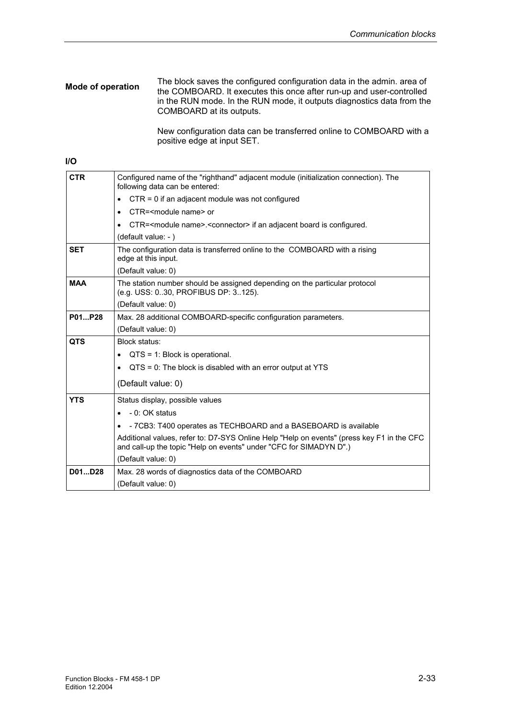#### The block saves the configured configuration data in the admin. area of the COMBOARD. It executes this once after run-up and user-controlled in the RUN mode. In the RUN mode, it outputs diagnostics data from the COMBOARD at its outputs. **Mode of operation**

New configuration data can be transferred online to COMBOARD with a positive edge at input SET.

#### **I/O**

| <b>CTR</b> | Configured name of the "righthand" adjacent module (initialization connection). The<br>following data can be entered:                                           |
|------------|-----------------------------------------------------------------------------------------------------------------------------------------------------------------|
|            | $CTR = 0$ if an adjacent module was not configured                                                                                                              |
|            | CTR= <module name=""> or</module>                                                                                                                               |
|            | CTR= <module name="">.<connector> if an adjacent board is configured.</connector></module>                                                                      |
|            | (default value: -)                                                                                                                                              |
| <b>SET</b> | The configuration data is transferred online to the COMBOARD with a rising<br>edge at this input.                                                               |
|            | (Default value: 0)                                                                                                                                              |
| <b>MAA</b> | The station number should be assigned depending on the particular protocol<br>(e.g. USS: 030, PROFIBUS DP: 3125).                                               |
|            | (Default value: 0)                                                                                                                                              |
| P01P28     | Max. 28 additional COMBOARD-specific configuration parameters.                                                                                                  |
|            | (Default value: 0)                                                                                                                                              |
| <b>QTS</b> | Block status:                                                                                                                                                   |
|            | $QTS = 1$ : Block is operational.                                                                                                                               |
|            | $QTS = 0$ : The block is disabled with an error output at YTS<br>$\bullet$                                                                                      |
|            | (Default value: 0)                                                                                                                                              |
| <b>YTS</b> | Status display, possible values                                                                                                                                 |
|            | - 0: OK status                                                                                                                                                  |
|            | - 7CB3: T400 operates as TECHBOARD and a BASEBOARD is available                                                                                                 |
|            | Additional values, refer to: D7-SYS Online Help "Help on events" (press key F1 in the CFC<br>and call-up the topic "Help on events" under "CFC for SIMADYN D".) |
|            | (Default value: 0)                                                                                                                                              |
| D01D28     | Max. 28 words of diagnostics data of the COMBOARD                                                                                                               |
|            | (Default value: 0)                                                                                                                                              |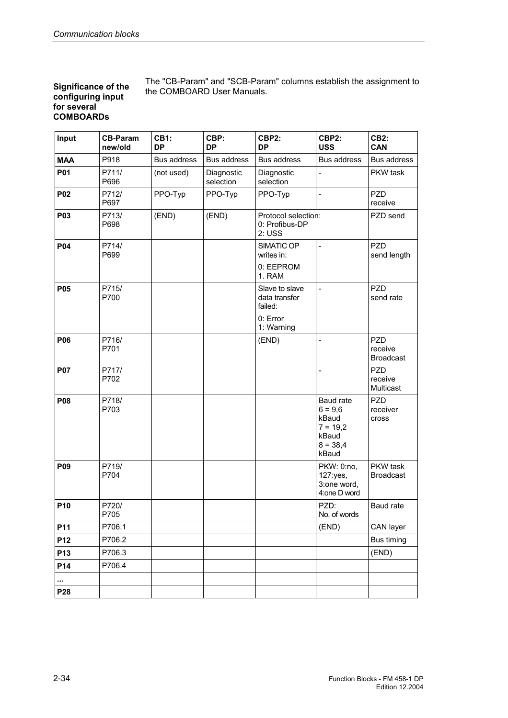#### **Significance of the configuring input for several COMBOARDs**

The "CB-Param" and "SCB-Param" columns establish the assignment to the COMBOARD User Manuals.

| Input           | <b>CB-Param</b><br>new/old | <b>CB1:</b><br>DP | CBP:<br><b>DP</b>       | CBP2:<br>CBP2:<br><b>DP</b><br><b>USS</b>      |                                                                               | <b>CB2:</b><br>CAN                        |
|-----------------|----------------------------|-------------------|-------------------------|------------------------------------------------|-------------------------------------------------------------------------------|-------------------------------------------|
| <b>MAA</b>      | P918                       | Bus address       | Bus address             | <b>Bus address</b><br>Bus address              |                                                                               | Bus address                               |
| P01             | P711/<br>P696              | (not used)        | Diagnostic<br>selection | Diagnostic<br>selection                        | -                                                                             |                                           |
| P02             | P712/<br>P697              | PPO-Typ           | PPO-Typ                 | PPO-Typ                                        | $\blacksquare$                                                                | PZD<br>receive                            |
| <b>P03</b>      | P713/<br>P698              | (END)             | (END)                   | Protocol selection:<br>0: Profibus-DP<br>2:USS |                                                                               | PZD send                                  |
| <b>P04</b>      | P714/<br>P699              |                   |                         | SIMATIC OP<br>writes in:                       | $\overline{a}$                                                                | <b>PZD</b><br>send length                 |
|                 |                            |                   |                         | 0: EEPROM<br>1. RAM                            |                                                                               |                                           |
| P05             | P715/<br>P700              |                   |                         | Slave to slave<br>data transfer<br>failed:     | L,                                                                            | <b>PZD</b><br>send rate                   |
|                 |                            |                   |                         | 0: Error<br>1: Warning                         |                                                                               |                                           |
| P06             | P716/<br>P701              |                   |                         | (END)                                          | $\overline{a}$                                                                | <b>PZD</b><br>receive<br><b>Broadcast</b> |
| <b>P07</b>      | P717/<br>P702              |                   |                         |                                                |                                                                               | <b>PZD</b><br>receive<br>Multicast        |
| P08             | P718/<br>P703              |                   |                         |                                                | Baud rate<br>$6 = 9,6$<br>kBaud<br>$7 = 19,2$<br>kBaud<br>$8 = 38,4$<br>kBaud | <b>PZD</b><br>receiver<br>cross           |
| P09             | P719/<br>P704              |                   |                         |                                                | PKW: 0:no,<br>127:yes,<br>3:one word,<br>4:one D word                         | PKW task<br><b>Broadcast</b>              |
| P10             | P720/<br>P705              |                   |                         |                                                | PZD:<br>No. of words                                                          | Baud rate                                 |
| P11             | P706.1                     |                   |                         |                                                | (END)                                                                         | CAN layer                                 |
| P12             | P706.2                     |                   |                         |                                                |                                                                               | Bus timing                                |
| P13             | P706.3                     |                   |                         |                                                |                                                                               | (END)                                     |
| P14             | P706.4                     |                   |                         |                                                |                                                                               |                                           |
|                 |                            |                   |                         |                                                |                                                                               |                                           |
| P <sub>28</sub> |                            |                   |                         |                                                |                                                                               |                                           |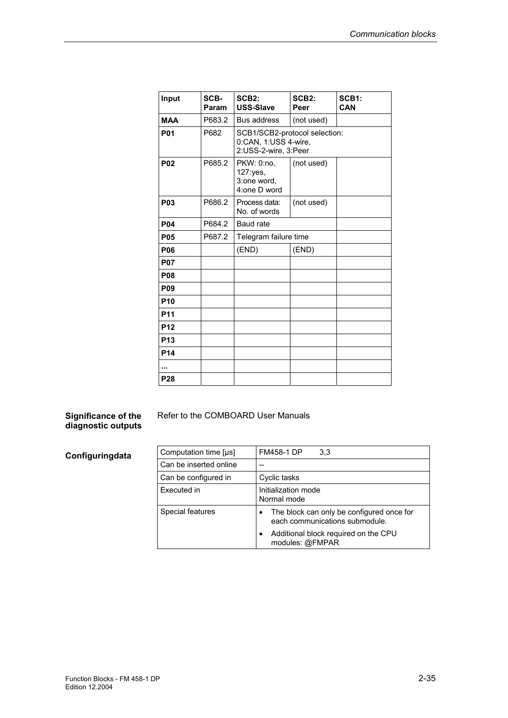| Input           | SCB-<br>Param | SCB <sub>2</sub> :<br><b>USS-Slave</b>                                        | SCB <sub>2:</sub><br>Peer | <b>SCB1:</b><br>CAN |
|-----------------|---------------|-------------------------------------------------------------------------------|---------------------------|---------------------|
| <b>MAA</b>      | P683.2        | <b>Bus address</b>                                                            | (not used)                |                     |
| <b>P01</b>      | P682          | SCB1/SCB2-protocol selection:<br>0:CAN, 1:USS 4-wire,<br>2:USS-2-wire, 3:Peer |                           |                     |
| <b>P02</b>      | P685.2        | PKW: 0:no.<br>127:yes,<br>3:one word,<br>4:one D word                         | (not used)                |                     |
| <b>P03</b>      | P686.2        | Process data:<br>No. of words                                                 | (not used)                |                     |
| <b>P04</b>      | P684.2        | Baud rate                                                                     |                           |                     |
| <b>P05</b>      | P687.2        | Telegram failure time                                                         |                           |                     |
| <b>P06</b>      |               | (END)                                                                         | (END)                     |                     |
| <b>P07</b>      |               |                                                                               |                           |                     |
| <b>P08</b>      |               |                                                                               |                           |                     |
| <b>P09</b>      |               |                                                                               |                           |                     |
| P <sub>10</sub> |               |                                                                               |                           |                     |
| <b>P11</b>      |               |                                                                               |                           |                     |
| P <sub>12</sub> |               |                                                                               |                           |                     |
| <b>P13</b>      |               |                                                                               |                           |                     |
| P <sub>14</sub> |               |                                                                               |                           |                     |
|                 |               |                                                                               |                           |                     |
| P <sub>28</sub> |               |                                                                               |                           |                     |

#### **Significance of the diagnostic outputs**

Refer to the COMBOARD User Manuals

| Computation time [µs]  | <b>FM458-1 DP</b><br>3,3                                                    |
|------------------------|-----------------------------------------------------------------------------|
| Can be inserted online |                                                                             |
| Can be configured in   | Cyclic tasks                                                                |
| Executed in            | Initialization mode<br>Normal mode                                          |
| Special features       | The block can only be configured once for<br>each communications submodule. |
|                        | Additional block required on the CPU<br>modules: @FMPAR                     |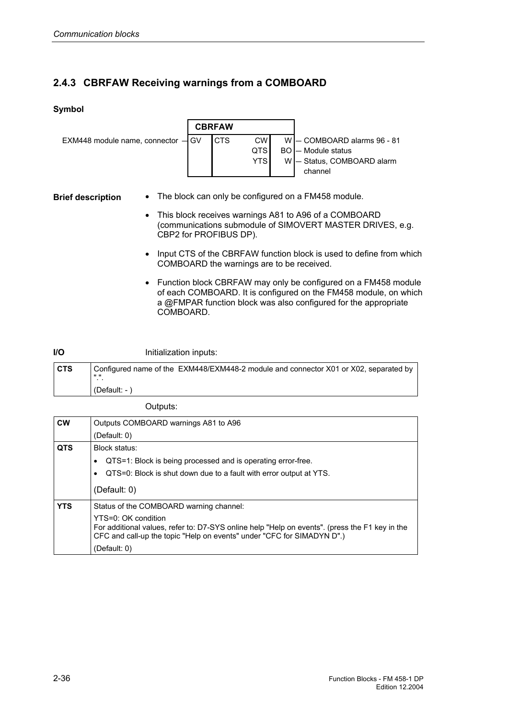# **2.4.3 CBRFAW Receiving warnings from a COMBOARD**

### **Symbol**



**Brief description** 

- The block can only be configured on a FM458 module.
- This block receives warnings A81 to A96 of a COMBOARD (communications submodule of SIMOVERT MASTER DRIVES, e.g. CBP2 for PROFIBUS DP).
- Input CTS of the CBRFAW function block is used to define from which COMBOARD the warnings are to be received.
- Function block CBRFAW may only be configured on a FM458 module of each COMBOARD. It is configured on the FM458 module, on which a @FMPAR function block was also configured for the appropriate COMBOARD.

#### Initialization inputs: **I/O**

| l CTS | Configured name of the EXM448/EXM448-2 module and connector X01 or X02, separated by<br>. .<br>. . |
|-------|----------------------------------------------------------------------------------------------------|
|       | $(Default: - )$                                                                                    |

Outputs:

| <b>CW</b>  | Outputs COMBOARD warnings A81 to A96                                                                                                                                                            |  |  |  |
|------------|-------------------------------------------------------------------------------------------------------------------------------------------------------------------------------------------------|--|--|--|
|            | (Default: 0)                                                                                                                                                                                    |  |  |  |
| <b>QTS</b> | Block status:                                                                                                                                                                                   |  |  |  |
|            | QTS=1: Block is being processed and is operating error-free.                                                                                                                                    |  |  |  |
|            | QTS=0: Block is shut down due to a fault with error output at YTS.                                                                                                                              |  |  |  |
|            | (Default: 0)                                                                                                                                                                                    |  |  |  |
| <b>YTS</b> | Status of the COMBOARD warning channel:                                                                                                                                                         |  |  |  |
|            | YTS=0: OK condition<br>For additional values, refer to: D7-SYS online help "Help on events". (press the F1 key in the<br>CFC and call-up the topic "Help on events" under "CFC for SIMADYN D".) |  |  |  |
|            | (Default: 0)                                                                                                                                                                                    |  |  |  |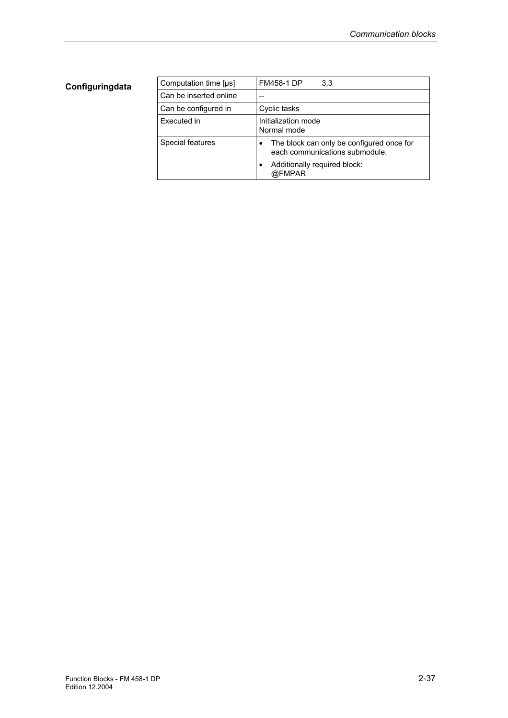| Computation time [µs]  | <b>FM458-1 DP</b><br>3,3                                                    |
|------------------------|-----------------------------------------------------------------------------|
| Can be inserted online |                                                                             |
| Can be configured in   | Cyclic tasks                                                                |
| Executed in            | Initialization mode<br>Normal mode                                          |
| Special features       | The block can only be configured once for<br>each communications submodule. |
|                        | Additionally required block:<br>@FMPAR                                      |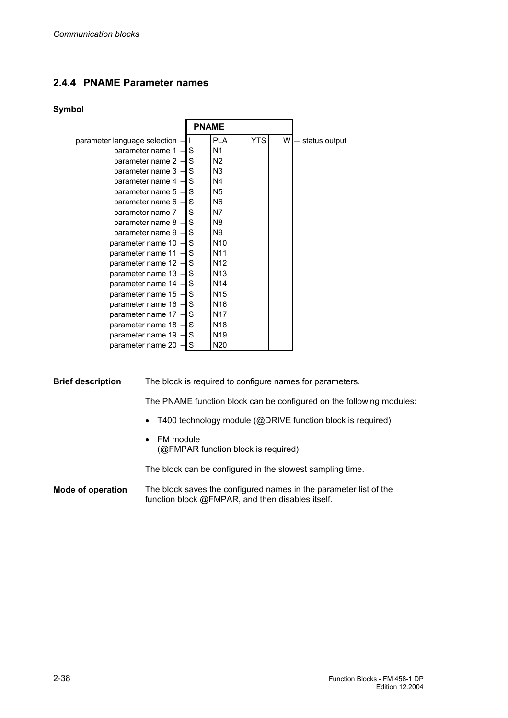# **2.4.4 PNAME Parameter names**

#### **Symbol**

|                                  | <b>PNAME</b> |                          |   |               |
|----------------------------------|--------------|--------------------------|---|---------------|
|                                  |              |                          |   |               |
| parameter language selection - I |              | <b>YTS</b><br><b>PLA</b> | W | status output |
| parameter name $1 - S$           |              | N <sub>1</sub>           |   |               |
| parameter name $2 - S$           |              | N <sub>2</sub>           |   |               |
| parameter name $3 - S$           |              | N3                       |   |               |
| parameter name $4 - S$           |              | N <sub>4</sub>           |   |               |
| parameter name $5 - S$           |              | N5                       |   |               |
| parameter name $6 - S$           |              | N6                       |   |               |
| parameter name $7 - S$           |              | N7                       |   |               |
| parameter name $8 - S$           |              | N <sub>8</sub>           |   |               |
| parameter name $9 - S$           |              | N9                       |   |               |
| parameter name $10 - S$          |              | N <sub>10</sub>          |   |               |
| parameter name $11 - S$          |              | N <sub>11</sub>          |   |               |
| parameter name $12 - S$          |              | N <sub>12</sub>          |   |               |
| parameter name $13 - S$          |              | N <sub>13</sub>          |   |               |
| parameter name $14 - S$          |              | N <sub>14</sub>          |   |               |
| parameter name $15 - S$          |              | N <sub>15</sub>          |   |               |
| parameter name $16 - S$          |              | N <sub>16</sub>          |   |               |
| parameter name $17 - S$          |              | N <sub>17</sub>          |   |               |
| parameter name $18 - S$          |              | N <sub>18</sub>          |   |               |
| parameter name $19 - S$          |              | N <sub>19</sub>          |   |               |
| parameter name $20 - S$          |              | N20                      |   |               |

#### **Brief description**

The block is required to configure names for parameters.

The PNAME function block can be configured on the following modules:

- T400 technology module (@DRIVE function block is required)
- FM module (@FMPAR function block is required)

The block can be configured in the slowest sampling time.

The block saves the configured names in the parameter list of the function block @FMPAR, and then disables itself. **Mode of operation**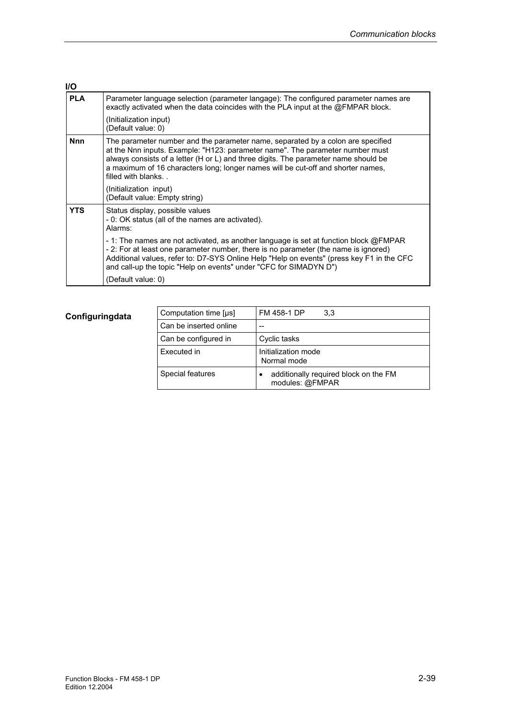| I/O        |                                                                                                                                                                                                                                                                                                                                                                    |
|------------|--------------------------------------------------------------------------------------------------------------------------------------------------------------------------------------------------------------------------------------------------------------------------------------------------------------------------------------------------------------------|
| <b>PLA</b> | Parameter language selection (parameter langage): The configured parameter names are<br>exactly activated when the data coincides with the PLA input at the @FMPAR block.                                                                                                                                                                                          |
|            | (Initialization input)<br>(Default value: 0)                                                                                                                                                                                                                                                                                                                       |
| <b>Nnn</b> | The parameter number and the parameter name, separated by a colon are specified<br>at the Nnn inputs. Example: "H123: parameter name". The parameter number must<br>always consists of a letter (H or L) and three digits. The parameter name should be<br>a maximum of 16 characters long; longer names will be cut-off and shorter names,<br>filled with blanks. |
|            | (Initialization input)<br>(Default value: Empty string)                                                                                                                                                                                                                                                                                                            |
| <b>YTS</b> | Status display, possible values<br>- 0: OK status (all of the names are activated).<br>Alarms:                                                                                                                                                                                                                                                                     |
|            | - 1: The names are not activated, as another language is set at function block @FMPAR<br>- 2: For at least one parameter number, there is no parameter (the name is ignored)<br>Additional values, refer to: D7-SYS Online Help "Help on events" (press key F1 in the CFC<br>and call-up the topic "Help on events" under "CFC for SIMADYN D")                     |
|            | (Default value: 0)                                                                                                                                                                                                                                                                                                                                                 |

| Computation time [µs]  | FM 458-1 DP<br>3.3                                       |
|------------------------|----------------------------------------------------------|
| Can be inserted online |                                                          |
| Can be configured in   | Cyclic tasks                                             |
| Executed in            | Initialization mode<br>Normal mode                       |
| Special features       | additionally required block on the FM<br>modules: @FMPAR |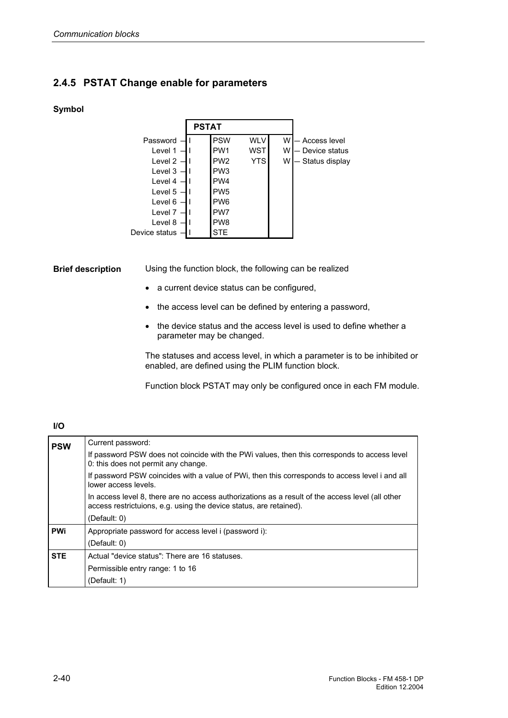# **2.4.5 PSTAT Change enable for parameters**

### **Symbol**

|               | <b>PSTAT</b> |                 |            |   |                |
|---------------|--------------|-----------------|------------|---|----------------|
| Password      |              | <b>PSW</b>      | <b>WLV</b> | W | – Access level |
| Level 1       |              | PW <sub>1</sub> | <b>WST</b> | W | Device status  |
| Level 2       |              | PW <sub>2</sub> | <b>YTS</b> | W | Status display |
| Level 3       |              | PW <sub>3</sub> |            |   |                |
| Level 4       |              | PW <sub>4</sub> |            |   |                |
| Level 5       |              | PW <sub>5</sub> |            |   |                |
| Level 6       |              | PW <sub>6</sub> |            |   |                |
| Level 7       |              | PW <sub>7</sub> |            |   |                |
| Level 8       |              | PW <sub>8</sub> |            |   |                |
| Device status |              | <b>STE</b>      |            |   |                |

Using the function block, the following can be realized **Brief description** 

- a current device status can be configured,
- the access level can be defined by entering a password,
- the device status and the access level is used to define whether a parameter may be changed.

The statuses and access level, in which a parameter is to be inhibited or enabled, are defined using the PLIM function block.

Function block PSTAT may only be configured once in each FM module.

#### **I/O**

| <b>PSW</b> | Current password:                                                                                                                                                      |
|------------|------------------------------------------------------------------------------------------------------------------------------------------------------------------------|
|            | If password PSW does not coincide with the PWi values, then this corresponds to access level<br>0: this does not permit any change.                                    |
|            | If password PSW coincides with a value of PWi, then this corresponds to access level i and all<br>lower access levels.                                                 |
|            | In access level 8, there are no access authorizations as a result of the access level (all other<br>access restrictuions, e.g. using the device status, are retained). |
|            | (Default: 0)                                                                                                                                                           |
| <b>PWi</b> | Appropriate password for access level i (password i):                                                                                                                  |
|            | (Default: $0$ )                                                                                                                                                        |
| <b>STE</b> | Actual "device status": There are 16 statuses.                                                                                                                         |
|            | Permissible entry range: 1 to 16                                                                                                                                       |
|            | (Default: 1)                                                                                                                                                           |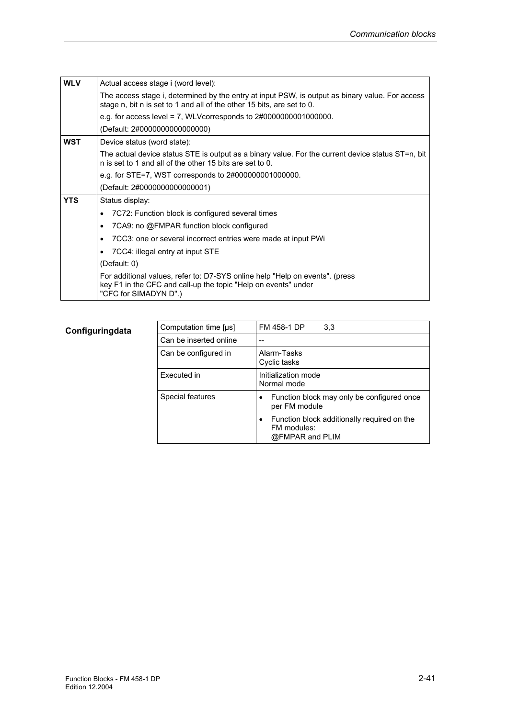| <b>WLV</b> | Actual access stage i (word level):                                                                                                                                       |
|------------|---------------------------------------------------------------------------------------------------------------------------------------------------------------------------|
|            | The access stage i, determined by the entry at input PSW, is output as binary value. For access<br>stage n, bit n is set to 1 and all of the other 15 bits, are set to 0. |
|            | e.g. for access level = 7, WLV corresponds to $2\#0000000001000000$ .                                                                                                     |
|            | (Default: 2#0000000000000000)                                                                                                                                             |
| <b>WST</b> | Device status (word state):                                                                                                                                               |
|            | The actual device status STE is output as a binary value. For the current device status ST=n, bit<br>n is set to 1 and all of the other 15 bits are set to 0.             |
|            | e.g. for STE=7, WST corresponds to $2\#000000001000000$ .                                                                                                                 |
|            | (Default: 2#0000000000000001)                                                                                                                                             |
| <b>YTS</b> | Status display:                                                                                                                                                           |
|            | 7C72: Function block is configured several times<br>$\bullet$                                                                                                             |
|            | 7CA9: no @FMPAR function block configured<br>$\bullet$                                                                                                                    |
|            | 7CC3: one or several incorrect entries were made at input PWi<br>$\bullet$                                                                                                |
|            | 7CC4: illegal entry at input STE<br>٠                                                                                                                                     |
|            | (Default: 0)                                                                                                                                                              |
|            | For additional values, refer to: D7-SYS online help "Help on events". (press<br>key F1 in the CFC and call-up the topic "Help on events" under<br>"CFC for SIMADYN D".)   |

| Computation time [µs]  | FM 458-1 DP<br>3,3                                                                         |
|------------------------|--------------------------------------------------------------------------------------------|
| Can be inserted online |                                                                                            |
| Can be configured in   | Alarm-Tasks<br>Cyclic tasks                                                                |
| Executed in            | Initialization mode<br>Normal mode                                                         |
| Special features       | Function block may only be configured once<br>per FM module                                |
|                        | Function block additionally required on the<br>$\bullet$<br>FM modules:<br>@FMPAR and PLIM |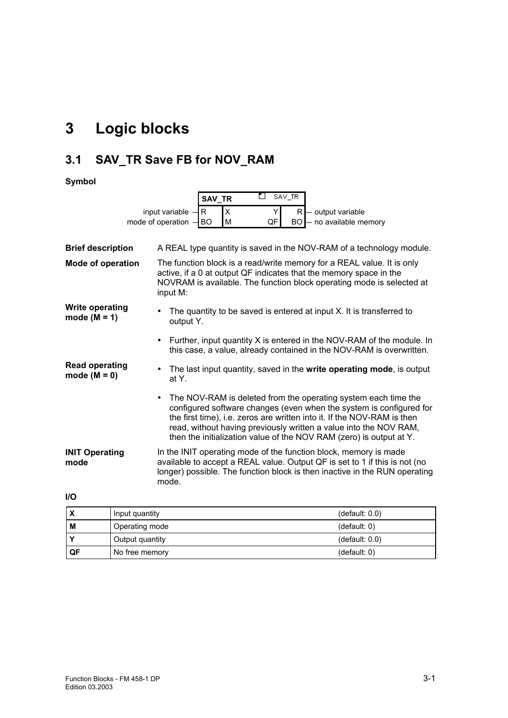# **3 Logic blocks**

# **3.1 SAV\_TR Save FB for NOV\_RAM**

|                                          | □<br>SAV TR<br><b>SAV TR</b>                                                                                                                                                                                                                                                                                                                                 |  |  |  |  |  |
|------------------------------------------|--------------------------------------------------------------------------------------------------------------------------------------------------------------------------------------------------------------------------------------------------------------------------------------------------------------------------------------------------------------|--|--|--|--|--|
|                                          | X<br>input variable<br>R<br>output variable<br>Y<br>R.                                                                                                                                                                                                                                                                                                       |  |  |  |  |  |
|                                          | mode of operation<br>QF<br>- no available memory<br><b>BO</b><br>M<br>BO                                                                                                                                                                                                                                                                                     |  |  |  |  |  |
|                                          |                                                                                                                                                                                                                                                                                                                                                              |  |  |  |  |  |
| <b>Brief description</b>                 | A REAL type quantity is saved in the NOV-RAM of a technology module.                                                                                                                                                                                                                                                                                         |  |  |  |  |  |
| <b>Mode of operation</b>                 | The function block is a read/write memory for a REAL value. It is only<br>active, if a 0 at output QF indicates that the memory space in the<br>NOVRAM is available. The function block operating mode is selected at<br>input M:                                                                                                                            |  |  |  |  |  |
| <b>Write operating</b><br>mode $(M = 1)$ | The quantity to be saved is entered at input X. It is transferred to<br>output Y.                                                                                                                                                                                                                                                                            |  |  |  |  |  |
|                                          | Further, input quantity X is entered in the NOV-RAM of the module. In<br>this case, a value, already contained in the NOV-RAM is overwritten.                                                                                                                                                                                                                |  |  |  |  |  |
| <b>Read operating</b><br>mode $(M = 0)$  | The last input quantity, saved in the write operating mode, is output<br>at Y.                                                                                                                                                                                                                                                                               |  |  |  |  |  |
|                                          | The NOV-RAM is deleted from the operating system each time the<br>configured software changes (even when the system is configured for<br>the first time), i.e. zeros are written into it. If the NOV-RAM is then<br>read, without having previously written a value into the NOV RAM,<br>then the initialization value of the NOV RAM (zero) is output at Y. |  |  |  |  |  |
| <b>INIT Operating</b><br>mode            | In the INIT operating mode of the function block, memory is made<br>available to accept a REAL value. Output QF is set to 1 if this is not (no<br>longer) possible. The function block is then inactive in the RUN operating<br>mode.                                                                                                                        |  |  |  |  |  |
| <b>I/O</b>                               |                                                                                                                                                                                                                                                                                                                                                              |  |  |  |  |  |

| 'X  | Input quantity  | (default: 0.0) |
|-----|-----------------|----------------|
| M   | Operating mode  | (default: 0)   |
|     | Output quantity | (default: 0.0) |
| .QF | No free memory  | (default: 0)   |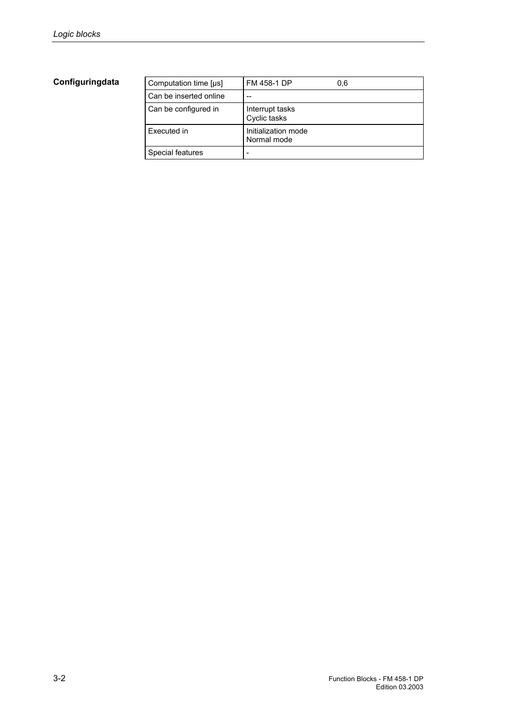| Computation time [µs]  | FM 458-1 DP                        | 0.6 |
|------------------------|------------------------------------|-----|
| Can be inserted online | --                                 |     |
| Can be configured in   | Interrupt tasks<br>Cyclic tasks    |     |
| Executed in            | Initialization mode<br>Normal mode |     |
| Special features       |                                    |     |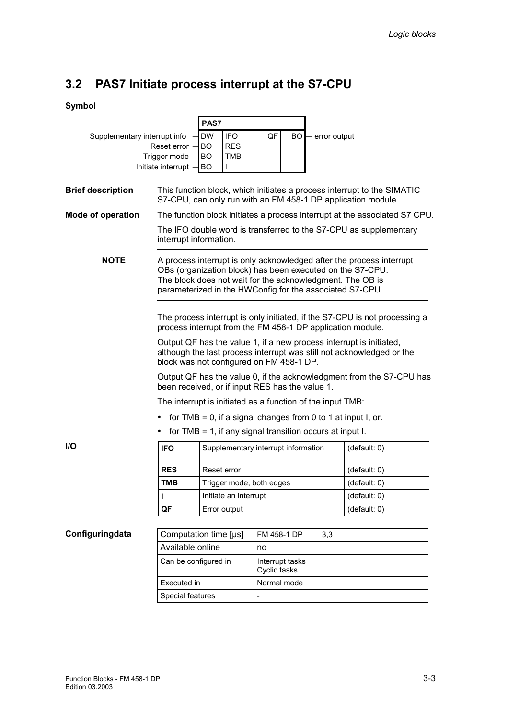# **3.2 PAS7 Initiate process interrupt at the S7-CPU**

|                                 |                                                                                                                         | PAS7                                               |                                                                                                                                                                                                                                                            |                                                                            |  |
|---------------------------------|-------------------------------------------------------------------------------------------------------------------------|----------------------------------------------------|------------------------------------------------------------------------------------------------------------------------------------------------------------------------------------------------------------------------------------------------------------|----------------------------------------------------------------------------|--|
| Supplementary interrupt info    |                                                                                                                         | <b>DW</b><br><b>IFO</b>                            | QF<br><b>BO</b><br>- error output                                                                                                                                                                                                                          |                                                                            |  |
| Reset error -<br>Trigger mode - |                                                                                                                         | <b>BO</b><br><b>RES</b><br><b>BO</b><br><b>TMB</b> |                                                                                                                                                                                                                                                            |                                                                            |  |
|                                 | Initiate interrupt -                                                                                                    | <b>BO</b>                                          |                                                                                                                                                                                                                                                            |                                                                            |  |
|                                 |                                                                                                                         |                                                    |                                                                                                                                                                                                                                                            |                                                                            |  |
| <b>Brief description</b>        |                                                                                                                         |                                                    | This function block, which initiates a process interrupt to the SIMATIC<br>S7-CPU, can only run with an FM 458-1 DP application module.                                                                                                                    |                                                                            |  |
| <b>Mode of operation</b>        |                                                                                                                         |                                                    |                                                                                                                                                                                                                                                            | The function block initiates a process interrupt at the associated S7 CPU. |  |
|                                 |                                                                                                                         | interrupt information.                             | The IFO double word is transferred to the S7-CPU as supplementary                                                                                                                                                                                          |                                                                            |  |
| <b>NOTE</b>                     |                                                                                                                         |                                                    | A process interrupt is only acknowledged after the process interrupt<br>OBs (organization block) has been executed on the S7-CPU.<br>The block does not wait for the acknowledgment. The OB is<br>parameterized in the HWConfig for the associated S7-CPU. |                                                                            |  |
|                                 |                                                                                                                         |                                                    | process interrupt from the FM 458-1 DP application module.                                                                                                                                                                                                 | The process interrupt is only initiated, if the S7-CPU is not processing a |  |
|                                 |                                                                                                                         |                                                    | Output QF has the value 1, if a new process interrupt is initiated,<br>although the last process interrupt was still not acknowledged or the<br>block was not configured on FM 458-1 DP.                                                                   |                                                                            |  |
|                                 | Output QF has the value 0, if the acknowledgment from the S7-CPU has<br>been received, or if input RES has the value 1. |                                                    |                                                                                                                                                                                                                                                            |                                                                            |  |
|                                 | The interrupt is initiated as a function of the input TMB:                                                              |                                                    |                                                                                                                                                                                                                                                            |                                                                            |  |
|                                 | for TMB = 0, if a signal changes from 0 to 1 at input I, or.                                                            |                                                    |                                                                                                                                                                                                                                                            |                                                                            |  |
|                                 |                                                                                                                         |                                                    | for TMB = 1, if any signal transition occurs at input $I$ .                                                                                                                                                                                                |                                                                            |  |
| <b>I/O</b>                      | <b>IFO</b>                                                                                                              |                                                    | Supplementary interrupt information                                                                                                                                                                                                                        | (detault: 0)                                                               |  |
|                                 | <b>RES</b>                                                                                                              | Reset error                                        |                                                                                                                                                                                                                                                            | (detault: 0)                                                               |  |
|                                 | TMB                                                                                                                     | Trigger mode, both edges                           |                                                                                                                                                                                                                                                            | (default: 0)                                                               |  |
|                                 | L                                                                                                                       | Initiate an interrupt                              |                                                                                                                                                                                                                                                            | (default: 0)                                                               |  |
|                                 | QF                                                                                                                      | Error output                                       |                                                                                                                                                                                                                                                            | (detault: 0)                                                               |  |
|                                 |                                                                                                                         |                                                    |                                                                                                                                                                                                                                                            |                                                                            |  |
| Configuringdata                 | Computation time [µs]                                                                                                   |                                                    | FM 458-1 DP<br>3,3                                                                                                                                                                                                                                         |                                                                            |  |
|                                 | Available online                                                                                                        |                                                    | no                                                                                                                                                                                                                                                         |                                                                            |  |
|                                 | Can be configured in                                                                                                    |                                                    | Interrupt tasks<br>Cyclic tasks                                                                                                                                                                                                                            |                                                                            |  |
|                                 | Executed in                                                                                                             |                                                    | Normal mode                                                                                                                                                                                                                                                |                                                                            |  |
|                                 | Special features                                                                                                        |                                                    |                                                                                                                                                                                                                                                            |                                                                            |  |
|                                 |                                                                                                                         |                                                    |                                                                                                                                                                                                                                                            |                                                                            |  |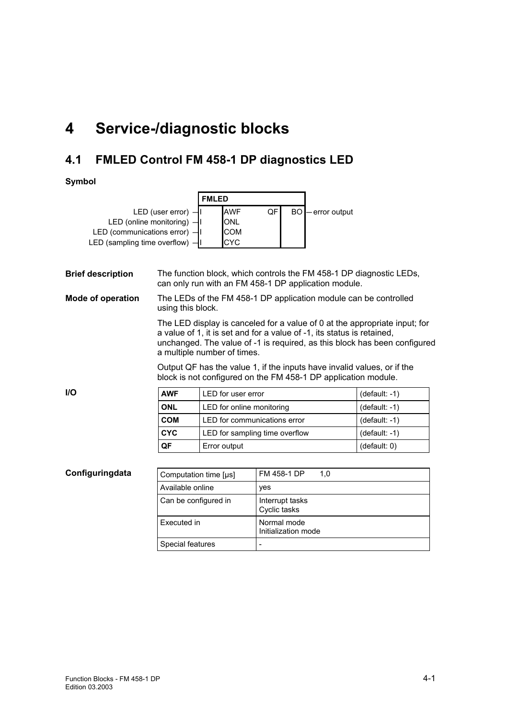# **4 Service-/diagnostic blocks**

# **4.1 FMLED Control FM 458-1 DP diagnostics LED**

|                                     | <b>FMLED</b> |            |    |  |                   |
|-------------------------------------|--------------|------------|----|--|-------------------|
| LED (user error) $-1$               |              | <b>AWF</b> | QF |  | BO - error output |
| LED (online monitoring) -I          |              | <b>ONL</b> |    |  |                   |
| LED (communications error) $-$ II   |              | <b>COM</b> |    |  |                   |
| LED (sampling time overflow) $-$ II |              | ICYC.      |    |  |                   |

| <b>Brief description</b> |                       | The function block, which controls the FM 458-1 DP diagnostic LEDs,<br>can only run with an FM 458-1 DP application module.                                                                                                                                      |                                                                                                                                           |                 |  |  |  |
|--------------------------|-----------------------|------------------------------------------------------------------------------------------------------------------------------------------------------------------------------------------------------------------------------------------------------------------|-------------------------------------------------------------------------------------------------------------------------------------------|-----------------|--|--|--|
| <b>Mode of operation</b> |                       | The LEDs of the FM 458-1 DP application module can be controlled<br>using this block.                                                                                                                                                                            |                                                                                                                                           |                 |  |  |  |
|                          |                       | The LED display is canceled for a value of 0 at the appropriate input; for<br>a value of 1, it is set and for a value of -1, its status is retained,<br>unchanged. The value of -1 is required, as this block has been configured<br>a multiple number of times. |                                                                                                                                           |                 |  |  |  |
|                          |                       |                                                                                                                                                                                                                                                                  | Output QF has the value 1, if the inputs have invalid values, or if the<br>block is not configured on the FM 458-1 DP application module. |                 |  |  |  |
| <b>I/O</b>               | <b>AWF</b>            | LED for user error                                                                                                                                                                                                                                               |                                                                                                                                           | $(default: -1)$ |  |  |  |
|                          | <b>ONL</b>            | LED for online monitoring                                                                                                                                                                                                                                        |                                                                                                                                           | (default: -1)   |  |  |  |
|                          | <b>COM</b>            | LED for communications error                                                                                                                                                                                                                                     |                                                                                                                                           | $(default: -1)$ |  |  |  |
|                          | <b>CYC</b>            |                                                                                                                                                                                                                                                                  | LED for sampling time overflow                                                                                                            | $(default: -1)$ |  |  |  |
|                          | QF                    | Error output<br>(default: 0)                                                                                                                                                                                                                                     |                                                                                                                                           |                 |  |  |  |
|                          |                       |                                                                                                                                                                                                                                                                  |                                                                                                                                           |                 |  |  |  |
| Configuringdata          | Computation time [µs] |                                                                                                                                                                                                                                                                  | FM 458-1 DP<br>1,0                                                                                                                        |                 |  |  |  |
|                          | Available online      |                                                                                                                                                                                                                                                                  | yes                                                                                                                                       |                 |  |  |  |

| Available online     | ves                                |
|----------------------|------------------------------------|
| Can be configured in | Interrupt tasks<br>Cyclic tasks    |
| Executed in          | Normal mode<br>Initialization mode |
| Special features     |                                    |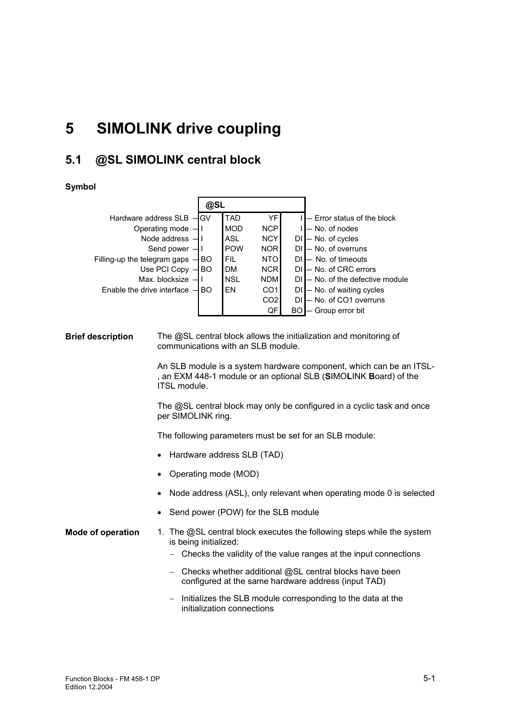# **5 SIMOLINK drive coupling**

# **5.1 @SL SIMOLINK central block**

#### **Symbol**

|                                  | @SL |            |                 |    |                               |
|----------------------------------|-----|------------|-----------------|----|-------------------------------|
| Hardware address SLB -GV         |     | <b>TAD</b> | YF              |    | - Error status of the block   |
| Operating mode $-$               |     | <b>MOD</b> | <b>NCP</b>      |    | - No. of nodes                |
| Node address $-$                 |     | ASL        | <b>NCY</b>      |    | - No. of cycles               |
| Send power $-$                   |     | <b>POW</b> | <b>NOR</b>      | DI | - No. of overruns             |
| Filling-up the telegram gaps $-$ | IBO | FIL        | <b>NTO</b>      | DI | - No. of timeouts             |
| Use PCI Copy                     | IBO | <b>DM</b>  | <b>NCR</b>      | DI | - No. of CRC errors           |
| Max. blocksize                   |     | <b>NSL</b> | <b>NDM</b>      | DΙ | - No. of the defective module |
| Enable the drive interface $-$   | IBO | EN         | CO <sub>1</sub> | DI | - No. of waiting cycles       |
|                                  |     |            | CO <sub>2</sub> | DI | - No. of CO1 overruns         |
|                                  |     |            | QF              | BΟ | Group error bit               |

The @SL central block allows the initialization and monitoring of communications with an SLB module. **Brief description** 

> An SLB module is a system hardware component, which can be an ITSL- , an EXM 448-1 module or an optional SLB (**S**IMO**L**INK **B**oard) of the ITSL module.

The @SL central block may only be configured in a cyclic task and once per SIMOLINK ring.

The following parameters must be set for an SLB module:

- Hardware address SLB (TAD)
- Operating mode (MOD)
- Node address (ASL), only relevant when operating mode 0 is selected
- Send power (POW) for the SLB module
- 1. The @SL central block executes the following steps while the system is being initialized: **Mode of operation** 
	- − Checks the validity of the value ranges at the input connections
	- − Checks whether additional @SL central blocks have been configured at the same hardware address (input TAD)
	- − Initializes the SLB module corresponding to the data at the initialization connections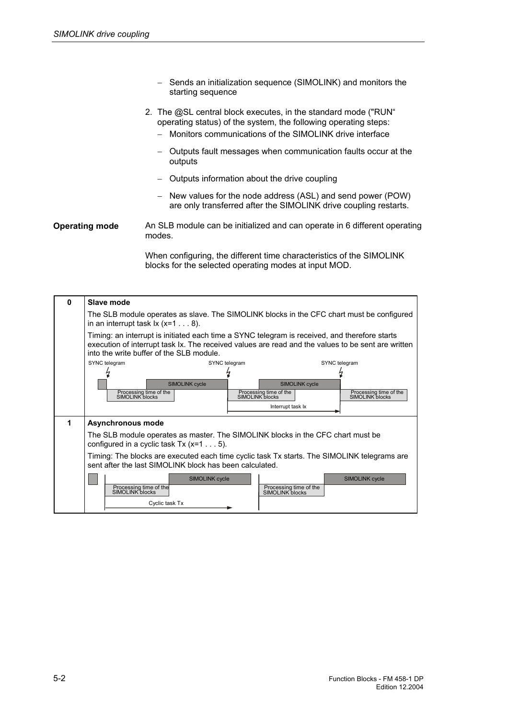- − Sends an initialization sequence (SIMOLINK) and monitors the starting sequence
- 2. The @SL central block executes, in the standard mode ("RUN" operating status) of the system, the following operating steps:
	- − Monitors communications of the SIMOLINK drive interface
	- − Outputs fault messages when communication faults occur at the outputs
	- − Outputs information about the drive coupling
	- − New values for the node address (ASL) and send power (POW) are only transferred after the SIMOLINK drive coupling restarts.

#### An SLB module can be initialized and can operate in 6 different operating modes. **Operating mode**

When configuring, the different time characteristics of the SIMOLINK blocks for the selected operating modes at input MOD.

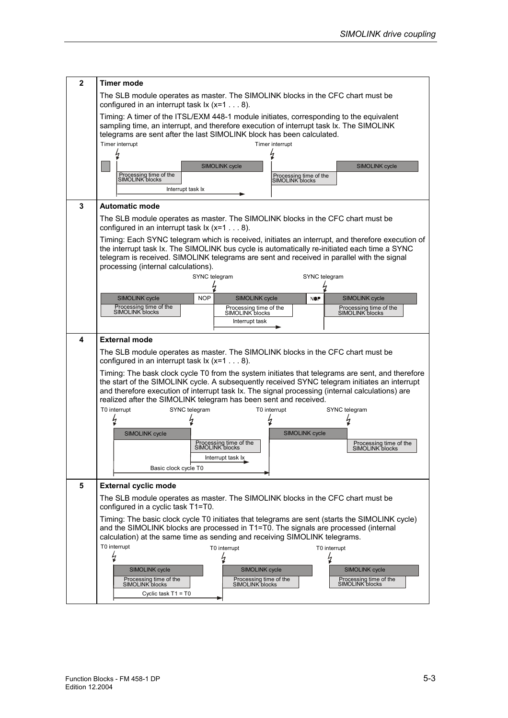| $\mathbf{2}$ | Timer mode                                                                                                                                                                                                                                                                                                                                                               |  |  |  |  |  |  |  |
|--------------|--------------------------------------------------------------------------------------------------------------------------------------------------------------------------------------------------------------------------------------------------------------------------------------------------------------------------------------------------------------------------|--|--|--|--|--|--|--|
|              | The SLB module operates as master. The SIMOLINK blocks in the CFC chart must be<br>configured in an interrupt task $1 \times (x=1 \dots 8)$ .                                                                                                                                                                                                                            |  |  |  |  |  |  |  |
|              | Timing: A timer of the ITSL/EXM 448-1 module initiates, corresponding to the equivalent<br>sampling time, an interrupt, and therefore execution of interrupt task Ix. The SIMOLINK<br>telegrams are sent after the last SIMOLINK block has been calculated.<br>Timer interrupt<br>Timer interrupt                                                                        |  |  |  |  |  |  |  |
|              |                                                                                                                                                                                                                                                                                                                                                                          |  |  |  |  |  |  |  |
|              | <b>SIMOLINK cycle</b><br><b>SIMOLINK cycle</b>                                                                                                                                                                                                                                                                                                                           |  |  |  |  |  |  |  |
|              | Processing time of the<br>Processing time of the<br>SIMOLINK blocks<br>SIMOLINK blocks                                                                                                                                                                                                                                                                                   |  |  |  |  |  |  |  |
|              | Interrupt task Ix                                                                                                                                                                                                                                                                                                                                                        |  |  |  |  |  |  |  |
| 3            | <b>Automatic mode</b>                                                                                                                                                                                                                                                                                                                                                    |  |  |  |  |  |  |  |
|              | The SLB module operates as master. The SIMOLINK blocks in the CFC chart must be<br>configured in an interrupt task $1 \times (x=1 \dots 8)$ .                                                                                                                                                                                                                            |  |  |  |  |  |  |  |
|              | Timing: Each SYNC telegram which is received, initiates an interrupt, and therefore execution of<br>the interrupt task Ix. The SIMOLINK bus cycle is automatically re-initiated each time a SYNC<br>telegram is received. SIMOLINK telegrams are sent and received in parallel with the signal<br>processing (internal calculations).                                    |  |  |  |  |  |  |  |
|              | SYNC telegram<br>SYNC telegram                                                                                                                                                                                                                                                                                                                                           |  |  |  |  |  |  |  |
|              |                                                                                                                                                                                                                                                                                                                                                                          |  |  |  |  |  |  |  |
|              | <b>NOP</b><br>SIMOLINK cycle<br>SIMOLINK cycle<br><b>SIMOLINK cycle</b><br><b>NOP</b><br>Processing time of the<br>Processing time of the<br>Processing time of the                                                                                                                                                                                                      |  |  |  |  |  |  |  |
|              | SIMOLINK blocks<br>SIMOLINK blocks<br>SIMOLINK blocks<br>Interrupt task                                                                                                                                                                                                                                                                                                  |  |  |  |  |  |  |  |
|              |                                                                                                                                                                                                                                                                                                                                                                          |  |  |  |  |  |  |  |
| 4            | <b>External mode</b>                                                                                                                                                                                                                                                                                                                                                     |  |  |  |  |  |  |  |
|              | The SLB module operates as master. The SIMOLINK blocks in the CFC chart must be<br>configured in an interrupt task $1 \times (x=1 \dots 8)$ .                                                                                                                                                                                                                            |  |  |  |  |  |  |  |
|              | Timing: The bask clock cycle T0 from the system initiates that telegrams are sent, and therefore<br>the start of the SIMOLINK cycle. A subsequently received SYNC telegram initiates an interrupt<br>and therefore execution of interrupt task Ix. The signal processing (internal calculations) are<br>realized after the SIMOLINK telegram has been sent and received. |  |  |  |  |  |  |  |
|              | T0 interrupt<br>T0 interrupt<br>SYNC telegram<br>SYNC telegram                                                                                                                                                                                                                                                                                                           |  |  |  |  |  |  |  |
|              | k                                                                                                                                                                                                                                                                                                                                                                        |  |  |  |  |  |  |  |
|              | <b>SIMOLINK cycle</b><br><b>SIMOLINK cycle</b>                                                                                                                                                                                                                                                                                                                           |  |  |  |  |  |  |  |
|              | Processing time of the<br>Processing time of the<br>SIMOLINK blocks<br>SIMOLINK blocks                                                                                                                                                                                                                                                                                   |  |  |  |  |  |  |  |
|              | Interrupt task Ix                                                                                                                                                                                                                                                                                                                                                        |  |  |  |  |  |  |  |
|              | Basic clock cycle T0                                                                                                                                                                                                                                                                                                                                                     |  |  |  |  |  |  |  |
| 5            | <b>External cyclic mode</b>                                                                                                                                                                                                                                                                                                                                              |  |  |  |  |  |  |  |
|              | The SLB module operates as master. The SIMOLINK blocks in the CFC chart must be<br>configured in a cyclic task T1=T0.                                                                                                                                                                                                                                                    |  |  |  |  |  |  |  |
|              | Timing: The basic clock cycle T0 initiates that telegrams are sent (starts the SIMOLINK cycle)<br>and the SIMOLINK blocks are processed in T1=T0. The signals are processed (internal<br>calculation) at the same time as sending and receiving SIMOLINK telegrams.                                                                                                      |  |  |  |  |  |  |  |
|              | T0 interrupt<br>T0 interrupt<br>T0 interrupt                                                                                                                                                                                                                                                                                                                             |  |  |  |  |  |  |  |
|              | k<br>k                                                                                                                                                                                                                                                                                                                                                                   |  |  |  |  |  |  |  |
|              | SIMOLINK cycle<br>SIMOLINK cycle<br><b>SIMOLINK cycle</b><br>Processing time of the<br>Processing time of the<br>Processing time of the<br>SIMOLINK blocks<br>SIMOLINK blocks<br>SIMOLINK blocks<br>Cyclic task $T1 = T0$                                                                                                                                                |  |  |  |  |  |  |  |
|              |                                                                                                                                                                                                                                                                                                                                                                          |  |  |  |  |  |  |  |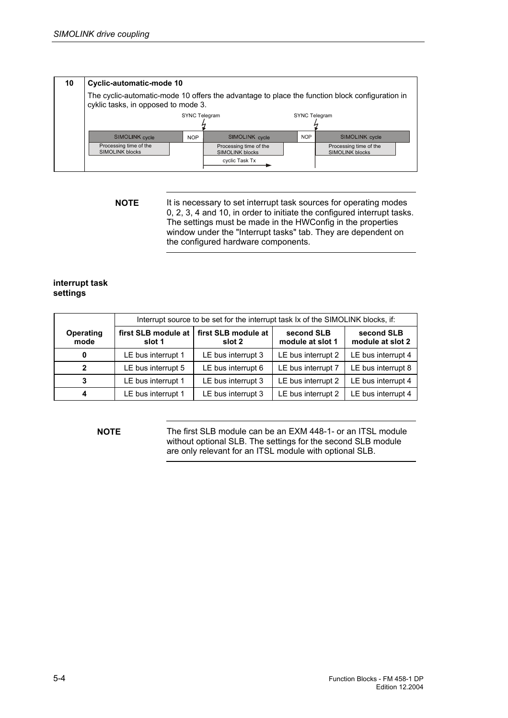| 10 | Cyclic-automatic-mode 10                                                                                                              |            |                                                  |            |                                                  |  |  |  |
|----|---------------------------------------------------------------------------------------------------------------------------------------|------------|--------------------------------------------------|------------|--------------------------------------------------|--|--|--|
|    | The cyclic-automatic-mode 10 offers the advantage to place the function block configuration in<br>cyklic tasks, in opposed to mode 3. |            |                                                  |            |                                                  |  |  |  |
|    | <b>SYNC Telegram</b><br>SYNC Telegram                                                                                                 |            |                                                  |            |                                                  |  |  |  |
|    |                                                                                                                                       |            |                                                  |            |                                                  |  |  |  |
|    | SIMOLINK cycle                                                                                                                        | <b>NOP</b> | SIMOLINK cycle                                   | <b>NOP</b> | SIMOLINK cycle                                   |  |  |  |
|    | Processing time of the<br><b>SIMOLINK blocks</b>                                                                                      |            | Processing time of the<br><b>SIMOLINK blocks</b> |            | Processing time of the<br><b>SIMOLINK blocks</b> |  |  |  |
|    |                                                                                                                                       |            | cyclic Task Tx                                   |            |                                                  |  |  |  |

**NOTE** It is necessary to set interrupt task sources for operating modes 0, 2, 3, 4 and 10, in order to initiate the configured interrupt tasks. The settings must be made in the HWConfig in the properties window under the "Interrupt tasks" tab. They are dependent on the configured hardware components.

#### **interrupt task settings**

|                          | Interrupt source to be set for the interrupt task Ix of the SIMOLINK blocks, if: |                               |                                |                                |  |  |  |  |
|--------------------------|----------------------------------------------------------------------------------|-------------------------------|--------------------------------|--------------------------------|--|--|--|--|
| <b>Operating</b><br>mode | first SLB module at<br>slot 1                                                    | first SLB module at<br>slot 2 | second SLB<br>module at slot 1 | second SLB<br>module at slot 2 |  |  |  |  |
| 0                        | LE bus interrupt 1                                                               | LE bus interrupt 3            | LE bus interrupt 2             | LE bus interrupt 4             |  |  |  |  |
| $\mathbf{2}$             | LE bus interrupt 5                                                               | LE bus interrupt 6            | LE bus interrupt 7             | LE bus interrupt 8             |  |  |  |  |
| 3                        | LE bus interrupt 1                                                               | LE bus interrupt 3            | LE bus interrupt 2             | LE bus interrupt 4             |  |  |  |  |
| 4                        | LE bus interrupt 1                                                               | LE bus interrupt 3            | LE bus interrupt 2             | LE bus interrupt 4             |  |  |  |  |

**NOTE** The first SLB module can be an EXM 448-1- or an ITSL module without optional SLB. The settings for the second SLB module are only relevant for an ITSL module with optional SLB.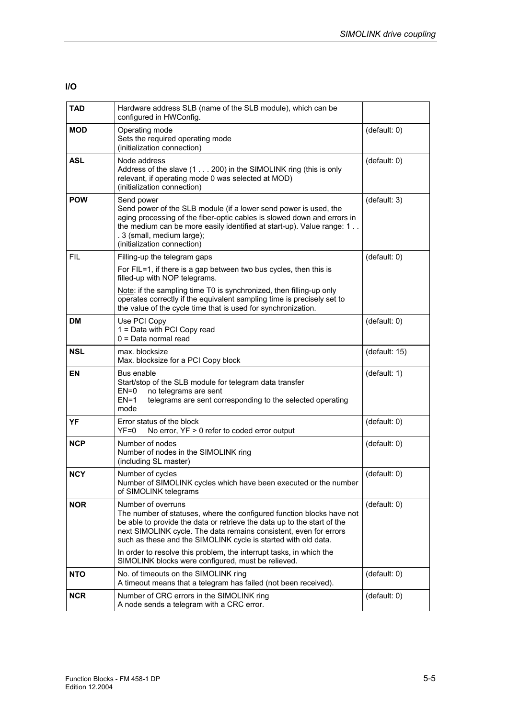#### **I/O**

| <b>TAD</b> | Hardware address SLB (name of the SLB module), which can be<br>configured in HWConfig.                                                                                                                                                                                                                        |               |
|------------|---------------------------------------------------------------------------------------------------------------------------------------------------------------------------------------------------------------------------------------------------------------------------------------------------------------|---------------|
| MOD        | Operating mode<br>Sets the required operating mode<br>(initialization connection)                                                                                                                                                                                                                             | (default: 0)  |
| <b>ASL</b> | Node address<br>Address of the slave (1 200) in the SIMOLINK ring (this is only<br>relevant, if operating mode 0 was selected at MOD)<br>(initialization connection)                                                                                                                                          | (default: 0)  |
| <b>POW</b> | Send power<br>Send power of the SLB module (if a lower send power is used, the<br>aging processing of the fiber-optic cables is slowed down and errors in<br>the medium can be more easily identified at start-up). Value range: 1<br>. 3 (small, medium large);<br>(initialization connection)               | (default: 3)  |
| <b>FIL</b> | Filling-up the telegram gaps<br>For FIL=1, if there is a gap between two bus cycles, then this is<br>filled-up with NOP telegrams.                                                                                                                                                                            | (default: 0)  |
|            | Note: if the sampling time T0 is synchronized, then filling-up only<br>operates correctly if the equivalent sampling time is precisely set to<br>the value of the cycle time that is used for synchronization.                                                                                                |               |
| DM         | Use PCI Copy<br>1 = Data with PCI Copy read<br>$0 = Data normal read$                                                                                                                                                                                                                                         | (default: 0)  |
| <b>NSL</b> | max. blocksize<br>Max. blocksize for a PCI Copy block                                                                                                                                                                                                                                                         | (default: 15) |
| EN         | Bus enable<br>Start/stop of the SLB module for telegram data transfer<br>$EN=0$<br>no telegrams are sent<br>$EN=1$<br>telegrams are sent corresponding to the selected operating<br>mode                                                                                                                      | (default: 1)  |
| YF         | Error status of the block<br>No error, YF > 0 refer to coded error output<br>$YF=0$                                                                                                                                                                                                                           | (default: 0)  |
| <b>NCP</b> | Number of nodes<br>Number of nodes in the SIMOLINK ring<br>(including SL master)                                                                                                                                                                                                                              | (default: 0)  |
| <b>NCY</b> | Number of cycles<br>Number of SIMOLINK cycles which have been executed or the number<br>of SIMOLINK telegrams                                                                                                                                                                                                 | (detault: 0)  |
| <b>NOR</b> | Number of overruns<br>The number of statuses, where the configured function blocks have not<br>be able to provide the data or retrieve the data up to the start of the<br>next SIMOLINK cycle. The data remains consistent, even for errors<br>such as these and the SIMOLINK cycle is started with old data. | (default: 0)  |
|            | In order to resolve this problem, the interrupt tasks, in which the<br>SIMOLINK blocks were configured, must be relieved.                                                                                                                                                                                     |               |
| <b>NTO</b> | No. of timeouts on the SIMOLINK ring<br>A timeout means that a telegram has failed (not been received).                                                                                                                                                                                                       | (default: 0)  |
| <b>NCR</b> | Number of CRC errors in the SIMOLINK ring<br>A node sends a telegram with a CRC error.                                                                                                                                                                                                                        | (default: 0)  |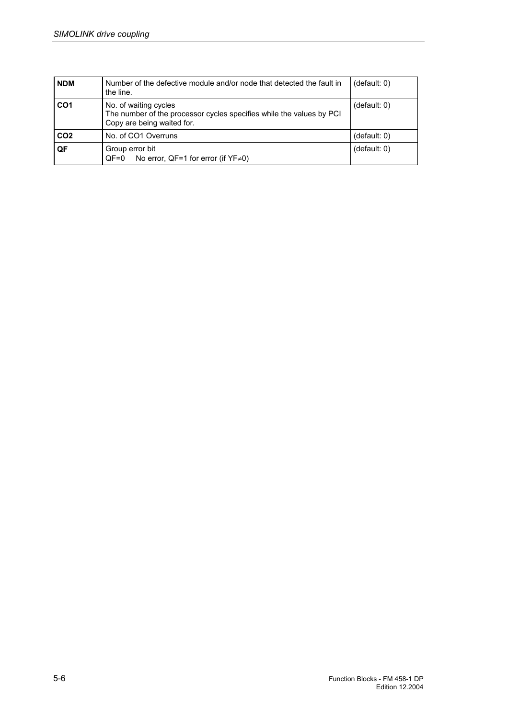| <b>NDM</b>      | Number of the defective module and/or node that detected the fault in<br>the line.                                          | (detault: 0) |
|-----------------|-----------------------------------------------------------------------------------------------------------------------------|--------------|
| CO <sub>1</sub> | No. of waiting cycles<br>The number of the processor cycles specifies while the values by PCI<br>Copy are being waited for. | (detault: 0) |
| CO <sub>2</sub> | No. of CO1 Overruns                                                                                                         | (default: 0) |
| QF              | Group error bit<br>No error, QF=1 for error (if $YF\neq 0$ )<br>$OF=0$                                                      | (detault: 0) |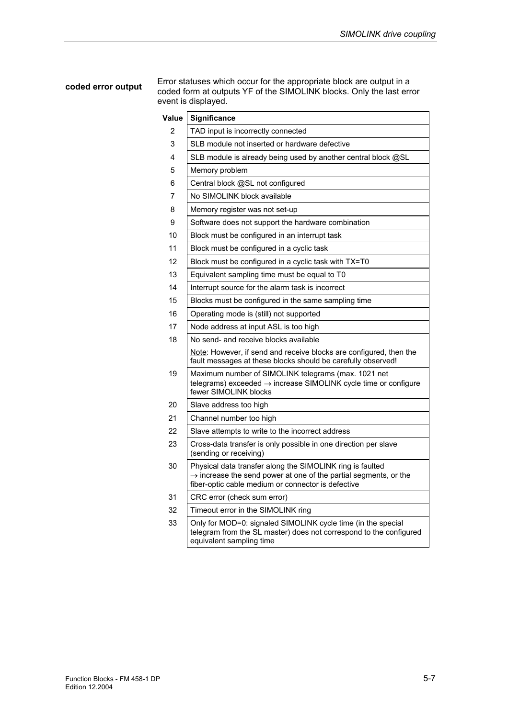#### **coded error output**

Error statuses which occur for the appropriate block are output in a coded form at outputs YF of the SIMOLINK blocks. Only the last error event is displayed.

| Value | Significance                                                                                                                                                                                    |
|-------|-------------------------------------------------------------------------------------------------------------------------------------------------------------------------------------------------|
| 2     | TAD input is incorrectly connected                                                                                                                                                              |
| 3     | SLB module not inserted or hardware defective                                                                                                                                                   |
| 4     | SLB module is already being used by another central block @SL                                                                                                                                   |
| 5     | Memory problem                                                                                                                                                                                  |
| 6     | Central block @SL not configured                                                                                                                                                                |
| 7     | No SIMOLINK block available                                                                                                                                                                     |
| 8     | Memory register was not set-up                                                                                                                                                                  |
| 9     | Software does not support the hardware combination                                                                                                                                              |
| 10    | Block must be configured in an interrupt task                                                                                                                                                   |
| 11    | Block must be configured in a cyclic task                                                                                                                                                       |
| 12    | Block must be configured in a cyclic task with TX=T0                                                                                                                                            |
| 13    | Equivalent sampling time must be equal to T0                                                                                                                                                    |
| 14    | Interrupt source for the alarm task is incorrect                                                                                                                                                |
| 15    | Blocks must be configured in the same sampling time                                                                                                                                             |
| 16    | Operating mode is (still) not supported                                                                                                                                                         |
| 17    | Node address at input ASL is too high                                                                                                                                                           |
| 18    | No send- and receive blocks available                                                                                                                                                           |
|       | Note: However, if send and receive blocks are configured, then the<br>fault messages at these blocks should be carefully observed!                                                              |
| 19    | Maximum number of SIMOLINK telegrams (max. 1021 net<br>telegrams) exceeded $\rightarrow$ increase SIMOLINK cycle time or configure<br>fewer SIMOLINK blocks                                     |
| 20    | Slave address too high                                                                                                                                                                          |
| 21    | Channel number too high                                                                                                                                                                         |
| 22    | Slave attempts to write to the incorrect address                                                                                                                                                |
| 23    | Cross-data transfer is only possible in one direction per slave<br>(sending or receiving)                                                                                                       |
| 30    | Physical data transfer along the SIMOLINK ring is faulted<br>$\rightarrow$ increase the send power at one of the partial segments, or the<br>fiber-optic cable medium or connector is defective |
| 31    | CRC error (check sum error)                                                                                                                                                                     |
| 32    | Timeout error in the SIMOLINK ring                                                                                                                                                              |
| 33    | Only for MOD=0: signaled SIMOLINK cycle time (in the special<br>telegram from the SL master) does not correspond to the configured<br>equivalent sampling time                                  |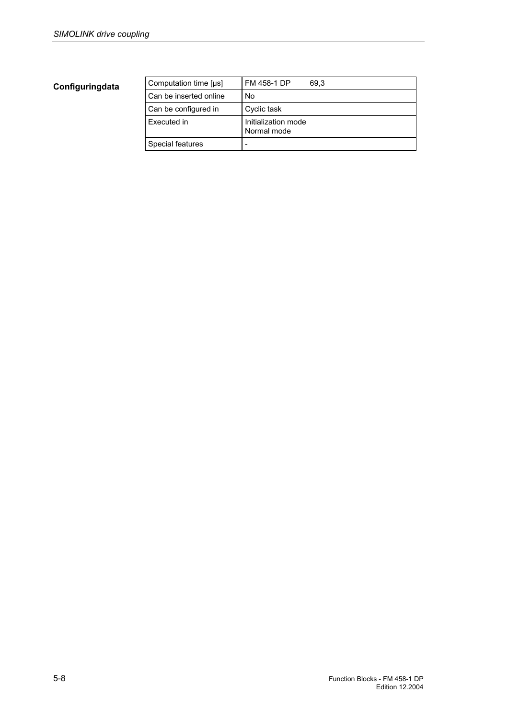| Computation time [µs]  | FM 458-1 DP<br>69.3                |
|------------------------|------------------------------------|
| Can be inserted online | No                                 |
| Can be configured in   | Cyclic task                        |
| Executed in            | Initialization mode<br>Normal mode |
| Special features       | -                                  |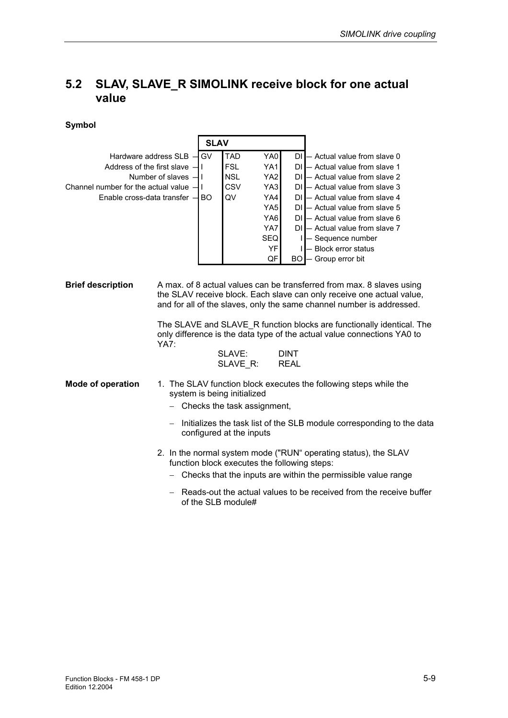# **5.2 SLAV, SLAVE\_R SIMOLINK receive block for one actual value**

÷

|                                                                                                       |                                                                                                                                                                                                                         | <b>SLAV</b>                      |                                                                          |                                                                                                        |                            |                                                                                                                                                                                                                                                                                                                                                |
|-------------------------------------------------------------------------------------------------------|-------------------------------------------------------------------------------------------------------------------------------------------------------------------------------------------------------------------------|----------------------------------|--------------------------------------------------------------------------|--------------------------------------------------------------------------------------------------------|----------------------------|------------------------------------------------------------------------------------------------------------------------------------------------------------------------------------------------------------------------------------------------------------------------------------------------------------------------------------------------|
| Address of the first slave -<br>Channel number for the actual value -<br>Enable cross-data transfer - | Hardware address SLB -<br>Number of slaves $-1$                                                                                                                                                                         | <b>GV</b><br>П<br>П<br><b>BO</b> | <b>TAD</b><br><b>FSL</b><br><b>NSL</b><br><b>CSV</b><br>QV               | YA0<br>YA1<br>YA <sub>2</sub><br>YA3<br>YA4<br>YA <sub>5</sub><br>YA6<br>YA7<br><b>SEQ</b><br>YF<br>QF | <b>BO</b>                  | DII- Actual value from slave 0<br>DI - Actual value from slave 1<br>DI - Actual value from slave 2<br>DI - Actual value from slave 3<br>DI - Actual value from slave 4<br>DI - Actual value from slave 5<br>DI - Actual value from slave 6<br>DI - Actual value from slave 7<br>I - Sequence number<br>- Block error status<br>Group error bit |
| <b>Brief description</b>                                                                              | A max. of 8 actual values can be transferred from max. 8 slaves using<br>the SLAV receive block. Each slave can only receive one actual value,<br>and for all of the slaves, only the same channel number is addressed. |                                  |                                                                          |                                                                                                        |                            |                                                                                                                                                                                                                                                                                                                                                |
|                                                                                                       | <b>YA7:</b>                                                                                                                                                                                                             |                                  | SLAVE:<br>SLAVE R:                                                       |                                                                                                        | <b>DINT</b><br><b>REAL</b> | The SLAVE and SLAVE_R function blocks are functionally identical. The<br>only difference is the data type of the actual value connections YA0 to                                                                                                                                                                                               |
| <b>Mode of operation</b>                                                                              |                                                                                                                                                                                                                         |                                  | system is being initialized<br>Checks the task assignment,               |                                                                                                        |                            | 1. The SLAV function block executes the following steps while the<br>Initializes the task list of the SLB module corresponding to the data                                                                                                                                                                                                     |
|                                                                                                       |                                                                                                                                                                                                                         |                                  | configured at the inputs<br>function block executes the following steps: |                                                                                                        |                            | 2. In the normal system mode ("RUN" operating status), the SLAV<br>Checks that the inputs are within the permissible value range                                                                                                                                                                                                               |
|                                                                                                       |                                                                                                                                                                                                                         |                                  | of the SLB module#                                                       |                                                                                                        |                            | Reads-out the actual values to be received from the receive buffer                                                                                                                                                                                                                                                                             |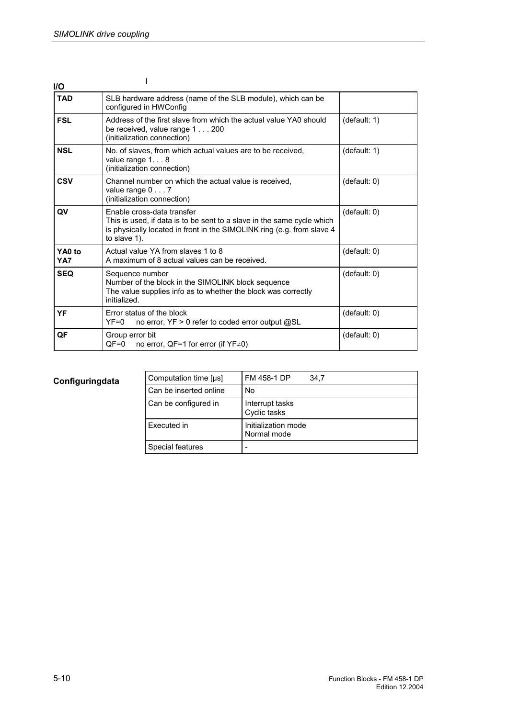| I/O           |                                                                                                                                                                                                |              |
|---------------|------------------------------------------------------------------------------------------------------------------------------------------------------------------------------------------------|--------------|
| <b>TAD</b>    | SLB hardware address (name of the SLB module), which can be<br>configured in HWConfig                                                                                                          |              |
| <b>FSL</b>    | Address of the first slave from which the actual value YA0 should<br>be received, value range 1 200<br>(initialization connection)                                                             | (default: 1) |
| <b>NSL</b>    | No. of slaves, from which actual values are to be received,<br>value range $1. 8$<br>(initialization connection)                                                                               | (default: 1) |
| <b>CSV</b>    | Channel number on which the actual value is received.<br>value range $0 \ldots 7$<br>(initialization connection)                                                                               | (default: 0) |
| QV            | Enable cross-data transfer<br>This is used, if data is to be sent to a slave in the same cycle which<br>is physically located in front in the SIMOLINK ring (e.g. from slave 4<br>to slave 1). | (default: 0) |
| YA0 to<br>YA7 | Actual value YA from slaves 1 to 8<br>A maximum of 8 actual values can be received.                                                                                                            | (detault: 0) |
| <b>SEQ</b>    | Sequence number<br>Number of the block in the SIMOLINK block sequence<br>The value supplies info as to whether the block was correctly<br>initialized.                                         | (default: 0) |
| YF            | Error status of the block<br>no error, YF > 0 refer to coded error output @SL<br>$YF=0$                                                                                                        | (default: 0) |
| QF            | Group error bit<br>$QF=0$<br>no error, QF=1 for error (if $YF\neq 0$ )                                                                                                                         | (detault: 0) |

| Computation time [µs]  | FM 458-1 DP<br>34.7                |
|------------------------|------------------------------------|
| Can be inserted online | No                                 |
| Can be configured in   | Interrupt tasks<br>Cyclic tasks    |
| Executed in            | Initialization mode<br>Normal mode |
| Special features       |                                    |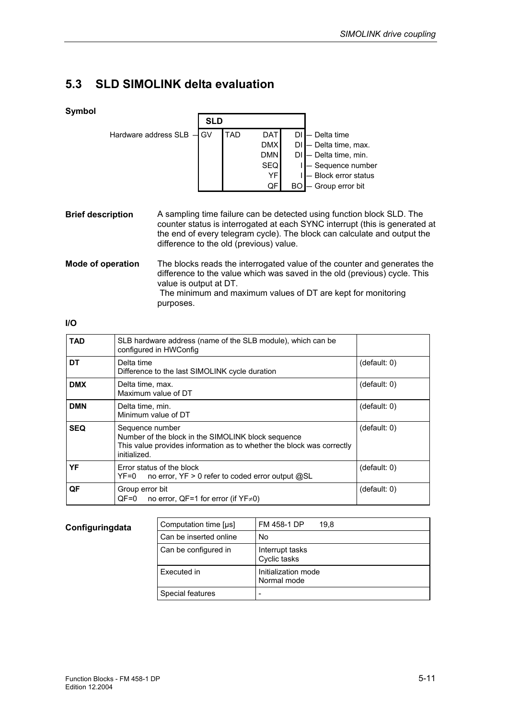# **5.3 SLD SIMOLINK delta evaluation**

### **Symbol**

| ,, |                             | <b>SLD</b> |            |                  |    |                        |
|----|-----------------------------|------------|------------|------------------|----|------------------------|
|    | Hardware address $SLB - GV$ |            | <b>TAD</b> | DAT <sup>I</sup> |    | DI - Delta time        |
|    |                             |            |            | <b>DMX</b>       |    | DI - Delta time, max.  |
|    |                             |            |            | <b>DMN</b>       |    | DI - Delta time, min.  |
|    |                             |            |            | <b>SEQ</b>       |    | I - Sequence number    |
|    |                             |            |            | YF               |    | $-$ Block error status |
|    |                             |            |            | QF               | BC | — Group error bit      |

A sampling time failure can be detected using function block SLD. The counter status is interrogated at each SYNC interrupt (this is generated at the end of every telegram cycle). The block can calculate and output the difference to the old (previous) value. **Brief description** 

The blocks reads the interrogated value of the counter and generates the difference to the value which was saved in the old (previous) cycle. This value is output at DT. The minimum and maximum values of DT are kept for monitoring purposes. **Mode of operation** 

#### **I/O**

| <b>TAD</b> | SLB hardware address (name of the SLB module), which can be<br>configured in HWConfig                                                                          |              |
|------------|----------------------------------------------------------------------------------------------------------------------------------------------------------------|--------------|
| DT         | Delta time<br>Difference to the last SIMOLINK cycle duration                                                                                                   | (detault: 0) |
| <b>DMX</b> | Delta time, max.<br>Maximum value of DT                                                                                                                        | (detault: 0) |
| <b>DMN</b> | Delta time, min.<br>Minimum value of DT                                                                                                                        | (detault: 0) |
| <b>SEQ</b> | Sequence number<br>Number of the block in the SIMOLINK block sequence<br>This value provides information as to whether the block was correctly<br>initialized. | (detault: 0) |
| YF         | Error status of the block<br>no error, YF > 0 refer to coded error output @SL<br>YF=0                                                                          | (detault: 0) |
| QF         | Group error bit<br>$QF=0$ no error, $QF=1$ for error (if $YF\neq0$ )                                                                                           | (detault: 0) |

| Computation time [µs]  | FM 458-1 DP<br>19.8                |
|------------------------|------------------------------------|
| Can be inserted online | No                                 |
| Can be configured in   | Interrupt tasks<br>Cyclic tasks    |
| Executed in            | Initialization mode<br>Normal mode |
| Special features       |                                    |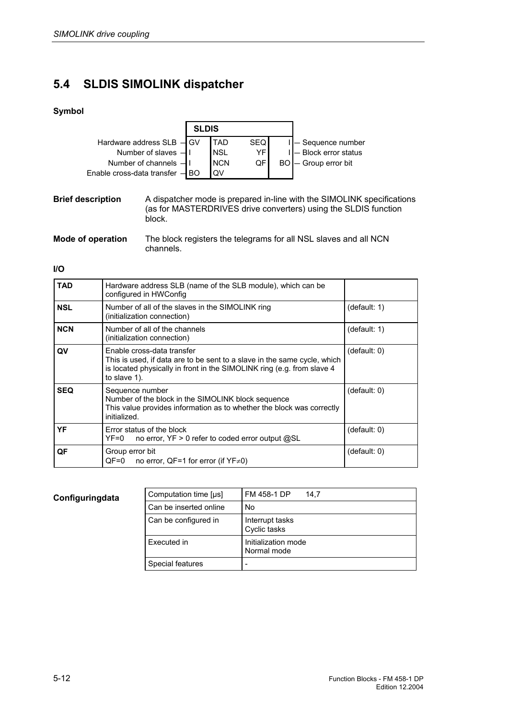# **5.4 SLDIS SIMOLINK dispatcher**

## **Symbol**

|                                 | <b>SLDIS</b> |             |            |  |                        |
|---------------------------------|--------------|-------------|------------|--|------------------------|
| Hardware address SLB - GV       |              | <b>TAD</b>  | <b>SEQ</b> |  | I - Sequence number    |
| Number of slaves $-1$           |              | <b>INSL</b> | YFI        |  | I - Block error status |
| Number of channels $-1$         |              | <b>INCN</b> | QF I       |  | BO - Group error bit   |
| Enable cross-data transfer - BO |              | <b>OV</b>   |            |  |                        |

A dispatcher mode is prepared in-line with the SIMOLINK specifications (as for MASTERDRIVES drive converters) using the SLDIS function block. **Brief description** 

The block registers the telegrams for all NSL slaves and all NCN channels. **Mode of operation** 

#### **I/O**

| <b>TAD</b> | Hardware address SLB (name of the SLB module), which can be<br>configured in HWConfig                                                                                                            |              |
|------------|--------------------------------------------------------------------------------------------------------------------------------------------------------------------------------------------------|--------------|
| <b>NSL</b> | Number of all of the slaves in the SIMOLINK ring<br>(initialization connection)                                                                                                                  | (default: 1) |
| <b>NCN</b> | Number of all of the channels<br>(initialization connection)                                                                                                                                     | (default: 1) |
| QV         | Enable cross-data transfer<br>This is used, if data are to be sent to a slave in the same cycle, which<br>is located physically in front in the SIMOLINK ring (e.g. from slave 4<br>to slave 1). | (default: 0) |
| <b>SEQ</b> | Sequence number<br>Number of the block in the SIMOLINK block sequence<br>This value provides information as to whether the block was correctly<br>initialized.                                   | (default: 0) |
| YF         | Error status of the block<br>$YF=0$ no error, $YF > 0$ refer to coded error output @SL                                                                                                           | (default: 0) |
| QF         | Group error bit<br>$QF=0$ no error, $QF=1$ for error (if $YF\neq 0$ )                                                                                                                            | (default: 0) |

#### **Configuringdata**

 $\mathbf{r}$ 

| Computation time [µs]  | FM 458-1 DP<br>14.7                |
|------------------------|------------------------------------|
| Can be inserted online | No                                 |
| Can be configured in   | Interrupt tasks<br>Cyclic tasks    |
| Executed in            | Initialization mode<br>Normal mode |
| Special features       |                                    |
|                        |                                    |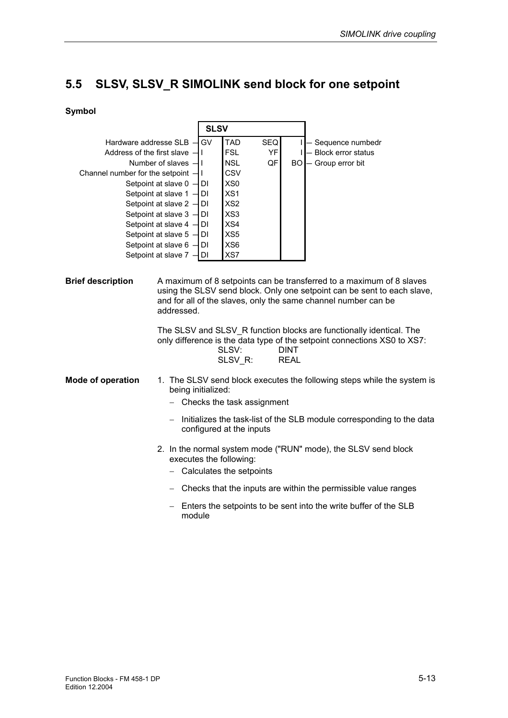# **5.5 SLSV, SLSV\_R SIMOLINK send block for one setpoint**

|                                                                                                                                                                  |                                                                                                                                                                                                                     | <b>SLSV</b>                                                                                                                          |                        |                            |                                                                                                                                                                                                                                                                                                                                                                      |
|------------------------------------------------------------------------------------------------------------------------------------------------------------------|---------------------------------------------------------------------------------------------------------------------------------------------------------------------------------------------------------------------|--------------------------------------------------------------------------------------------------------------------------------------|------------------------|----------------------------|----------------------------------------------------------------------------------------------------------------------------------------------------------------------------------------------------------------------------------------------------------------------------------------------------------------------------------------------------------------------|
| Hardware addresse SLB -<br>Address of the first slave<br>Number of slaves -<br>Channel number for the setpoint -<br>Setpoint at slave 0 -<br>Setpoint at slave 1 |                                                                                                                                                                                                                     | GV<br><b>TAD</b><br><b>FSL</b><br><b>NSL</b><br>CSV<br>XS <sub>0</sub><br>DI<br>XS <sub>1</sub><br><b>DI</b>                         | <b>SEQ</b><br>YF<br>QF | <b>BO</b>                  | - Sequence numbedr<br>- Block error status<br>- Group error bit                                                                                                                                                                                                                                                                                                      |
|                                                                                                                                                                  | Setpoint at slave 2<br>DI<br>Setpoint at slave 3<br><b>DI</b><br>Setpoint at slave 4 .<br><b>DI</b><br>Setpoint at slave 5<br><b>DI</b><br>Setpoint at slave 6 -<br><b>DI</b><br>Setpoint at slave 7 -<br><b>DI</b> | XS <sub>2</sub><br>XS3<br>XS4<br>XS5<br>XS <sub>6</sub><br>XS7                                                                       |                        |                            |                                                                                                                                                                                                                                                                                                                                                                      |
| <b>Brief description</b>                                                                                                                                         | addressed.                                                                                                                                                                                                          | SLSV:<br>SLSV R:                                                                                                                     |                        | <b>DINT</b><br><b>REAL</b> | A maximum of 8 setpoints can be transferred to a maximum of 8 slaves<br>using the SLSV send block. Only one setpoint can be sent to each slave,<br>and for all of the slaves, only the same channel number can be<br>The SLSV and SLSV R function blocks are functionally identical. The<br>only difference is the data type of the setpoint connections XS0 to XS7: |
| <b>Mode of operation</b>                                                                                                                                         | being initialized:                                                                                                                                                                                                  | - Checks the task assignment<br>configured at the inputs<br>executes the following:<br>$-$ Calculates the setpoints                  |                        |                            | 1. The SLSV send block executes the following steps while the system is<br>Initializes the task-list of the SLB module corresponding to the data<br>2. In the normal system mode ("RUN" mode), the SLSV send block                                                                                                                                                   |
|                                                                                                                                                                  | module                                                                                                                                                                                                              | - Checks that the inputs are within the permissible value ranges<br>Enters the setpoints to be sent into the write buffer of the SLB |                        |                            |                                                                                                                                                                                                                                                                                                                                                                      |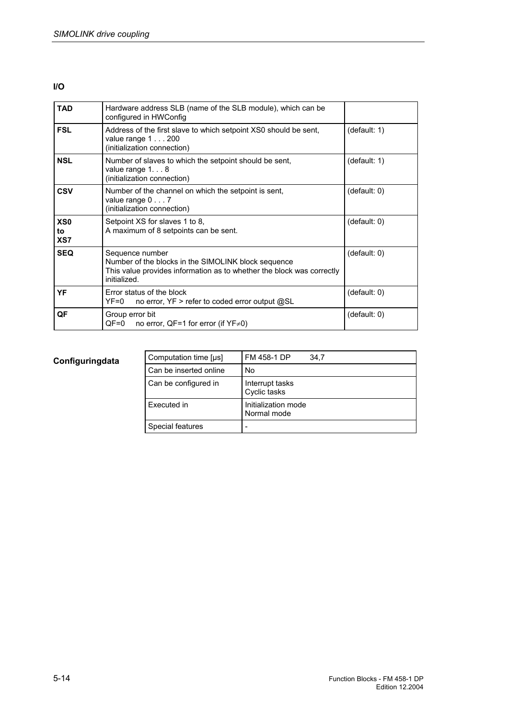#### **I/O**

| <b>TAD</b>                   | Hardware address SLB (name of the SLB module), which can be<br>configured in HWConfig                                                                           |              |
|------------------------------|-----------------------------------------------------------------------------------------------------------------------------------------------------------------|--------------|
| <b>FSL</b>                   | Address of the first slave to which setpoint XS0 should be sent,<br>value range $1 \ldots 200$<br>(initialization connection)                                   | (default: 1) |
| <b>NSL</b>                   | Number of slaves to which the setpoint should be sent,<br>value range $1. 8$<br>(initialization connection)                                                     | (default: 1) |
| <b>CSV</b>                   | Number of the channel on which the setpoint is sent,<br>value range $0 \ldots 7$<br>(initialization connection)                                                 | (default: 0) |
| XS <sub>0</sub><br>to<br>XS7 | Setpoint XS for slaves 1 to 8,<br>A maximum of 8 setpoints can be sent.                                                                                         | (default: 0) |
| <b>SEQ</b>                   | Sequence number<br>Number of the blocks in the SIMOLINK block sequence<br>This value provides information as to whether the block was correctly<br>initialized. | (default: 0) |
| YF                           | Error status of the block<br>no error, YF > refer to coded error output @SL<br>$YF=0$                                                                           | (default: 0) |
| QF                           | Group error bit<br>$QF=0$ no error, $QF=1$ for error (if $YF\neq 0$ )                                                                                           | (default: 0) |

| Computation time [us]  | FM 458-1 DP<br>34.7                |
|------------------------|------------------------------------|
| Can be inserted online | No                                 |
| Can be configured in   | Interrupt tasks<br>Cyclic tasks    |
| Executed in            | Initialization mode<br>Normal mode |
| Special features       |                                    |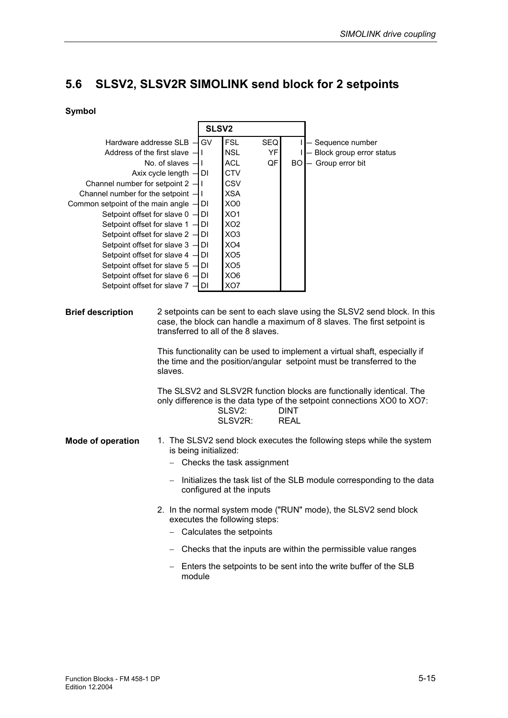# **5.6 SLSV2, SLSV2R SIMOLINK send block for 2 setpoints**

|                                                                                                                                                          |                          | SLSV <sub>2</sub>                                                                                                                                                                           |                                                                |     |                            |                                                                                                                                                     |
|----------------------------------------------------------------------------------------------------------------------------------------------------------|--------------------------|---------------------------------------------------------------------------------------------------------------------------------------------------------------------------------------------|----------------------------------------------------------------|-----|----------------------------|-----------------------------------------------------------------------------------------------------------------------------------------------------|
| Hardware addresse SLB -                                                                                                                                  |                          | GV                                                                                                                                                                                          | <b>FSL</b>                                                     | SEQ |                            | - Sequence number                                                                                                                                   |
| Address of the first slave -                                                                                                                             |                          | $\mathbf{I}$                                                                                                                                                                                | <b>NSL</b>                                                     | YF  |                            | - Block group error status                                                                                                                          |
|                                                                                                                                                          | No. of slaves -          | T                                                                                                                                                                                           | <b>ACL</b>                                                     | QF  | <b>BO</b>                  | - Group error bit                                                                                                                                   |
|                                                                                                                                                          | Axix cycle length -      | DI                                                                                                                                                                                          | <b>CTV</b>                                                     |     |                            |                                                                                                                                                     |
| Channel number for setpoint 2 -                                                                                                                          |                          | $\mathbf{I}$                                                                                                                                                                                | CSV                                                            |     |                            |                                                                                                                                                     |
| Channel number for the setpoint                                                                                                                          |                          | $\mathbf{I}$                                                                                                                                                                                | <b>XSA</b>                                                     |     |                            |                                                                                                                                                     |
| Common setpoint of the main angle -                                                                                                                      |                          | DI                                                                                                                                                                                          | XO <sub>0</sub>                                                |     |                            |                                                                                                                                                     |
| Setpoint offset for slave 0 -                                                                                                                            |                          | DI                                                                                                                                                                                          | XO <sub>1</sub>                                                |     |                            |                                                                                                                                                     |
| Setpoint offset for slave 1                                                                                                                              |                          | DI                                                                                                                                                                                          | XO <sub>2</sub>                                                |     |                            |                                                                                                                                                     |
| Setpoint offset for slave 2 -                                                                                                                            |                          | DI                                                                                                                                                                                          | XO <sub>3</sub>                                                |     |                            |                                                                                                                                                     |
| Setpoint offset for slave 3 -                                                                                                                            |                          | DI                                                                                                                                                                                          | XO <sub>4</sub>                                                |     |                            |                                                                                                                                                     |
| Setpoint offset for slave 4 -                                                                                                                            |                          | DI                                                                                                                                                                                          | XO <sub>5</sub>                                                |     |                            |                                                                                                                                                     |
| Setpoint offset for slave 5 -                                                                                                                            |                          | <b>DI</b>                                                                                                                                                                                   | XO <sub>5</sub>                                                |     |                            |                                                                                                                                                     |
| Setpoint offset for slave 6 -                                                                                                                            |                          | <b>DI</b>                                                                                                                                                                                   | XO <sub>6</sub>                                                |     |                            |                                                                                                                                                     |
| Setpoint offset for slave 7                                                                                                                              |                          | <b>DI</b>                                                                                                                                                                                   | XO7                                                            |     |                            |                                                                                                                                                     |
| <b>Brief description</b>                                                                                                                                 |                          | 2 setpoints can be sent to each slave using the SLSV2 send block. In this<br>case, the block can handle a maximum of 8 slaves. The first setpoint is<br>transferred to all of the 8 slaves. |                                                                |     |                            |                                                                                                                                                     |
| slaves.                                                                                                                                                  |                          |                                                                                                                                                                                             |                                                                |     |                            | This functionality can be used to implement a virtual shaft, especially if<br>the time and the position/angular setpoint must be transferred to the |
|                                                                                                                                                          |                          |                                                                                                                                                                                             | SLSV2:<br>SLSV2R:                                              |     | <b>DINT</b><br><b>REAL</b> | The SLSV2 and SLSV2R function blocks are functionally identical. The<br>only difference is the data type of the setpoint connections XO0 to XO7:    |
| 1. The SLSV2 send block executes the following steps while the system<br><b>Mode of operation</b><br>is being initialized:<br>Checks the task assignment |                          |                                                                                                                                                                                             |                                                                |     |                            |                                                                                                                                                     |
|                                                                                                                                                          | $\overline{\phantom{0}}$ |                                                                                                                                                                                             | configured at the inputs                                       |     |                            | Initializes the task list of the SLB module corresponding to the data                                                                               |
|                                                                                                                                                          |                          |                                                                                                                                                                                             | executes the following steps:<br>Calculates the setpoints      |     |                            | 2. In the normal system mode ("RUN" mode), the SLSV2 send block                                                                                     |
| -                                                                                                                                                        |                          |                                                                                                                                                                                             | Checks that the inputs are within the permissible value ranges |     |                            |                                                                                                                                                     |
|                                                                                                                                                          | module                   |                                                                                                                                                                                             |                                                                |     |                            | Enters the setpoints to be sent into the write buffer of the SLB                                                                                    |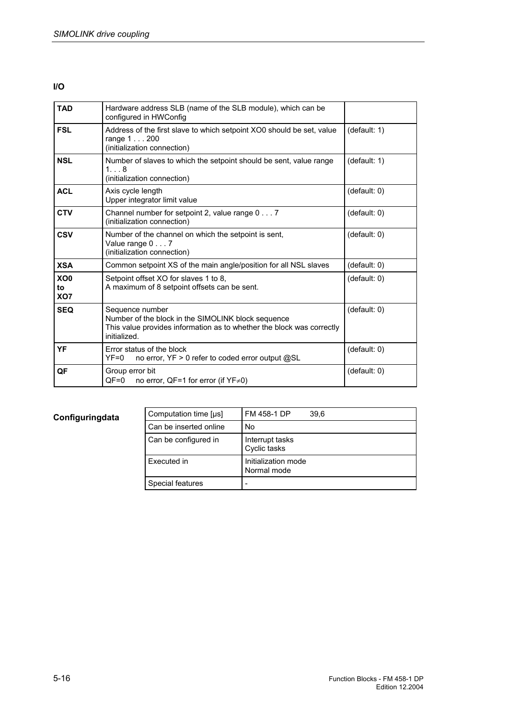### **I/O**

| <b>TAD</b>                   | Hardware address SLB (name of the SLB module), which can be<br>configured in HWConfig                                                                          |              |
|------------------------------|----------------------------------------------------------------------------------------------------------------------------------------------------------------|--------------|
| <b>FSL</b>                   | Address of the first slave to which setpoint XO0 should be set, value<br>range 1200<br>(initialization connection)                                             | (default: 1) |
| <b>NSL</b>                   | Number of slaves to which the setpoint should be sent, value range<br>1. 8<br>(initialization connection)                                                      | (default: 1) |
| <b>ACL</b>                   | Axis cycle length<br>Upper integrator limit value                                                                                                              | (default: 0) |
| <b>CTV</b>                   | Channel number for setpoint 2, value range $0 \ldots 7$<br>(initialization connection)                                                                         | (default: 0) |
| <b>CSV</b>                   | Number of the channel on which the setpoint is sent,<br>Value range 0 7<br>(initialization connection)                                                         | (default: 0) |
| <b>XSA</b>                   | Common setpoint XS of the main angle/position for all NSL slaves                                                                                               | (default: 0) |
| XO <sub>0</sub><br>to<br>XO7 | Setpoint offset XO for slaves 1 to 8.<br>A maximum of 8 setpoint offsets can be sent.                                                                          | (default: 0) |
| <b>SEQ</b>                   | Sequence number<br>Number of the block in the SIMOLINK block sequence<br>This value provides information as to whether the block was correctly<br>initialized. | (default: 0) |
| YF                           | Error status of the block<br>no error, YF > 0 refer to coded error output @SL<br>$YF=0$                                                                        | (default: 0) |
| QF                           | Group error bit<br>QF=0<br>no error, QF=1 for error (if $YF\neq 0$ )                                                                                           | (default: 0) |

# **Configuringdata**

| Computation time [µs]  | FM 458-1 DP<br>39.6                |
|------------------------|------------------------------------|
| Can be inserted online | No                                 |
| Can be configured in   | Interrupt tasks<br>Cyclic tasks    |
| Executed in            | Initialization mode<br>Normal mode |
| Special features       |                                    |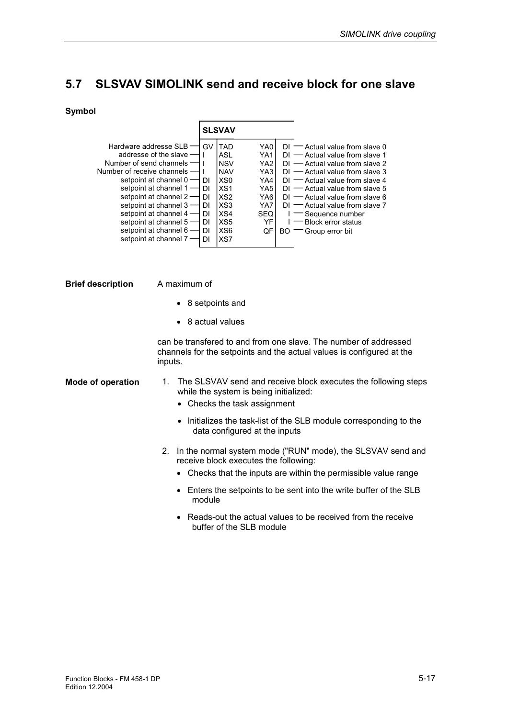# **5.7 SLSVAV SIMOLINK send and receive block for one slave**

#### **Symbol**



**Brief description** 

A maximum of

- 8 setpoints and
- 8 actual values

can be transfered to and from one slave. The number of addressed channels for the setpoints and the actual values is configured at the inputs.

- 1. The SLSVAV send and receive block executes the following steps while the system is being initialized: **Mode of operation** 
	- Checks the task assignment
	- Initializes the task-list of the SLB module corresponding to the data configured at the inputs
	- 2. In the normal system mode ("RUN" mode), the SLSVAV send and receive block executes the following:
		- Checks that the inputs are within the permissible value range
		- Enters the setpoints to be sent into the write buffer of the SLB module
		- Reads-out the actual values to be received from the receive buffer of the SLB module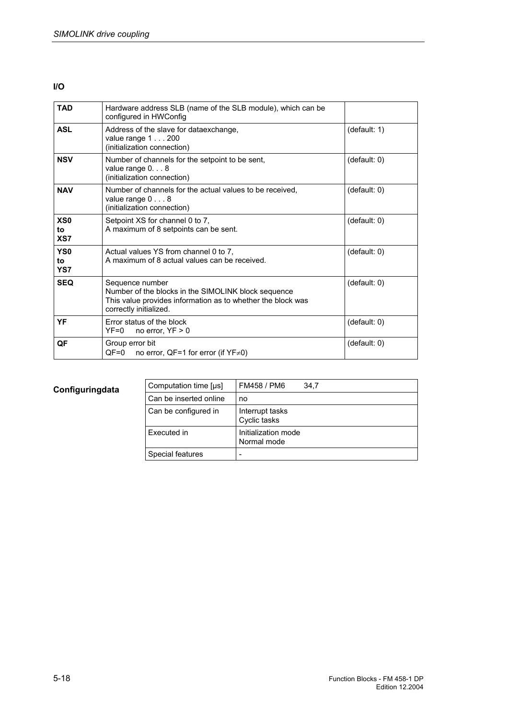### **I/O**

| <b>TAD</b>                   | Hardware address SLB (name of the SLB module), which can be<br>configured in HWConfig                                                                           |              |
|------------------------------|-----------------------------------------------------------------------------------------------------------------------------------------------------------------|--------------|
| <b>ASL</b>                   | Address of the slave for dataexchange,<br>value range $1 \ldots 200$<br>(initialization connection)                                                             | (default: 1) |
| <b>NSV</b>                   | Number of channels for the setpoint to be sent,<br>value range $0. 8$<br>(initialization connection)                                                            | (default: 0) |
| <b>NAV</b>                   | Number of channels for the actual values to be received.<br>value range 0 8<br>(initialization connection)                                                      | (default: 0) |
| XS <sub>0</sub><br>to<br>XS7 | Setpoint XS for channel 0 to 7,<br>A maximum of 8 setpoints can be sent.                                                                                        | (default: 0) |
| YS <sub>0</sub><br>to<br>YS7 | Actual values YS from channel 0 to 7.<br>A maximum of 8 actual values can be received.                                                                          | (default: 0) |
| <b>SEQ</b>                   | Sequence number<br>Number of the blocks in the SIMOLINK block sequence<br>This value provides information as to whether the block was<br>correctly initialized. | (default: 0) |
| YF                           | Error status of the block<br>$YF=0$ no error, $YF>0$                                                                                                            | (default: 0) |
| QF                           | Group error bit<br>$QF=0$<br>no error, QF=1 for error (if $YF \neq 0$ )                                                                                         | (default: 0) |

# **Configuringdata**

| Computation time [µs]  | FM458 / PM6<br>34.7                |
|------------------------|------------------------------------|
| Can be inserted online | no                                 |
| Can be configured in   | Interrupt tasks<br>Cyclic tasks    |
| Executed in            | Initialization mode<br>Normal mode |
| Special features       |                                    |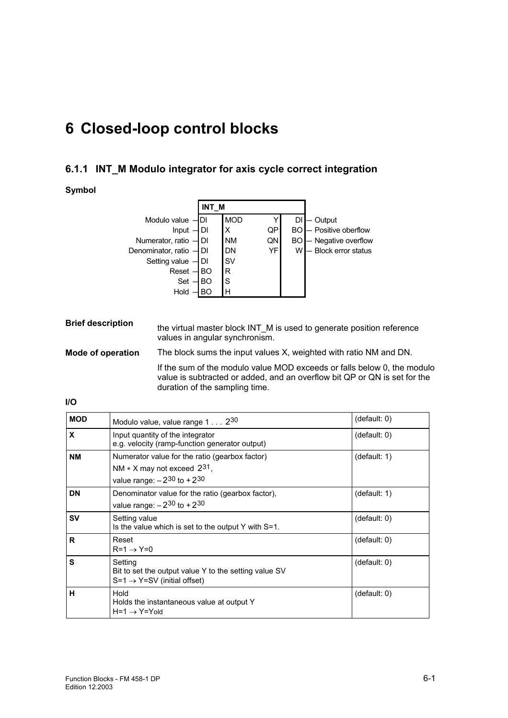# **6 Closed-loop control blocks**

# **6.1.1 INT\_M Modulo integrator for axis cycle correct integration**

## **Symbol**

|                         | INT M |            |           |    |                               |
|-------------------------|-------|------------|-----------|----|-------------------------------|
| Modulo value - DI       |       | <b>MOD</b> |           | DI | Output                        |
| Input $\neg$ DI         |       |            | QP        |    | <b>BO</b> - Positive oberflow |
| Numerator, ratio $-$ DI |       | <b>NM</b>  | QN        |    | <b>BO</b> - Negative overflow |
| Denominator, ratio - DI |       | <b>DN</b>  | <b>YF</b> | W  | - Block error status          |
| Setting value $-$ DI    |       | <b>SV</b>  |           |    |                               |
| $Reset$ - BO            |       | R          |           |    |                               |
| $Set - BO$              |       | lS         |           |    |                               |
| Hold                    | BO    | H          |           |    |                               |

| <b>Brief description</b> | the virtual master block INT M is used to generate position reference<br>values in angular synchronism.                                                                                |
|--------------------------|----------------------------------------------------------------------------------------------------------------------------------------------------------------------------------------|
| Mode of operation        | The block sums the input values X, weighted with ratio NM and DN.                                                                                                                      |
|                          | If the sum of the modulo value MOD exceeds or falls below 0, the modulo<br>value is subtracted or added, and an overflow bit QP or QN is set for the<br>duration of the sampling time. |

| <b>MOD</b> | Modulo value, value range 1 230                                                                                             | (default: 0) |
|------------|-----------------------------------------------------------------------------------------------------------------------------|--------------|
| X          | Input quantity of the integrator<br>e.g. velocity (ramp-function generator output)                                          | (default: 0) |
| <b>NM</b>  | Numerator value for the ratio (gearbox factor)<br>NM $*$ X may not exceed $2^{31}$ ,<br>value range: $-2^{30}$ to $+2^{30}$ | (default: 1) |
| <b>DN</b>  | Denominator value for the ratio (gearbox factor),<br>value range: $-2^{30}$ to $+2^{30}$                                    | (default: 1) |
| <b>SV</b>  | Setting value<br>Is the value which is set to the output Y with S=1.                                                        | (detault: 0) |
| R.         | Reset<br>$R=1 \rightarrow Y=0$                                                                                              | (detault: 0) |
| S          | Setting<br>Bit to set the output value Y to the setting value SV<br>$S=1 \rightarrow Y=SV$ (initial offset)                 | (detault: 0) |
| н          | Hold<br>Holds the instantaneous value at output Y<br>$H=1 \rightarrow Y=Y_0$ ld                                             | (detault: 0) |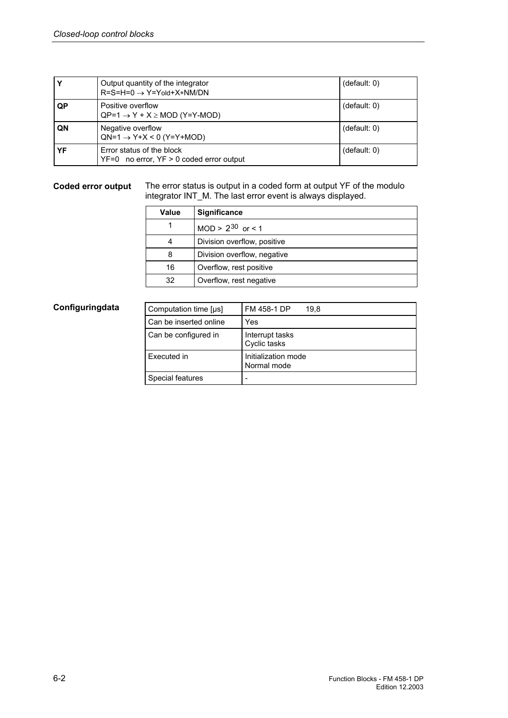|    | Output quantity of the integrator<br>$R = S = H = 0 \rightarrow Y = Y \cdot d + X \cdot N M / DN$ | (default: 0) |
|----|---------------------------------------------------------------------------------------------------|--------------|
| QP | Positive overflow<br>$QP=1 \rightarrow Y + X \geq MOD (Y=Y-MOD)$                                  | (default: 0) |
| QN | Negative overflow<br>$QN=1 \rightarrow Y+X < 0$ (Y=Y+MOD)                                         | (default: 0) |
| YF | Error status of the block<br>$YF=0$ no error, $YF > 0$ coded error output                         | (default: 0) |

#### The error status is output in a coded form at output YF of the modulo integrator INT\_M. The last error event is always displayed. **Coded error output**

| Value | Significance                |
|-------|-----------------------------|
|       | $MOD > 2^{30}$ or < 1       |
|       | Division overflow, positive |
| 8     | Division overflow, negative |
| 16    | Overflow, rest positive     |
| 32    | Overflow, rest negative     |

## **Configuringdata**

| Computation time [us]  | FM 458-1 DP<br>19.8                |
|------------------------|------------------------------------|
| Can be inserted online | Yes                                |
| Can be configured in   | Interrupt tasks<br>Cyclic tasks    |
| Executed in            | Initialization mode<br>Normal mode |
| Special features       |                                    |